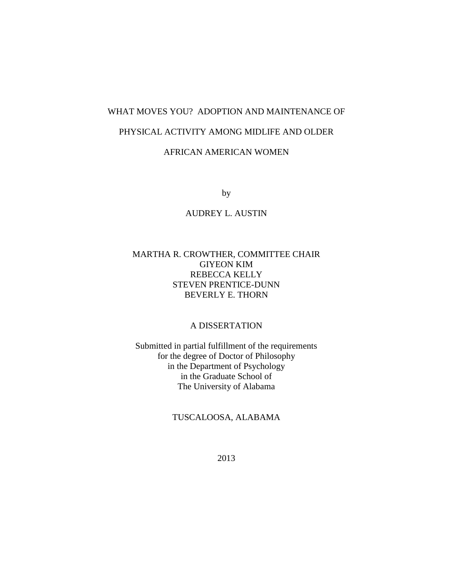## WHAT MOVES YOU? ADOPTION AND MAINTENANCE OF

### PHYSICAL ACTIVITY AMONG MIDLIFE AND OLDER

## AFRICAN AMERICAN WOMEN

by

## AUDREY L. AUSTIN

## MARTHA R. CROWTHER, COMMITTEE CHAIR GIYEON KIM REBECCA KELLY STEVEN PRENTICE-DUNN BEVERLY E. THORN

## A DISSERTATION

Submitted in partial fulfillment of the requirements for the degree of Doctor of Philosophy in the Department of Psychology in the Graduate School of The University of Alabama

## TUSCALOOSA, ALABAMA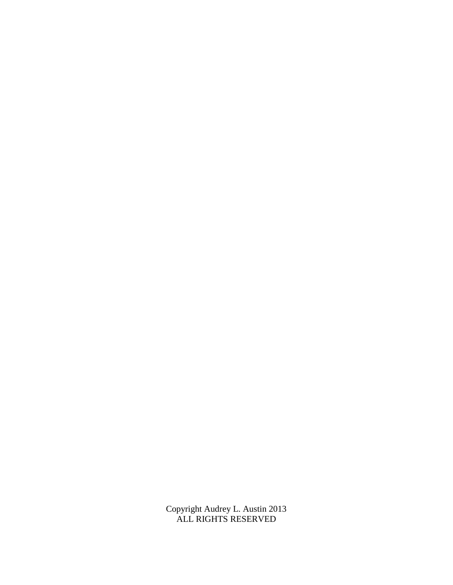Copyright Audrey L. Austin 2013 ALL RIGHTS RESERVED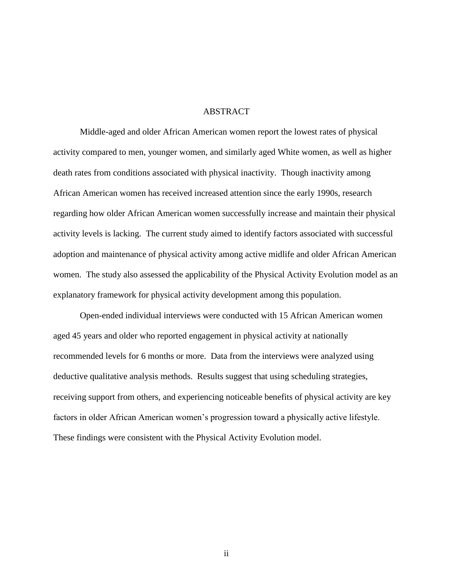### ABSTRACT

Middle-aged and older African American women report the lowest rates of physical activity compared to men, younger women, and similarly aged White women, as well as higher death rates from conditions associated with physical inactivity. Though inactivity among African American women has received increased attention since the early 1990s, research regarding how older African American women successfully increase and maintain their physical activity levels is lacking. The current study aimed to identify factors associated with successful adoption and maintenance of physical activity among active midlife and older African American women. The study also assessed the applicability of the Physical Activity Evolution model as an explanatory framework for physical activity development among this population.

Open-ended individual interviews were conducted with 15 African American women aged 45 years and older who reported engagement in physical activity at nationally recommended levels for 6 months or more. Data from the interviews were analyzed using deductive qualitative analysis methods. Results suggest that using scheduling strategies, receiving support from others, and experiencing noticeable benefits of physical activity are key factors in older African American women's progression toward a physically active lifestyle. These findings were consistent with the Physical Activity Evolution model.

ii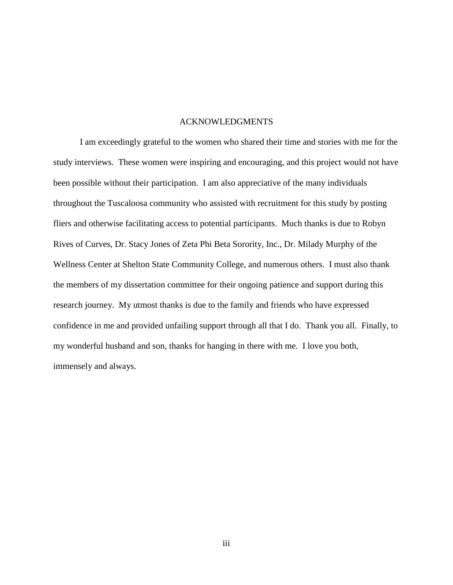### ACKNOWLEDGMENTS

I am exceedingly grateful to the women who shared their time and stories with me for the study interviews. These women were inspiring and encouraging, and this project would not have been possible without their participation. I am also appreciative of the many individuals throughout the Tuscaloosa community who assisted with recruitment for this study by posting fliers and otherwise facilitating access to potential participants. Much thanks is due to Robyn Rives of Curves, Dr. Stacy Jones of Zeta Phi Beta Sorority, Inc., Dr. Milady Murphy of the Wellness Center at Shelton State Community College, and numerous others. I must also thank the members of my dissertation committee for their ongoing patience and support during this research journey. My utmost thanks is due to the family and friends who have expressed confidence in me and provided unfailing support through all that I do. Thank you all. Finally, to my wonderful husband and son, thanks for hanging in there with me. I love you both, immensely and always.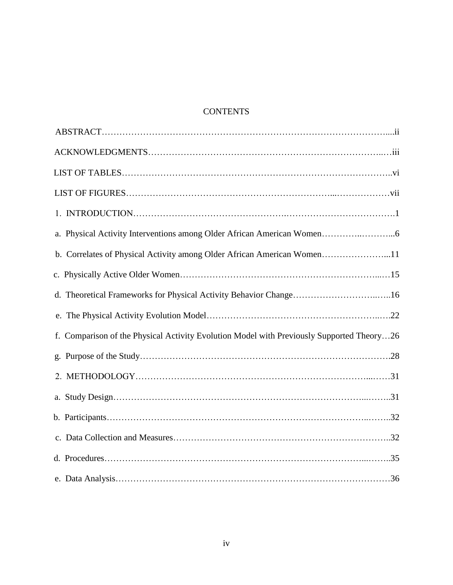# **CONTENTS**

| b. Correlates of Physical Activity among Older African American Women11                   |  |
|-------------------------------------------------------------------------------------------|--|
|                                                                                           |  |
| d. Theoretical Frameworks for Physical Activity Behavior Change16                         |  |
|                                                                                           |  |
| f. Comparison of the Physical Activity Evolution Model with Previously Supported Theory26 |  |
|                                                                                           |  |
|                                                                                           |  |
|                                                                                           |  |
|                                                                                           |  |
|                                                                                           |  |
|                                                                                           |  |
|                                                                                           |  |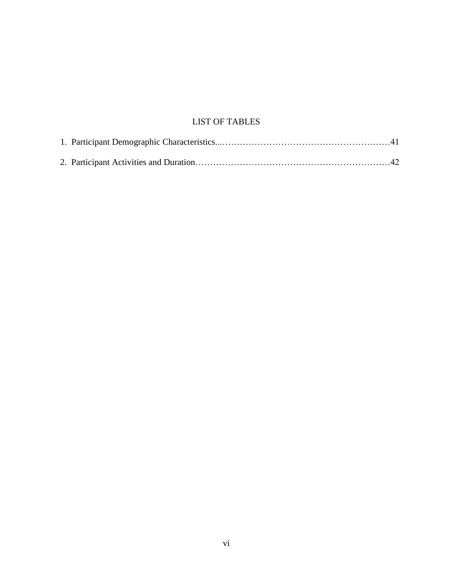# LIST OF TABLES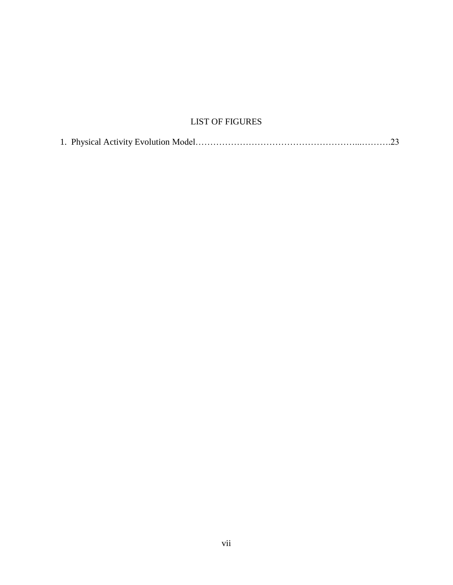# LIST OF FIGURES

|--|--|--|--|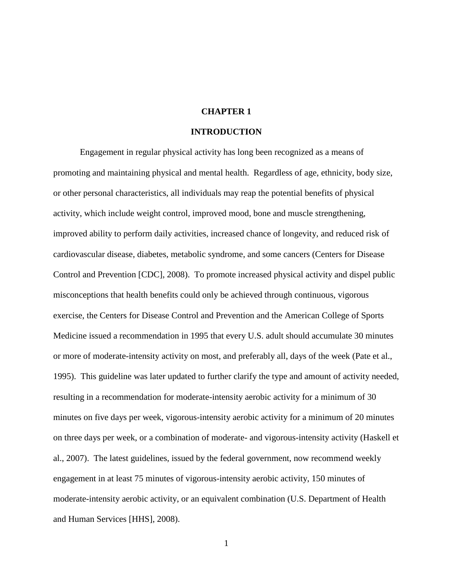### **CHAPTER 1**

### **INTRODUCTION**

Engagement in regular physical activity has long been recognized as a means of promoting and maintaining physical and mental health. Regardless of age, ethnicity, body size, or other personal characteristics, all individuals may reap the potential benefits of physical activity, which include weight control, improved mood, bone and muscle strengthening, improved ability to perform daily activities, increased chance of longevity, and reduced risk of cardiovascular disease, diabetes, metabolic syndrome, and some cancers (Centers for Disease Control and Prevention [CDC], 2008). To promote increased physical activity and dispel public misconceptions that health benefits could only be achieved through continuous, vigorous exercise, the Centers for Disease Control and Prevention and the American College of Sports Medicine issued a recommendation in 1995 that every U.S. adult should accumulate 30 minutes or more of moderate-intensity activity on most, and preferably all, days of the week (Pate et al., 1995). This guideline was later updated to further clarify the type and amount of activity needed, resulting in a recommendation for moderate-intensity aerobic activity for a minimum of 30 minutes on five days per week, vigorous-intensity aerobic activity for a minimum of 20 minutes on three days per week, or a combination of moderate- and vigorous-intensity activity (Haskell et al., 2007). The latest guidelines, issued by the federal government, now recommend weekly engagement in at least 75 minutes of vigorous-intensity aerobic activity, 150 minutes of moderate-intensity aerobic activity, or an equivalent combination (U.S. Department of Health and Human Services [HHS], 2008).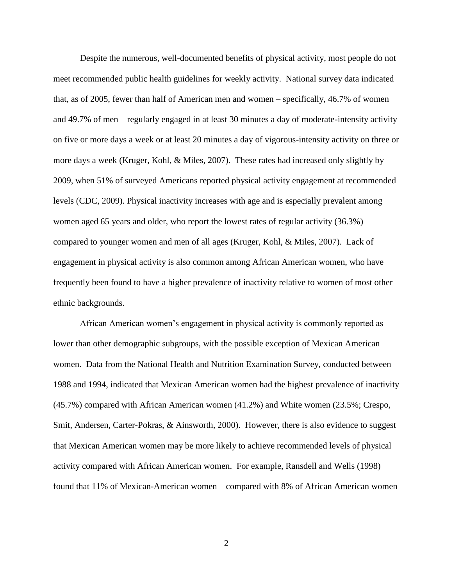Despite the numerous, well-documented benefits of physical activity, most people do not meet recommended public health guidelines for weekly activity. National survey data indicated that, as of 2005, fewer than half of American men and women – specifically, 46.7% of women and 49.7% of men – regularly engaged in at least 30 minutes a day of moderate-intensity activity on five or more days a week or at least 20 minutes a day of vigorous-intensity activity on three or more days a week (Kruger, Kohl, & Miles, 2007). These rates had increased only slightly by 2009, when 51% of surveyed Americans reported physical activity engagement at recommended levels (CDC, 2009). Physical inactivity increases with age and is especially prevalent among women aged 65 years and older, who report the lowest rates of regular activity (36.3%) compared to younger women and men of all ages (Kruger, Kohl, & Miles, 2007). Lack of engagement in physical activity is also common among African American women, who have frequently been found to have a higher prevalence of inactivity relative to women of most other ethnic backgrounds.

African American women's engagement in physical activity is commonly reported as lower than other demographic subgroups, with the possible exception of Mexican American women. Data from the National Health and Nutrition Examination Survey, conducted between 1988 and 1994, indicated that Mexican American women had the highest prevalence of inactivity (45.7%) compared with African American women (41.2%) and White women (23.5%; Crespo, Smit, Andersen, Carter-Pokras, & Ainsworth, 2000). However, there is also evidence to suggest that Mexican American women may be more likely to achieve recommended levels of physical activity compared with African American women. For example, Ransdell and Wells (1998) found that 11% of Mexican-American women – compared with 8% of African American women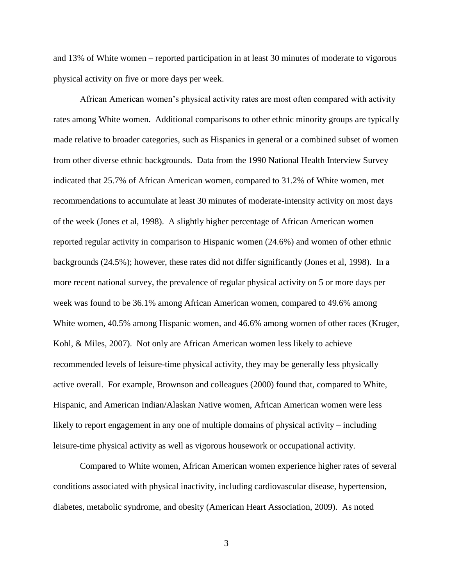and 13% of White women – reported participation in at least 30 minutes of moderate to vigorous physical activity on five or more days per week.

African American women's physical activity rates are most often compared with activity rates among White women. Additional comparisons to other ethnic minority groups are typically made relative to broader categories, such as Hispanics in general or a combined subset of women from other diverse ethnic backgrounds. Data from the 1990 National Health Interview Survey indicated that 25.7% of African American women, compared to 31.2% of White women, met recommendations to accumulate at least 30 minutes of moderate-intensity activity on most days of the week (Jones et al, 1998). A slightly higher percentage of African American women reported regular activity in comparison to Hispanic women (24.6%) and women of other ethnic backgrounds (24.5%); however, these rates did not differ significantly (Jones et al, 1998). In a more recent national survey, the prevalence of regular physical activity on 5 or more days per week was found to be 36.1% among African American women, compared to 49.6% among White women, 40.5% among Hispanic women, and 46.6% among women of other races (Kruger, Kohl, & Miles, 2007). Not only are African American women less likely to achieve recommended levels of leisure-time physical activity, they may be generally less physically active overall. For example, Brownson and colleagues (2000) found that, compared to White, Hispanic, and American Indian/Alaskan Native women, African American women were less likely to report engagement in any one of multiple domains of physical activity – including leisure-time physical activity as well as vigorous housework or occupational activity.

Compared to White women, African American women experience higher rates of several conditions associated with physical inactivity, including cardiovascular disease, hypertension, diabetes, metabolic syndrome, and obesity (American Heart Association, 2009). As noted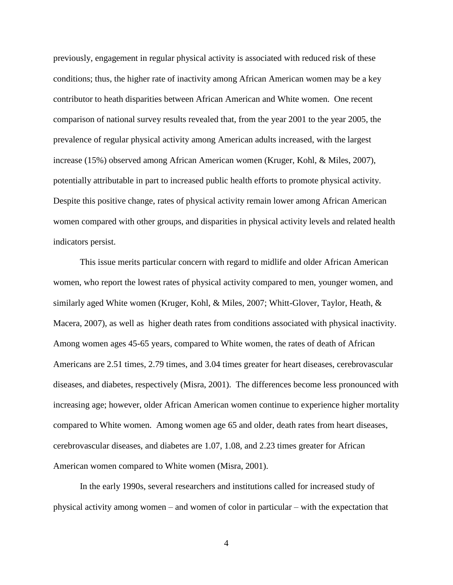previously, engagement in regular physical activity is associated with reduced risk of these conditions; thus, the higher rate of inactivity among African American women may be a key contributor to heath disparities between African American and White women. One recent comparison of national survey results revealed that, from the year 2001 to the year 2005, the prevalence of regular physical activity among American adults increased, with the largest increase (15%) observed among African American women (Kruger, Kohl, & Miles, 2007), potentially attributable in part to increased public health efforts to promote physical activity. Despite this positive change, rates of physical activity remain lower among African American women compared with other groups, and disparities in physical activity levels and related health indicators persist.

This issue merits particular concern with regard to midlife and older African American women, who report the lowest rates of physical activity compared to men, younger women, and similarly aged White women (Kruger, Kohl, & Miles, 2007; Whitt-Glover, Taylor, Heath, & Macera, 2007), as well as higher death rates from conditions associated with physical inactivity. Among women ages 45-65 years, compared to White women, the rates of death of African Americans are 2.51 times, 2.79 times, and 3.04 times greater for heart diseases, cerebrovascular diseases, and diabetes, respectively (Misra, 2001). The differences become less pronounced with increasing age; however, older African American women continue to experience higher mortality compared to White women. Among women age 65 and older, death rates from heart diseases, cerebrovascular diseases, and diabetes are 1.07, 1.08, and 2.23 times greater for African American women compared to White women (Misra, 2001).

In the early 1990s, several researchers and institutions called for increased study of physical activity among women – and women of color in particular – with the expectation that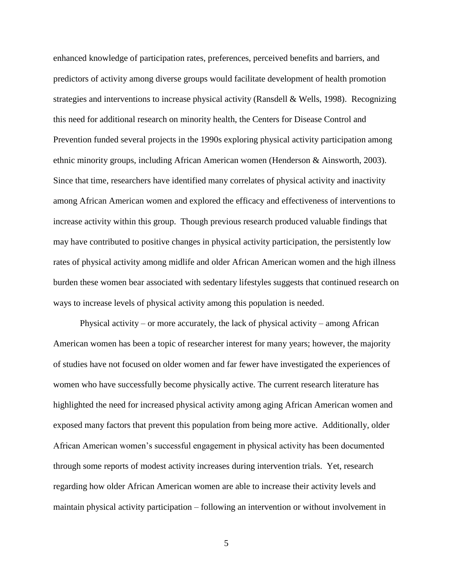enhanced knowledge of participation rates, preferences, perceived benefits and barriers, and predictors of activity among diverse groups would facilitate development of health promotion strategies and interventions to increase physical activity (Ransdell & Wells, 1998). Recognizing this need for additional research on minority health, the Centers for Disease Control and Prevention funded several projects in the 1990s exploring physical activity participation among ethnic minority groups, including African American women (Henderson & Ainsworth, 2003). Since that time, researchers have identified many correlates of physical activity and inactivity among African American women and explored the efficacy and effectiveness of interventions to increase activity within this group. Though previous research produced valuable findings that may have contributed to positive changes in physical activity participation, the persistently low rates of physical activity among midlife and older African American women and the high illness burden these women bear associated with sedentary lifestyles suggests that continued research on ways to increase levels of physical activity among this population is needed.

Physical activity – or more accurately, the lack of physical activity – among African American women has been a topic of researcher interest for many years; however, the majority of studies have not focused on older women and far fewer have investigated the experiences of women who have successfully become physically active. The current research literature has highlighted the need for increased physical activity among aging African American women and exposed many factors that prevent this population from being more active. Additionally, older African American women's successful engagement in physical activity has been documented through some reports of modest activity increases during intervention trials. Yet, research regarding how older African American women are able to increase their activity levels and maintain physical activity participation – following an intervention or without involvement in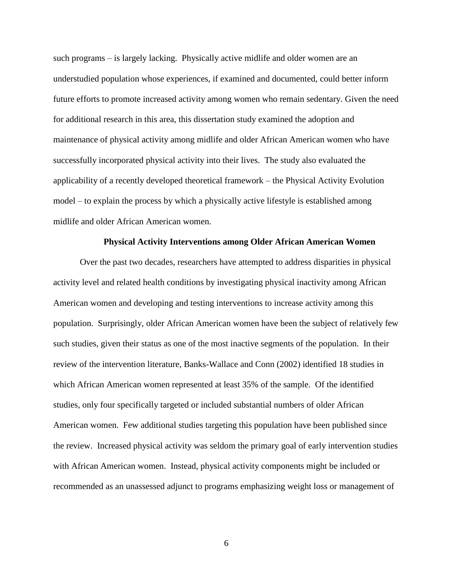such programs – is largely lacking. Physically active midlife and older women are an understudied population whose experiences, if examined and documented, could better inform future efforts to promote increased activity among women who remain sedentary. Given the need for additional research in this area, this dissertation study examined the adoption and maintenance of physical activity among midlife and older African American women who have successfully incorporated physical activity into their lives. The study also evaluated the applicability of a recently developed theoretical framework – the Physical Activity Evolution model – to explain the process by which a physically active lifestyle is established among midlife and older African American women.

### **Physical Activity Interventions among Older African American Women**

Over the past two decades, researchers have attempted to address disparities in physical activity level and related health conditions by investigating physical inactivity among African American women and developing and testing interventions to increase activity among this population. Surprisingly, older African American women have been the subject of relatively few such studies, given their status as one of the most inactive segments of the population. In their review of the intervention literature, Banks-Wallace and Conn (2002) identified 18 studies in which African American women represented at least 35% of the sample. Of the identified studies, only four specifically targeted or included substantial numbers of older African American women. Few additional studies targeting this population have been published since the review. Increased physical activity was seldom the primary goal of early intervention studies with African American women. Instead, physical activity components might be included or recommended as an unassessed adjunct to programs emphasizing weight loss or management of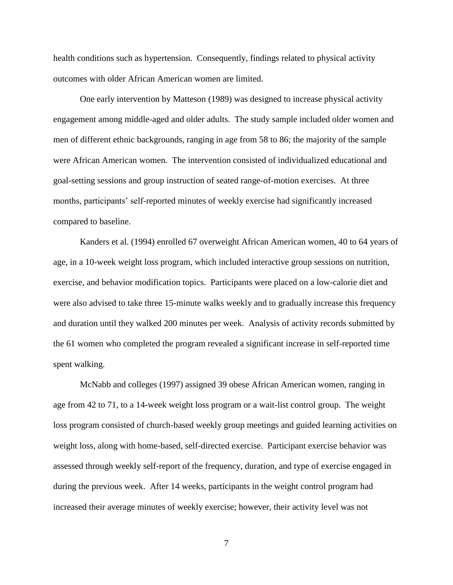health conditions such as hypertension. Consequently, findings related to physical activity outcomes with older African American women are limited.

One early intervention by Matteson (1989) was designed to increase physical activity engagement among middle-aged and older adults. The study sample included older women and men of different ethnic backgrounds, ranging in age from 58 to 86; the majority of the sample were African American women. The intervention consisted of individualized educational and goal-setting sessions and group instruction of seated range-of-motion exercises. At three months, participants' self-reported minutes of weekly exercise had significantly increased compared to baseline.

Kanders et al. (1994) enrolled 67 overweight African American women, 40 to 64 years of age, in a 10-week weight loss program, which included interactive group sessions on nutrition, exercise, and behavior modification topics. Participants were placed on a low-calorie diet and were also advised to take three 15-minute walks weekly and to gradually increase this frequency and duration until they walked 200 minutes per week. Analysis of activity records submitted by the 61 women who completed the program revealed a significant increase in self-reported time spent walking.

McNabb and colleges (1997) assigned 39 obese African American women, ranging in age from 42 to 71, to a 14-week weight loss program or a wait-list control group. The weight loss program consisted of church-based weekly group meetings and guided learning activities on weight loss, along with home-based, self-directed exercise. Participant exercise behavior was assessed through weekly self-report of the frequency, duration, and type of exercise engaged in during the previous week. After 14 weeks, participants in the weight control program had increased their average minutes of weekly exercise; however, their activity level was not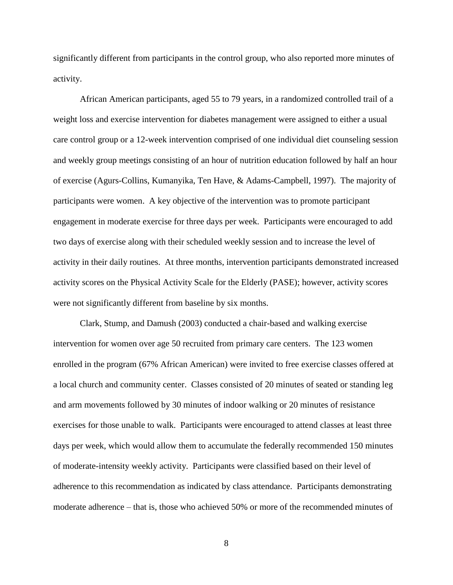significantly different from participants in the control group, who also reported more minutes of activity.

African American participants, aged 55 to 79 years, in a randomized controlled trail of a weight loss and exercise intervention for diabetes management were assigned to either a usual care control group or a 12-week intervention comprised of one individual diet counseling session and weekly group meetings consisting of an hour of nutrition education followed by half an hour of exercise (Agurs-Collins, Kumanyika, Ten Have, & Adams-Campbell, 1997). The majority of participants were women. A key objective of the intervention was to promote participant engagement in moderate exercise for three days per week. Participants were encouraged to add two days of exercise along with their scheduled weekly session and to increase the level of activity in their daily routines. At three months, intervention participants demonstrated increased activity scores on the Physical Activity Scale for the Elderly (PASE); however, activity scores were not significantly different from baseline by six months.

Clark, Stump, and Damush (2003) conducted a chair-based and walking exercise intervention for women over age 50 recruited from primary care centers. The 123 women enrolled in the program (67% African American) were invited to free exercise classes offered at a local church and community center. Classes consisted of 20 minutes of seated or standing leg and arm movements followed by 30 minutes of indoor walking or 20 minutes of resistance exercises for those unable to walk. Participants were encouraged to attend classes at least three days per week, which would allow them to accumulate the federally recommended 150 minutes of moderate-intensity weekly activity. Participants were classified based on their level of adherence to this recommendation as indicated by class attendance. Participants demonstrating moderate adherence – that is, those who achieved 50% or more of the recommended minutes of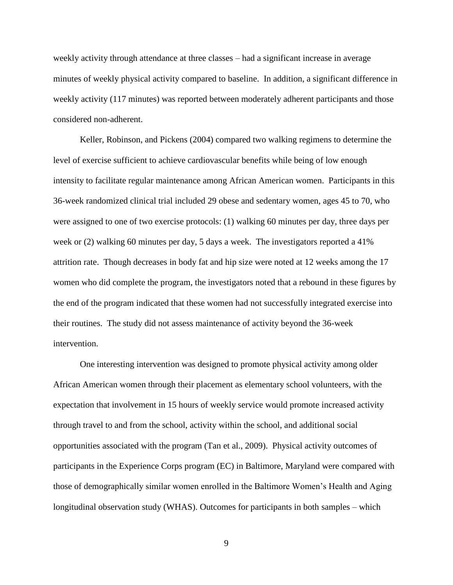weekly activity through attendance at three classes – had a significant increase in average minutes of weekly physical activity compared to baseline. In addition, a significant difference in weekly activity (117 minutes) was reported between moderately adherent participants and those considered non-adherent.

Keller, Robinson, and Pickens (2004) compared two walking regimens to determine the level of exercise sufficient to achieve cardiovascular benefits while being of low enough intensity to facilitate regular maintenance among African American women. Participants in this 36-week randomized clinical trial included 29 obese and sedentary women, ages 45 to 70, who were assigned to one of two exercise protocols: (1) walking 60 minutes per day, three days per week or (2) walking 60 minutes per day, 5 days a week. The investigators reported a 41% attrition rate. Though decreases in body fat and hip size were noted at 12 weeks among the 17 women who did complete the program, the investigators noted that a rebound in these figures by the end of the program indicated that these women had not successfully integrated exercise into their routines. The study did not assess maintenance of activity beyond the 36-week intervention.

One interesting intervention was designed to promote physical activity among older African American women through their placement as elementary school volunteers, with the expectation that involvement in 15 hours of weekly service would promote increased activity through travel to and from the school, activity within the school, and additional social opportunities associated with the program (Tan et al., 2009). Physical activity outcomes of participants in the Experience Corps program (EC) in Baltimore, Maryland were compared with those of demographically similar women enrolled in the Baltimore Women's Health and Aging longitudinal observation study (WHAS). Outcomes for participants in both samples – which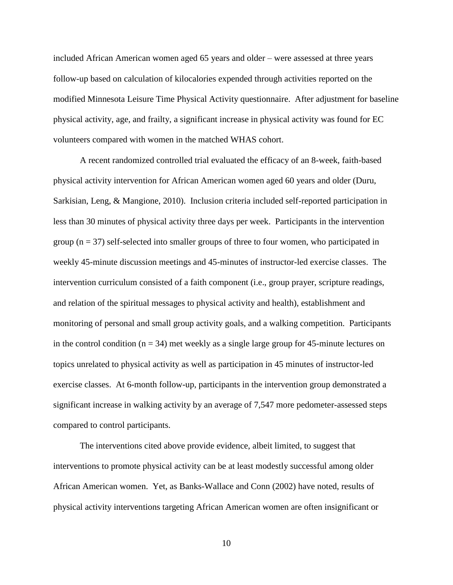included African American women aged 65 years and older – were assessed at three years follow-up based on calculation of kilocalories expended through activities reported on the modified Minnesota Leisure Time Physical Activity questionnaire. After adjustment for baseline physical activity, age, and frailty, a significant increase in physical activity was found for EC volunteers compared with women in the matched WHAS cohort.

A recent randomized controlled trial evaluated the efficacy of an 8-week, faith-based physical activity intervention for African American women aged 60 years and older (Duru, Sarkisian, Leng, & Mangione, 2010). Inclusion criteria included self-reported participation in less than 30 minutes of physical activity three days per week. Participants in the intervention group  $(n = 37)$  self-selected into smaller groups of three to four women, who participated in weekly 45-minute discussion meetings and 45-minutes of instructor-led exercise classes. The intervention curriculum consisted of a faith component (i.e., group prayer, scripture readings, and relation of the spiritual messages to physical activity and health), establishment and monitoring of personal and small group activity goals, and a walking competition. Participants in the control condition  $(n = 34)$  met weekly as a single large group for 45-minute lectures on topics unrelated to physical activity as well as participation in 45 minutes of instructor-led exercise classes. At 6-month follow-up, participants in the intervention group demonstrated a significant increase in walking activity by an average of 7,547 more pedometer-assessed steps compared to control participants.

The interventions cited above provide evidence, albeit limited, to suggest that interventions to promote physical activity can be at least modestly successful among older African American women. Yet, as Banks-Wallace and Conn (2002) have noted, results of physical activity interventions targeting African American women are often insignificant or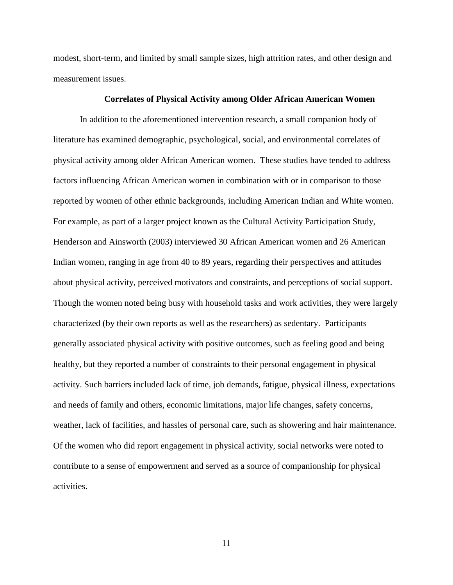modest, short-term, and limited by small sample sizes, high attrition rates, and other design and measurement issues.

### **Correlates of Physical Activity among Older African American Women**

In addition to the aforementioned intervention research, a small companion body of literature has examined demographic, psychological, social, and environmental correlates of physical activity among older African American women. These studies have tended to address factors influencing African American women in combination with or in comparison to those reported by women of other ethnic backgrounds, including American Indian and White women. For example, as part of a larger project known as the Cultural Activity Participation Study, Henderson and Ainsworth (2003) interviewed 30 African American women and 26 American Indian women, ranging in age from 40 to 89 years, regarding their perspectives and attitudes about physical activity, perceived motivators and constraints, and perceptions of social support. Though the women noted being busy with household tasks and work activities, they were largely characterized (by their own reports as well as the researchers) as sedentary. Participants generally associated physical activity with positive outcomes, such as feeling good and being healthy, but they reported a number of constraints to their personal engagement in physical activity. Such barriers included lack of time, job demands, fatigue, physical illness, expectations and needs of family and others, economic limitations, major life changes, safety concerns, weather, lack of facilities, and hassles of personal care, such as showering and hair maintenance. Of the women who did report engagement in physical activity, social networks were noted to contribute to a sense of empowerment and served as a source of companionship for physical activities.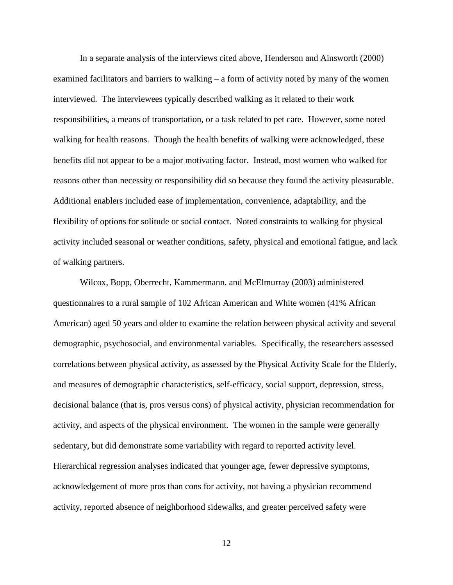In a separate analysis of the interviews cited above, Henderson and Ainsworth (2000) examined facilitators and barriers to walking – a form of activity noted by many of the women interviewed. The interviewees typically described walking as it related to their work responsibilities, a means of transportation, or a task related to pet care. However, some noted walking for health reasons. Though the health benefits of walking were acknowledged, these benefits did not appear to be a major motivating factor. Instead, most women who walked for reasons other than necessity or responsibility did so because they found the activity pleasurable. Additional enablers included ease of implementation, convenience, adaptability, and the flexibility of options for solitude or social contact. Noted constraints to walking for physical activity included seasonal or weather conditions, safety, physical and emotional fatigue, and lack of walking partners.

Wilcox, Bopp, Oberrecht, Kammermann, and McElmurray (2003) administered questionnaires to a rural sample of 102 African American and White women (41% African American) aged 50 years and older to examine the relation between physical activity and several demographic, psychosocial, and environmental variables. Specifically, the researchers assessed correlations between physical activity, as assessed by the Physical Activity Scale for the Elderly, and measures of demographic characteristics, self-efficacy, social support, depression, stress, decisional balance (that is, pros versus cons) of physical activity, physician recommendation for activity, and aspects of the physical environment. The women in the sample were generally sedentary, but did demonstrate some variability with regard to reported activity level. Hierarchical regression analyses indicated that younger age, fewer depressive symptoms, acknowledgement of more pros than cons for activity, not having a physician recommend activity, reported absence of neighborhood sidewalks, and greater perceived safety were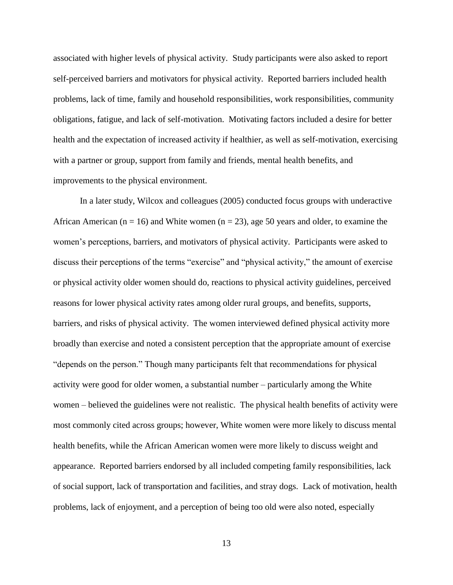associated with higher levels of physical activity. Study participants were also asked to report self-perceived barriers and motivators for physical activity. Reported barriers included health problems, lack of time, family and household responsibilities, work responsibilities, community obligations, fatigue, and lack of self-motivation. Motivating factors included a desire for better health and the expectation of increased activity if healthier, as well as self-motivation, exercising with a partner or group, support from family and friends, mental health benefits, and improvements to the physical environment.

In a later study, Wilcox and colleagues (2005) conducted focus groups with underactive African American ( $n = 16$ ) and White women ( $n = 23$ ), age 50 years and older, to examine the women's perceptions, barriers, and motivators of physical activity. Participants were asked to discuss their perceptions of the terms "exercise" and "physical activity," the amount of exercise or physical activity older women should do, reactions to physical activity guidelines, perceived reasons for lower physical activity rates among older rural groups, and benefits, supports, barriers, and risks of physical activity. The women interviewed defined physical activity more broadly than exercise and noted a consistent perception that the appropriate amount of exercise "depends on the person." Though many participants felt that recommendations for physical activity were good for older women, a substantial number – particularly among the White women – believed the guidelines were not realistic. The physical health benefits of activity were most commonly cited across groups; however, White women were more likely to discuss mental health benefits, while the African American women were more likely to discuss weight and appearance. Reported barriers endorsed by all included competing family responsibilities, lack of social support, lack of transportation and facilities, and stray dogs. Lack of motivation, health problems, lack of enjoyment, and a perception of being too old were also noted, especially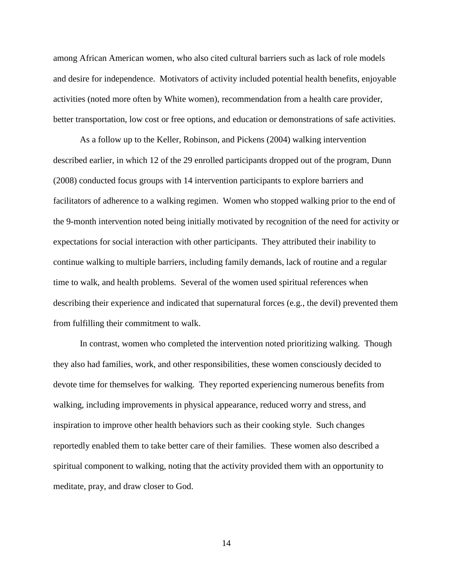among African American women, who also cited cultural barriers such as lack of role models and desire for independence. Motivators of activity included potential health benefits, enjoyable activities (noted more often by White women), recommendation from a health care provider, better transportation, low cost or free options, and education or demonstrations of safe activities.

As a follow up to the Keller, Robinson, and Pickens (2004) walking intervention described earlier, in which 12 of the 29 enrolled participants dropped out of the program, Dunn (2008) conducted focus groups with 14 intervention participants to explore barriers and facilitators of adherence to a walking regimen. Women who stopped walking prior to the end of the 9-month intervention noted being initially motivated by recognition of the need for activity or expectations for social interaction with other participants. They attributed their inability to continue walking to multiple barriers, including family demands, lack of routine and a regular time to walk, and health problems. Several of the women used spiritual references when describing their experience and indicated that supernatural forces (e.g., the devil) prevented them from fulfilling their commitment to walk.

In contrast, women who completed the intervention noted prioritizing walking. Though they also had families, work, and other responsibilities, these women consciously decided to devote time for themselves for walking. They reported experiencing numerous benefits from walking, including improvements in physical appearance, reduced worry and stress, and inspiration to improve other health behaviors such as their cooking style. Such changes reportedly enabled them to take better care of their families. These women also described a spiritual component to walking, noting that the activity provided them with an opportunity to meditate, pray, and draw closer to God.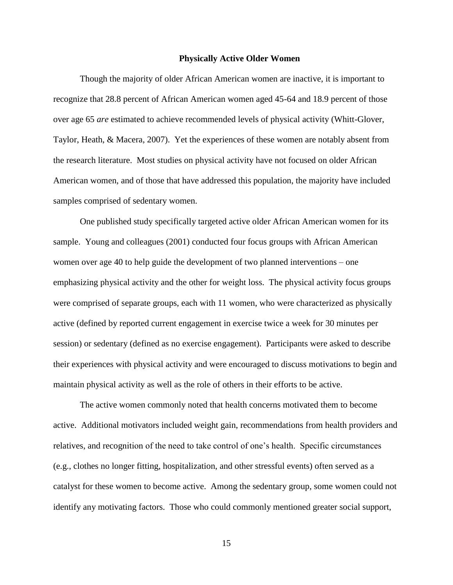#### **Physically Active Older Women**

Though the majority of older African American women are inactive, it is important to recognize that 28.8 percent of African American women aged 45-64 and 18.9 percent of those over age 65 *are* estimated to achieve recommended levels of physical activity (Whitt-Glover, Taylor, Heath, & Macera, 2007). Yet the experiences of these women are notably absent from the research literature. Most studies on physical activity have not focused on older African American women, and of those that have addressed this population, the majority have included samples comprised of sedentary women.

One published study specifically targeted active older African American women for its sample. Young and colleagues (2001) conducted four focus groups with African American women over age 40 to help guide the development of two planned interventions – one emphasizing physical activity and the other for weight loss. The physical activity focus groups were comprised of separate groups, each with 11 women, who were characterized as physically active (defined by reported current engagement in exercise twice a week for 30 minutes per session) or sedentary (defined as no exercise engagement). Participants were asked to describe their experiences with physical activity and were encouraged to discuss motivations to begin and maintain physical activity as well as the role of others in their efforts to be active.

The active women commonly noted that health concerns motivated them to become active. Additional motivators included weight gain, recommendations from health providers and relatives, and recognition of the need to take control of one's health. Specific circumstances (e.g., clothes no longer fitting, hospitalization, and other stressful events) often served as a catalyst for these women to become active. Among the sedentary group, some women could not identify any motivating factors. Those who could commonly mentioned greater social support,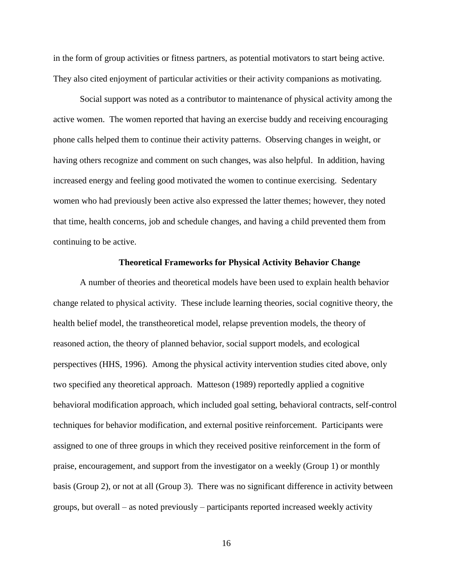in the form of group activities or fitness partners, as potential motivators to start being active. They also cited enjoyment of particular activities or their activity companions as motivating.

Social support was noted as a contributor to maintenance of physical activity among the active women. The women reported that having an exercise buddy and receiving encouraging phone calls helped them to continue their activity patterns. Observing changes in weight, or having others recognize and comment on such changes, was also helpful. In addition, having increased energy and feeling good motivated the women to continue exercising. Sedentary women who had previously been active also expressed the latter themes; however, they noted that time, health concerns, job and schedule changes, and having a child prevented them from continuing to be active.

### **Theoretical Frameworks for Physical Activity Behavior Change**

A number of theories and theoretical models have been used to explain health behavior change related to physical activity. These include learning theories, social cognitive theory, the health belief model, the transtheoretical model, relapse prevention models, the theory of reasoned action, the theory of planned behavior, social support models, and ecological perspectives (HHS, 1996). Among the physical activity intervention studies cited above, only two specified any theoretical approach. Matteson (1989) reportedly applied a cognitive behavioral modification approach, which included goal setting, behavioral contracts, self-control techniques for behavior modification, and external positive reinforcement. Participants were assigned to one of three groups in which they received positive reinforcement in the form of praise, encouragement, and support from the investigator on a weekly (Group 1) or monthly basis (Group 2), or not at all (Group 3). There was no significant difference in activity between groups, but overall – as noted previously – participants reported increased weekly activity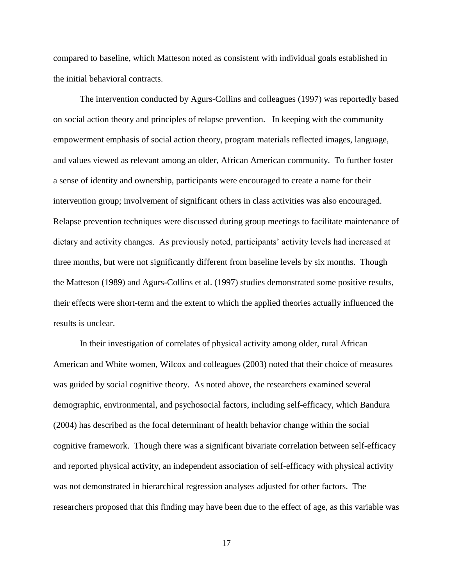compared to baseline, which Matteson noted as consistent with individual goals established in the initial behavioral contracts.

The intervention conducted by Agurs-Collins and colleagues (1997) was reportedly based on social action theory and principles of relapse prevention. In keeping with the community empowerment emphasis of social action theory, program materials reflected images, language, and values viewed as relevant among an older, African American community. To further foster a sense of identity and ownership, participants were encouraged to create a name for their intervention group; involvement of significant others in class activities was also encouraged. Relapse prevention techniques were discussed during group meetings to facilitate maintenance of dietary and activity changes. As previously noted, participants' activity levels had increased at three months, but were not significantly different from baseline levels by six months. Though the Matteson (1989) and Agurs-Collins et al. (1997) studies demonstrated some positive results, their effects were short-term and the extent to which the applied theories actually influenced the results is unclear.

In their investigation of correlates of physical activity among older, rural African American and White women, Wilcox and colleagues (2003) noted that their choice of measures was guided by social cognitive theory. As noted above, the researchers examined several demographic, environmental, and psychosocial factors, including self-efficacy, which Bandura (2004) has described as the focal determinant of health behavior change within the social cognitive framework. Though there was a significant bivariate correlation between self-efficacy and reported physical activity, an independent association of self-efficacy with physical activity was not demonstrated in hierarchical regression analyses adjusted for other factors. The researchers proposed that this finding may have been due to the effect of age, as this variable was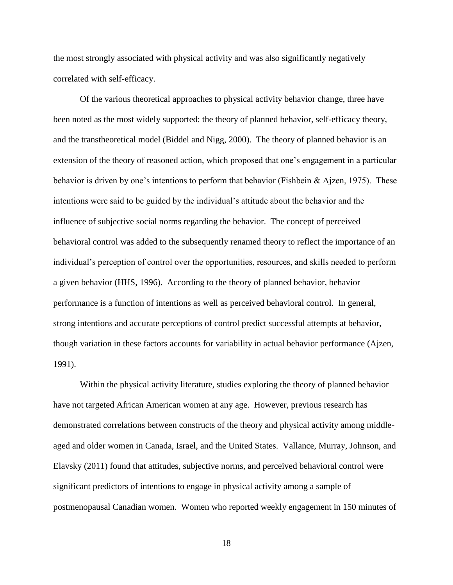the most strongly associated with physical activity and was also significantly negatively correlated with self-efficacy.

Of the various theoretical approaches to physical activity behavior change, three have been noted as the most widely supported: the theory of planned behavior, self-efficacy theory, and the transtheoretical model (Biddel and Nigg, 2000). The theory of planned behavior is an extension of the theory of reasoned action, which proposed that one's engagement in a particular behavior is driven by one's intentions to perform that behavior (Fishbein & Ajzen, 1975). These intentions were said to be guided by the individual's attitude about the behavior and the influence of subjective social norms regarding the behavior. The concept of perceived behavioral control was added to the subsequently renamed theory to reflect the importance of an individual's perception of control over the opportunities, resources, and skills needed to perform a given behavior (HHS, 1996). According to the theory of planned behavior, behavior performance is a function of intentions as well as perceived behavioral control. In general, strong intentions and accurate perceptions of control predict successful attempts at behavior, though variation in these factors accounts for variability in actual behavior performance (Ajzen, 1991).

Within the physical activity literature, studies exploring the theory of planned behavior have not targeted African American women at any age. However, previous research has demonstrated correlations between constructs of the theory and physical activity among middleaged and older women in Canada, Israel, and the United States. Vallance, Murray, Johnson, and Elavsky (2011) found that attitudes, subjective norms, and perceived behavioral control were significant predictors of intentions to engage in physical activity among a sample of postmenopausal Canadian women. Women who reported weekly engagement in 150 minutes of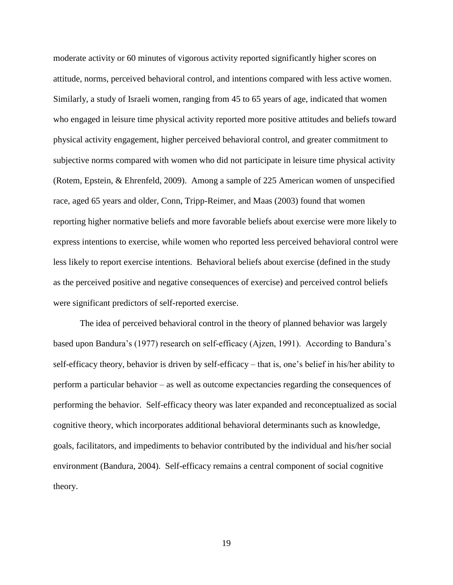moderate activity or 60 minutes of vigorous activity reported significantly higher scores on attitude, norms, perceived behavioral control, and intentions compared with less active women. Similarly, a study of Israeli women, ranging from 45 to 65 years of age, indicated that women who engaged in leisure time physical activity reported more positive attitudes and beliefs toward physical activity engagement, higher perceived behavioral control, and greater commitment to subjective norms compared with women who did not participate in leisure time physical activity (Rotem, Epstein, & Ehrenfeld, 2009). Among a sample of 225 American women of unspecified race, aged 65 years and older, Conn, Tripp-Reimer, and Maas (2003) found that women reporting higher normative beliefs and more favorable beliefs about exercise were more likely to express intentions to exercise, while women who reported less perceived behavioral control were less likely to report exercise intentions. Behavioral beliefs about exercise (defined in the study as the perceived positive and negative consequences of exercise) and perceived control beliefs were significant predictors of self-reported exercise.

The idea of perceived behavioral control in the theory of planned behavior was largely based upon Bandura's (1977) research on self-efficacy (Ajzen, 1991). According to Bandura's self-efficacy theory, behavior is driven by self-efficacy – that is, one's belief in his/her ability to perform a particular behavior – as well as outcome expectancies regarding the consequences of performing the behavior. Self-efficacy theory was later expanded and reconceptualized as social cognitive theory, which incorporates additional behavioral determinants such as knowledge, goals, facilitators, and impediments to behavior contributed by the individual and his/her social environment (Bandura, 2004). Self-efficacy remains a central component of social cognitive theory.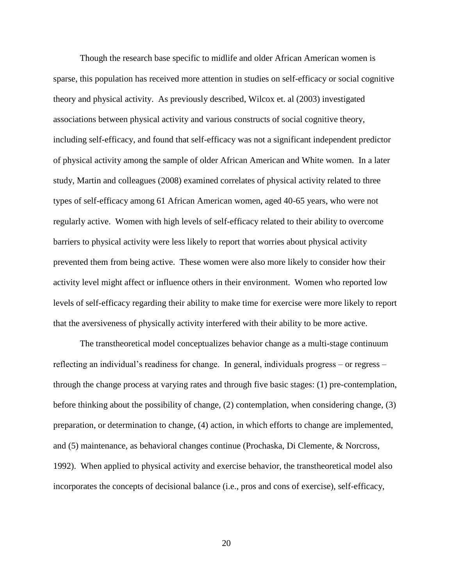Though the research base specific to midlife and older African American women is sparse, this population has received more attention in studies on self-efficacy or social cognitive theory and physical activity. As previously described, Wilcox et. al (2003) investigated associations between physical activity and various constructs of social cognitive theory, including self-efficacy, and found that self-efficacy was not a significant independent predictor of physical activity among the sample of older African American and White women. In a later study, Martin and colleagues (2008) examined correlates of physical activity related to three types of self-efficacy among 61 African American women, aged 40-65 years, who were not regularly active. Women with high levels of self-efficacy related to their ability to overcome barriers to physical activity were less likely to report that worries about physical activity prevented them from being active. These women were also more likely to consider how their activity level might affect or influence others in their environment. Women who reported low levels of self-efficacy regarding their ability to make time for exercise were more likely to report that the aversiveness of physically activity interfered with their ability to be more active.

The transtheoretical model conceptualizes behavior change as a multi-stage continuum reflecting an individual's readiness for change. In general, individuals progress – or regress – through the change process at varying rates and through five basic stages: (1) pre-contemplation, before thinking about the possibility of change, (2) contemplation, when considering change, (3) preparation, or determination to change, (4) action, in which efforts to change are implemented, and (5) maintenance, as behavioral changes continue (Prochaska, Di Clemente, & Norcross, 1992). When applied to physical activity and exercise behavior, the transtheoretical model also incorporates the concepts of decisional balance (i.e., pros and cons of exercise), self-efficacy,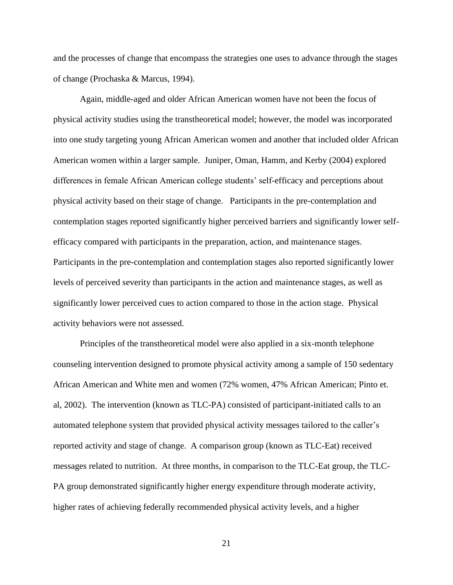and the processes of change that encompass the strategies one uses to advance through the stages of change (Prochaska & Marcus, 1994).

Again, middle-aged and older African American women have not been the focus of physical activity studies using the transtheoretical model; however, the model was incorporated into one study targeting young African American women and another that included older African American women within a larger sample. Juniper, Oman, Hamm, and Kerby (2004) explored differences in female African American college students' self-efficacy and perceptions about physical activity based on their stage of change. Participants in the pre-contemplation and contemplation stages reported significantly higher perceived barriers and significantly lower selfefficacy compared with participants in the preparation, action, and maintenance stages. Participants in the pre-contemplation and contemplation stages also reported significantly lower levels of perceived severity than participants in the action and maintenance stages, as well as significantly lower perceived cues to action compared to those in the action stage. Physical activity behaviors were not assessed.

Principles of the transtheoretical model were also applied in a six-month telephone counseling intervention designed to promote physical activity among a sample of 150 sedentary African American and White men and women (72% women, 47% African American; Pinto et. al, 2002). The intervention (known as TLC-PA) consisted of participant-initiated calls to an automated telephone system that provided physical activity messages tailored to the caller's reported activity and stage of change. A comparison group (known as TLC-Eat) received messages related to nutrition. At three months, in comparison to the TLC-Eat group, the TLC-PA group demonstrated significantly higher energy expenditure through moderate activity, higher rates of achieving federally recommended physical activity levels, and a higher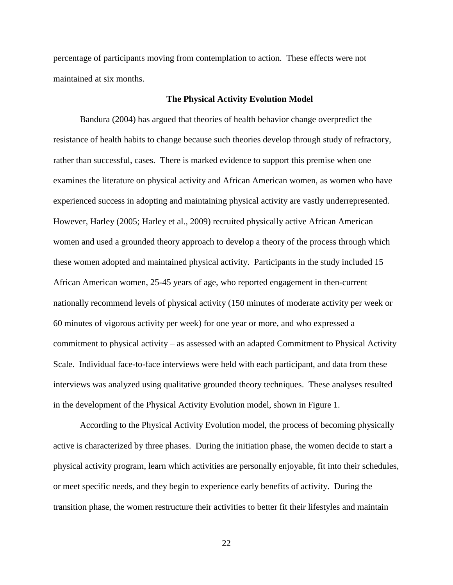percentage of participants moving from contemplation to action. These effects were not maintained at six months.

### **The Physical Activity Evolution Model**

Bandura (2004) has argued that theories of health behavior change overpredict the resistance of health habits to change because such theories develop through study of refractory, rather than successful, cases. There is marked evidence to support this premise when one examines the literature on physical activity and African American women, as women who have experienced success in adopting and maintaining physical activity are vastly underrepresented. However, Harley (2005; Harley et al., 2009) recruited physically active African American women and used a grounded theory approach to develop a theory of the process through which these women adopted and maintained physical activity. Participants in the study included 15 African American women, 25-45 years of age, who reported engagement in then-current nationally recommend levels of physical activity (150 minutes of moderate activity per week or 60 minutes of vigorous activity per week) for one year or more, and who expressed a commitment to physical activity – as assessed with an adapted Commitment to Physical Activity Scale. Individual face-to-face interviews were held with each participant, and data from these interviews was analyzed using qualitative grounded theory techniques. These analyses resulted in the development of the Physical Activity Evolution model, shown in Figure 1.

According to the Physical Activity Evolution model, the process of becoming physically active is characterized by three phases. During the initiation phase, the women decide to start a physical activity program, learn which activities are personally enjoyable, fit into their schedules, or meet specific needs, and they begin to experience early benefits of activity. During the transition phase, the women restructure their activities to better fit their lifestyles and maintain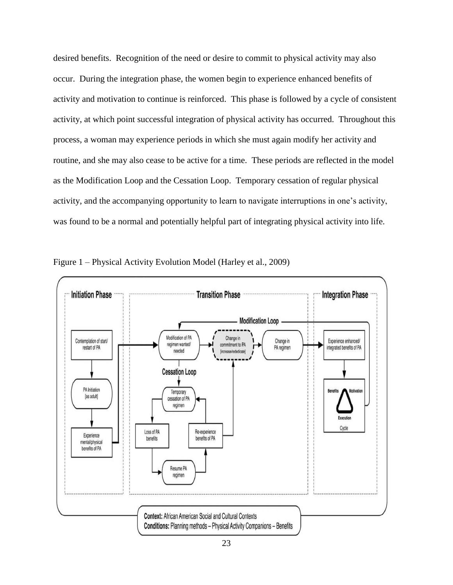desired benefits. Recognition of the need or desire to commit to physical activity may also occur. During the integration phase, the women begin to experience enhanced benefits of activity and motivation to continue is reinforced. This phase is followed by a cycle of consistent activity, at which point successful integration of physical activity has occurred. Throughout this process, a woman may experience periods in which she must again modify her activity and routine, and she may also cease to be active for a time. These periods are reflected in the model as the Modification Loop and the Cessation Loop. Temporary cessation of regular physical activity, and the accompanying opportunity to learn to navigate interruptions in one's activity, was found to be a normal and potentially helpful part of integrating physical activity into life.



Figure 1 – Physical Activity Evolution Model (Harley et al., 2009)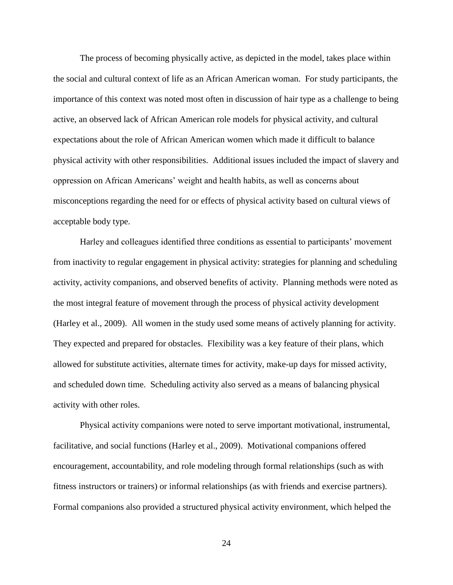The process of becoming physically active, as depicted in the model, takes place within the social and cultural context of life as an African American woman. For study participants, the importance of this context was noted most often in discussion of hair type as a challenge to being active, an observed lack of African American role models for physical activity, and cultural expectations about the role of African American women which made it difficult to balance physical activity with other responsibilities. Additional issues included the impact of slavery and oppression on African Americans' weight and health habits, as well as concerns about misconceptions regarding the need for or effects of physical activity based on cultural views of acceptable body type.

Harley and colleagues identified three conditions as essential to participants' movement from inactivity to regular engagement in physical activity: strategies for planning and scheduling activity, activity companions, and observed benefits of activity. Planning methods were noted as the most integral feature of movement through the process of physical activity development (Harley et al., 2009). All women in the study used some means of actively planning for activity. They expected and prepared for obstacles. Flexibility was a key feature of their plans, which allowed for substitute activities, alternate times for activity, make-up days for missed activity, and scheduled down time. Scheduling activity also served as a means of balancing physical activity with other roles.

Physical activity companions were noted to serve important motivational, instrumental, facilitative, and social functions (Harley et al., 2009). Motivational companions offered encouragement, accountability, and role modeling through formal relationships (such as with fitness instructors or trainers) or informal relationships (as with friends and exercise partners). Formal companions also provided a structured physical activity environment, which helped the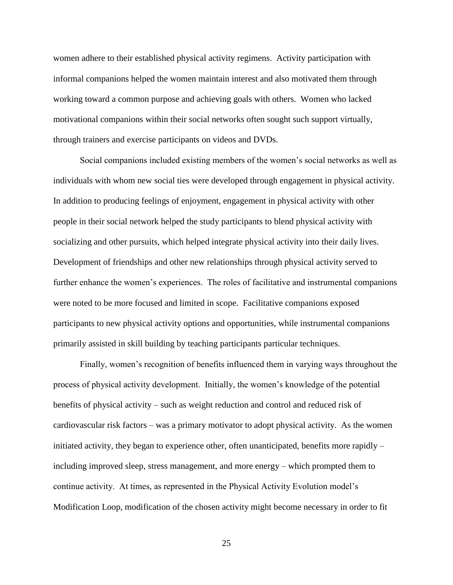women adhere to their established physical activity regimens. Activity participation with informal companions helped the women maintain interest and also motivated them through working toward a common purpose and achieving goals with others. Women who lacked motivational companions within their social networks often sought such support virtually, through trainers and exercise participants on videos and DVDs.

Social companions included existing members of the women's social networks as well as individuals with whom new social ties were developed through engagement in physical activity. In addition to producing feelings of enjoyment, engagement in physical activity with other people in their social network helped the study participants to blend physical activity with socializing and other pursuits, which helped integrate physical activity into their daily lives. Development of friendships and other new relationships through physical activity served to further enhance the women's experiences. The roles of facilitative and instrumental companions were noted to be more focused and limited in scope. Facilitative companions exposed participants to new physical activity options and opportunities, while instrumental companions primarily assisted in skill building by teaching participants particular techniques.

Finally, women's recognition of benefits influenced them in varying ways throughout the process of physical activity development. Initially, the women's knowledge of the potential benefits of physical activity – such as weight reduction and control and reduced risk of cardiovascular risk factors – was a primary motivator to adopt physical activity. As the women initiated activity, they began to experience other, often unanticipated, benefits more rapidly  $$ including improved sleep, stress management, and more energy – which prompted them to continue activity. At times, as represented in the Physical Activity Evolution model's Modification Loop, modification of the chosen activity might become necessary in order to fit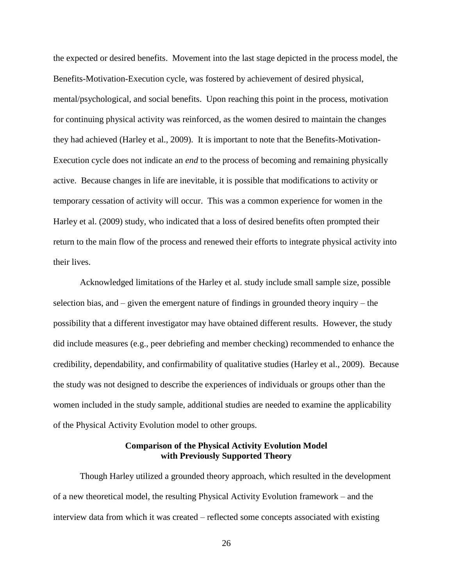the expected or desired benefits. Movement into the last stage depicted in the process model, the Benefits-Motivation-Execution cycle, was fostered by achievement of desired physical, mental/psychological, and social benefits. Upon reaching this point in the process, motivation for continuing physical activity was reinforced, as the women desired to maintain the changes they had achieved (Harley et al., 2009). It is important to note that the Benefits-Motivation-Execution cycle does not indicate an *end* to the process of becoming and remaining physically active. Because changes in life are inevitable, it is possible that modifications to activity or temporary cessation of activity will occur. This was a common experience for women in the Harley et al. (2009) study, who indicated that a loss of desired benefits often prompted their return to the main flow of the process and renewed their efforts to integrate physical activity into their lives.

Acknowledged limitations of the Harley et al. study include small sample size, possible selection bias, and – given the emergent nature of findings in grounded theory inquiry – the possibility that a different investigator may have obtained different results. However, the study did include measures (e.g., peer debriefing and member checking) recommended to enhance the credibility, dependability, and confirmability of qualitative studies (Harley et al., 2009). Because the study was not designed to describe the experiences of individuals or groups other than the women included in the study sample, additional studies are needed to examine the applicability of the Physical Activity Evolution model to other groups.

### **Comparison of the Physical Activity Evolution Model with Previously Supported Theory**

Though Harley utilized a grounded theory approach, which resulted in the development of a new theoretical model, the resulting Physical Activity Evolution framework – and the interview data from which it was created – reflected some concepts associated with existing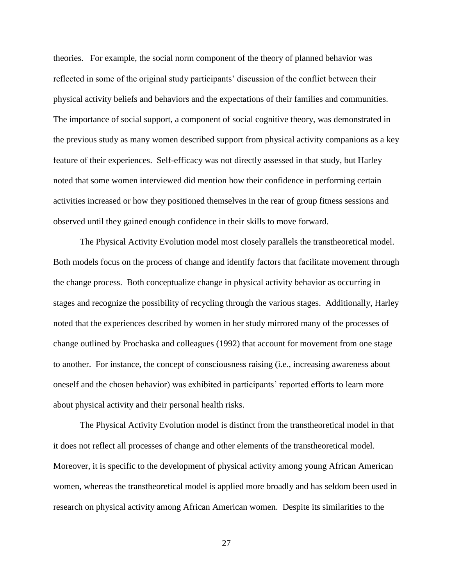theories. For example, the social norm component of the theory of planned behavior was reflected in some of the original study participants' discussion of the conflict between their physical activity beliefs and behaviors and the expectations of their families and communities. The importance of social support, a component of social cognitive theory, was demonstrated in the previous study as many women described support from physical activity companions as a key feature of their experiences. Self-efficacy was not directly assessed in that study, but Harley noted that some women interviewed did mention how their confidence in performing certain activities increased or how they positioned themselves in the rear of group fitness sessions and observed until they gained enough confidence in their skills to move forward.

The Physical Activity Evolution model most closely parallels the transtheoretical model. Both models focus on the process of change and identify factors that facilitate movement through the change process. Both conceptualize change in physical activity behavior as occurring in stages and recognize the possibility of recycling through the various stages. Additionally, Harley noted that the experiences described by women in her study mirrored many of the processes of change outlined by Prochaska and colleagues (1992) that account for movement from one stage to another. For instance, the concept of consciousness raising (i.e., increasing awareness about oneself and the chosen behavior) was exhibited in participants' reported efforts to learn more about physical activity and their personal health risks.

The Physical Activity Evolution model is distinct from the transtheoretical model in that it does not reflect all processes of change and other elements of the transtheoretical model. Moreover, it is specific to the development of physical activity among young African American women, whereas the transtheoretical model is applied more broadly and has seldom been used in research on physical activity among African American women. Despite its similarities to the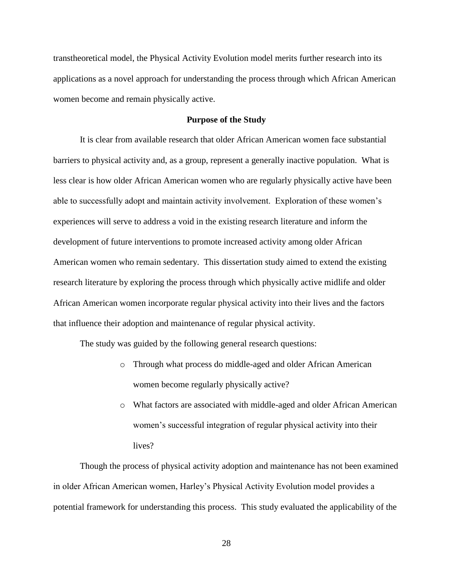transtheoretical model, the Physical Activity Evolution model merits further research into its applications as a novel approach for understanding the process through which African American women become and remain physically active.

### **Purpose of the Study**

It is clear from available research that older African American women face substantial barriers to physical activity and, as a group, represent a generally inactive population. What is less clear is how older African American women who are regularly physically active have been able to successfully adopt and maintain activity involvement. Exploration of these women's experiences will serve to address a void in the existing research literature and inform the development of future interventions to promote increased activity among older African American women who remain sedentary. This dissertation study aimed to extend the existing research literature by exploring the process through which physically active midlife and older African American women incorporate regular physical activity into their lives and the factors that influence their adoption and maintenance of regular physical activity.

The study was guided by the following general research questions:

- o Through what process do middle-aged and older African American women become regularly physically active?
- o What factors are associated with middle-aged and older African American women's successful integration of regular physical activity into their lives?

Though the process of physical activity adoption and maintenance has not been examined in older African American women, Harley's Physical Activity Evolution model provides a potential framework for understanding this process. This study evaluated the applicability of the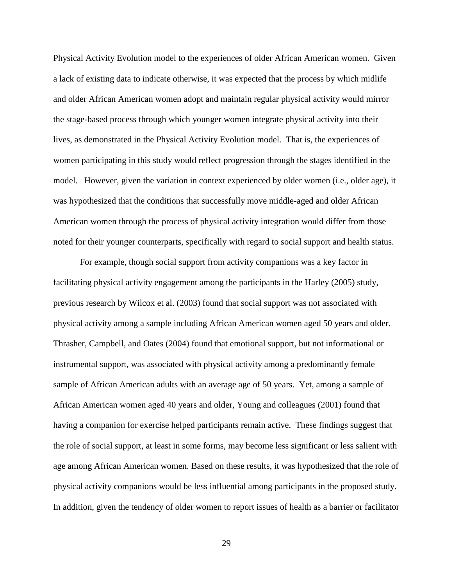Physical Activity Evolution model to the experiences of older African American women. Given a lack of existing data to indicate otherwise, it was expected that the process by which midlife and older African American women adopt and maintain regular physical activity would mirror the stage-based process through which younger women integrate physical activity into their lives, as demonstrated in the Physical Activity Evolution model. That is, the experiences of women participating in this study would reflect progression through the stages identified in the model. However, given the variation in context experienced by older women (i.e., older age), it was hypothesized that the conditions that successfully move middle-aged and older African American women through the process of physical activity integration would differ from those noted for their younger counterparts, specifically with regard to social support and health status.

For example, though social support from activity companions was a key factor in facilitating physical activity engagement among the participants in the Harley (2005) study, previous research by Wilcox et al. (2003) found that social support was not associated with physical activity among a sample including African American women aged 50 years and older. Thrasher, Campbell, and Oates (2004) found that emotional support, but not informational or instrumental support, was associated with physical activity among a predominantly female sample of African American adults with an average age of 50 years. Yet, among a sample of African American women aged 40 years and older, Young and colleagues (2001) found that having a companion for exercise helped participants remain active. These findings suggest that the role of social support, at least in some forms, may become less significant or less salient with age among African American women. Based on these results, it was hypothesized that the role of physical activity companions would be less influential among participants in the proposed study. In addition, given the tendency of older women to report issues of health as a barrier or facilitator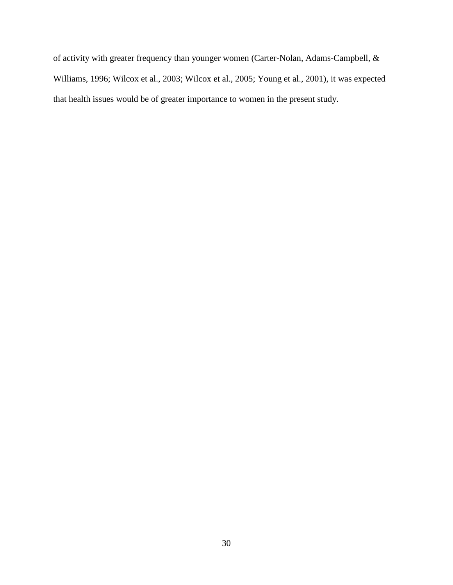of activity with greater frequency than younger women (Carter-Nolan, Adams-Campbell, & Williams, 1996; Wilcox et al., 2003; Wilcox et al., 2005; Young et al., 2001), it was expected that health issues would be of greater importance to women in the present study.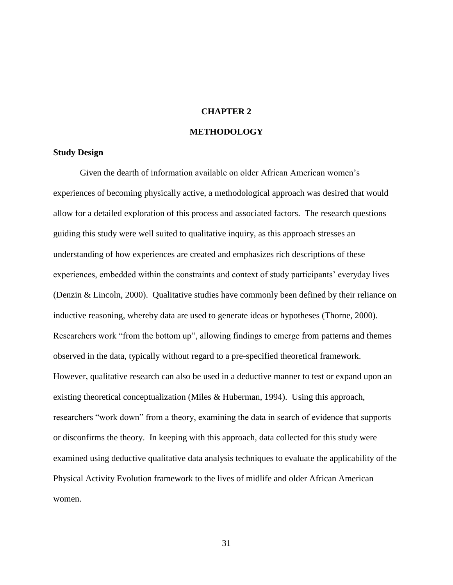## **CHAPTER 2**

## **METHODOLOGY**

#### **Study Design**

Given the dearth of information available on older African American women's experiences of becoming physically active, a methodological approach was desired that would allow for a detailed exploration of this process and associated factors. The research questions guiding this study were well suited to qualitative inquiry, as this approach stresses an understanding of how experiences are created and emphasizes rich descriptions of these experiences, embedded within the constraints and context of study participants' everyday lives (Denzin & Lincoln, 2000). Qualitative studies have commonly been defined by their reliance on inductive reasoning, whereby data are used to generate ideas or hypotheses (Thorne, 2000). Researchers work "from the bottom up", allowing findings to emerge from patterns and themes observed in the data, typically without regard to a pre-specified theoretical framework. However, qualitative research can also be used in a deductive manner to test or expand upon an existing theoretical conceptualization (Miles & Huberman, 1994). Using this approach, researchers "work down" from a theory, examining the data in search of evidence that supports or disconfirms the theory. In keeping with this approach, data collected for this study were examined using deductive qualitative data analysis techniques to evaluate the applicability of the Physical Activity Evolution framework to the lives of midlife and older African American women.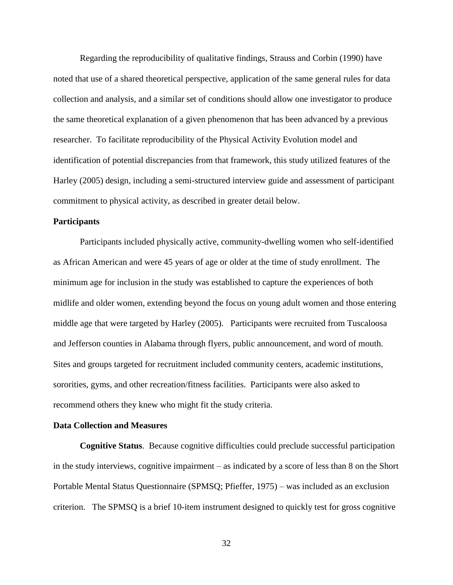Regarding the reproducibility of qualitative findings, Strauss and Corbin (1990) have noted that use of a shared theoretical perspective, application of the same general rules for data collection and analysis, and a similar set of conditions should allow one investigator to produce the same theoretical explanation of a given phenomenon that has been advanced by a previous researcher. To facilitate reproducibility of the Physical Activity Evolution model and identification of potential discrepancies from that framework, this study utilized features of the Harley (2005) design, including a semi-structured interview guide and assessment of participant commitment to physical activity, as described in greater detail below.

## **Participants**

Participants included physically active, community-dwelling women who self-identified as African American and were 45 years of age or older at the time of study enrollment. The minimum age for inclusion in the study was established to capture the experiences of both midlife and older women, extending beyond the focus on young adult women and those entering middle age that were targeted by Harley (2005). Participants were recruited from Tuscaloosa and Jefferson counties in Alabama through flyers, public announcement, and word of mouth. Sites and groups targeted for recruitment included community centers, academic institutions, sororities, gyms, and other recreation/fitness facilities. Participants were also asked to recommend others they knew who might fit the study criteria.

#### **Data Collection and Measures**

**Cognitive Status**. Because cognitive difficulties could preclude successful participation in the study interviews, cognitive impairment – as indicated by a score of less than 8 on the Short Portable Mental Status Questionnaire (SPMSQ; Pfieffer, 1975) – was included as an exclusion criterion. The SPMSQ is a brief 10-item instrument designed to quickly test for gross cognitive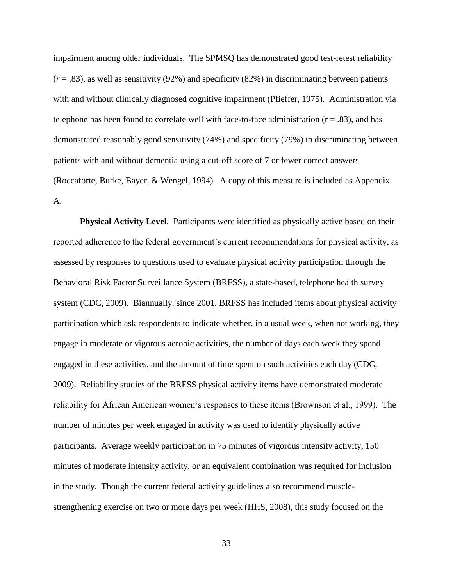impairment among older individuals. The SPMSQ has demonstrated good test-retest reliability  $(r = .83)$ , as well as sensitivity (92%) and specificity (82%) in discriminating between patients with and without clinically diagnosed cognitive impairment (Pfieffer, 1975). Administration via telephone has been found to correlate well with face-to-face administration  $(r = .83)$ , and has demonstrated reasonably good sensitivity (74%) and specificity (79%) in discriminating between patients with and without dementia using a cut-off score of 7 or fewer correct answers (Roccaforte, Burke, Bayer, & Wengel, 1994). A copy of this measure is included as Appendix A.

**Physical Activity Level**. Participants were identified as physically active based on their reported adherence to the federal government's current recommendations for physical activity, as assessed by responses to questions used to evaluate physical activity participation through the Behavioral Risk Factor Surveillance System (BRFSS), a state-based, telephone health survey system (CDC, 2009). Biannually, since 2001, BRFSS has included items about physical activity participation which ask respondents to indicate whether, in a usual week, when not working, they engage in moderate or vigorous aerobic activities, the number of days each week they spend engaged in these activities, and the amount of time spent on such activities each day (CDC, 2009). Reliability studies of the BRFSS physical activity items have demonstrated moderate reliability for African American women's responses to these items (Brownson et al., 1999). The number of minutes per week engaged in activity was used to identify physically active participants. Average weekly participation in 75 minutes of vigorous intensity activity, 150 minutes of moderate intensity activity, or an equivalent combination was required for inclusion in the study. Though the current federal activity guidelines also recommend musclestrengthening exercise on two or more days per week (HHS, 2008), this study focused on the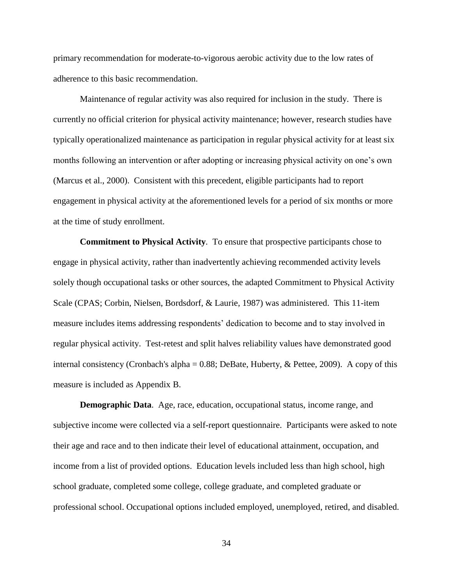primary recommendation for moderate-to-vigorous aerobic activity due to the low rates of adherence to this basic recommendation.

Maintenance of regular activity was also required for inclusion in the study. There is currently no official criterion for physical activity maintenance; however, research studies have typically operationalized maintenance as participation in regular physical activity for at least six months following an intervention or after adopting or increasing physical activity on one's own (Marcus et al., 2000). Consistent with this precedent, eligible participants had to report engagement in physical activity at the aforementioned levels for a period of six months or more at the time of study enrollment.

**Commitment to Physical Activity***.* To ensure that prospective participants chose to engage in physical activity, rather than inadvertently achieving recommended activity levels solely though occupational tasks or other sources, the adapted Commitment to Physical Activity Scale (CPAS; Corbin, Nielsen, Bordsdorf, & Laurie, 1987) was administered. This 11-item measure includes items addressing respondents' dedication to become and to stay involved in regular physical activity. Test-retest and split halves reliability values have demonstrated good internal consistency (Cronbach's alpha =  $0.88$ ; DeBate, Huberty, & Pettee, 2009). A copy of this measure is included as Appendix B.

**Demographic Data.** Age, race, education, occupational status, income range, and subjective income were collected via a self-report questionnaire. Participants were asked to note their age and race and to then indicate their level of educational attainment, occupation, and income from a list of provided options. Education levels included less than high school, high school graduate, completed some college, college graduate, and completed graduate or professional school. Occupational options included employed, unemployed, retired, and disabled.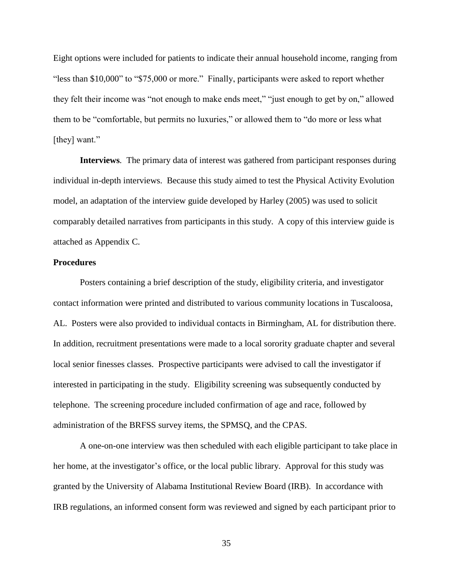Eight options were included for patients to indicate their annual household income, ranging from "less than \$10,000" to "\$75,000 or more." Finally, participants were asked to report whether they felt their income was "not enough to make ends meet," "just enough to get by on," allowed them to be "comfortable, but permits no luxuries," or allowed them to "do more or less what [they] want."

**Interviews***.* The primary data of interest was gathered from participant responses during individual in-depth interviews. Because this study aimed to test the Physical Activity Evolution model, an adaptation of the interview guide developed by Harley (2005) was used to solicit comparably detailed narratives from participants in this study. A copy of this interview guide is attached as Appendix C.

#### **Procedures**

Posters containing a brief description of the study, eligibility criteria, and investigator contact information were printed and distributed to various community locations in Tuscaloosa, AL. Posters were also provided to individual contacts in Birmingham, AL for distribution there. In addition, recruitment presentations were made to a local sorority graduate chapter and several local senior finesses classes. Prospective participants were advised to call the investigator if interested in participating in the study. Eligibility screening was subsequently conducted by telephone. The screening procedure included confirmation of age and race, followed by administration of the BRFSS survey items, the SPMSQ, and the CPAS.

A one-on-one interview was then scheduled with each eligible participant to take place in her home, at the investigator's office, or the local public library. Approval for this study was granted by the University of Alabama Institutional Review Board (IRB). In accordance with IRB regulations, an informed consent form was reviewed and signed by each participant prior to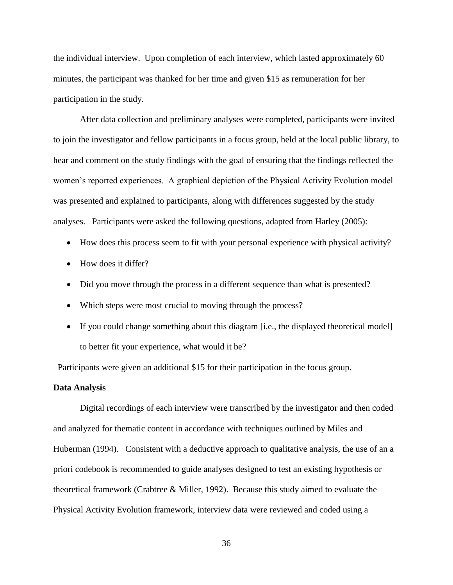the individual interview. Upon completion of each interview, which lasted approximately 60 minutes, the participant was thanked for her time and given \$15 as remuneration for her participation in the study.

After data collection and preliminary analyses were completed, participants were invited to join the investigator and fellow participants in a focus group, held at the local public library, to hear and comment on the study findings with the goal of ensuring that the findings reflected the women's reported experiences. A graphical depiction of the Physical Activity Evolution model was presented and explained to participants, along with differences suggested by the study analyses. Participants were asked the following questions, adapted from Harley (2005):

- How does this process seem to fit with your personal experience with physical activity?
- How does it differ?
- Did you move through the process in a different sequence than what is presented?
- Which steps were most crucial to moving through the process?
- If you could change something about this diagram [i.e., the displayed theoretical model] to better fit your experience, what would it be?

Participants were given an additional \$15 for their participation in the focus group.

## **Data Analysis**

Digital recordings of each interview were transcribed by the investigator and then coded and analyzed for thematic content in accordance with techniques outlined by Miles and Huberman (1994). Consistent with a deductive approach to qualitative analysis, the use of an a priori codebook is recommended to guide analyses designed to test an existing hypothesis or theoretical framework (Crabtree & Miller, 1992). Because this study aimed to evaluate the Physical Activity Evolution framework, interview data were reviewed and coded using a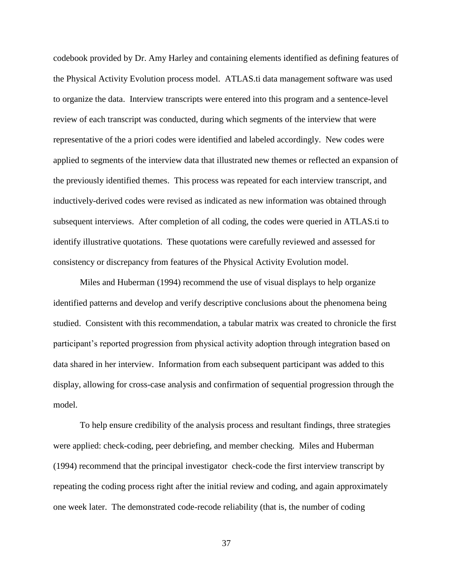codebook provided by Dr. Amy Harley and containing elements identified as defining features of the Physical Activity Evolution process model. ATLAS.ti data management software was used to organize the data. Interview transcripts were entered into this program and a sentence-level review of each transcript was conducted, during which segments of the interview that were representative of the a priori codes were identified and labeled accordingly. New codes were applied to segments of the interview data that illustrated new themes or reflected an expansion of the previously identified themes. This process was repeated for each interview transcript, and inductively-derived codes were revised as indicated as new information was obtained through subsequent interviews. After completion of all coding, the codes were queried in ATLAS.ti to identify illustrative quotations. These quotations were carefully reviewed and assessed for consistency or discrepancy from features of the Physical Activity Evolution model.

Miles and Huberman (1994) recommend the use of visual displays to help organize identified patterns and develop and verify descriptive conclusions about the phenomena being studied. Consistent with this recommendation, a tabular matrix was created to chronicle the first participant's reported progression from physical activity adoption through integration based on data shared in her interview. Information from each subsequent participant was added to this display, allowing for cross-case analysis and confirmation of sequential progression through the model.

To help ensure credibility of the analysis process and resultant findings, three strategies were applied: check-coding, peer debriefing, and member checking. Miles and Huberman (1994) recommend that the principal investigator check-code the first interview transcript by repeating the coding process right after the initial review and coding, and again approximately one week later. The demonstrated code-recode reliability (that is, the number of coding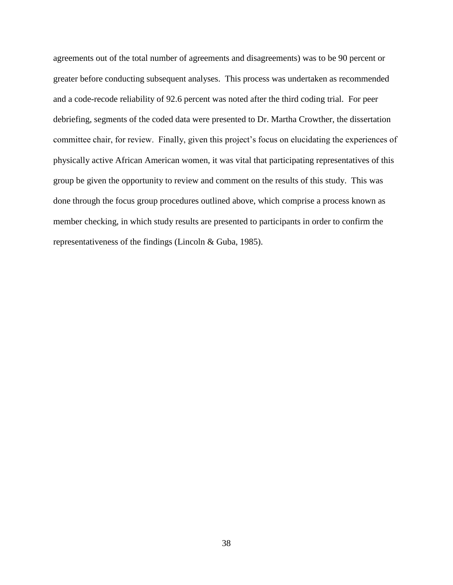agreements out of the total number of agreements and disagreements) was to be 90 percent or greater before conducting subsequent analyses. This process was undertaken as recommended and a code-recode reliability of 92.6 percent was noted after the third coding trial. For peer debriefing, segments of the coded data were presented to Dr. Martha Crowther, the dissertation committee chair, for review. Finally, given this project's focus on elucidating the experiences of physically active African American women, it was vital that participating representatives of this group be given the opportunity to review and comment on the results of this study. This was done through the focus group procedures outlined above, which comprise a process known as member checking, in which study results are presented to participants in order to confirm the representativeness of the findings (Lincoln & Guba, 1985).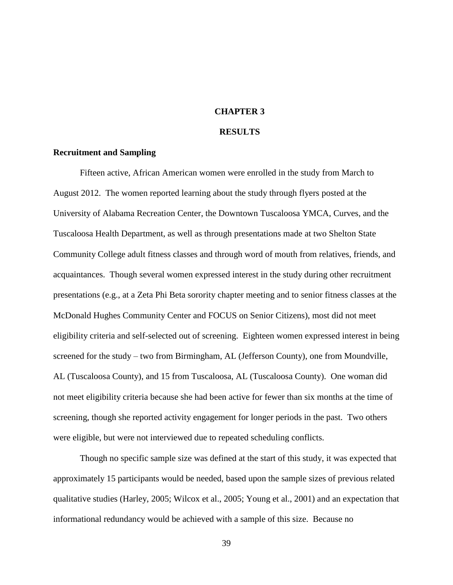## **CHAPTER 3**

#### **RESULTS**

#### **Recruitment and Sampling**

Fifteen active, African American women were enrolled in the study from March to August 2012. The women reported learning about the study through flyers posted at the University of Alabama Recreation Center, the Downtown Tuscaloosa YMCA, Curves, and the Tuscaloosa Health Department, as well as through presentations made at two Shelton State Community College adult fitness classes and through word of mouth from relatives, friends, and acquaintances. Though several women expressed interest in the study during other recruitment presentations (e.g., at a Zeta Phi Beta sorority chapter meeting and to senior fitness classes at the McDonald Hughes Community Center and FOCUS on Senior Citizens), most did not meet eligibility criteria and self-selected out of screening. Eighteen women expressed interest in being screened for the study – two from Birmingham, AL (Jefferson County), one from Moundville, AL (Tuscaloosa County), and 15 from Tuscaloosa, AL (Tuscaloosa County). One woman did not meet eligibility criteria because she had been active for fewer than six months at the time of screening, though she reported activity engagement for longer periods in the past. Two others were eligible, but were not interviewed due to repeated scheduling conflicts.

Though no specific sample size was defined at the start of this study, it was expected that approximately 15 participants would be needed, based upon the sample sizes of previous related qualitative studies (Harley, 2005; Wilcox et al., 2005; Young et al., 2001) and an expectation that informational redundancy would be achieved with a sample of this size. Because no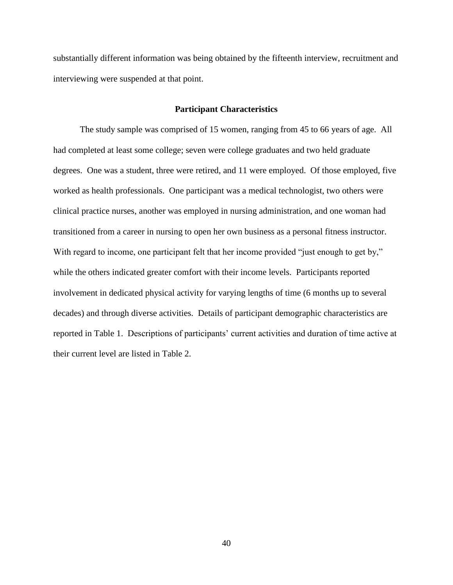substantially different information was being obtained by the fifteenth interview, recruitment and interviewing were suspended at that point.

## **Participant Characteristics**

The study sample was comprised of 15 women, ranging from 45 to 66 years of age. All had completed at least some college; seven were college graduates and two held graduate degrees. One was a student, three were retired, and 11 were employed. Of those employed, five worked as health professionals. One participant was a medical technologist, two others were clinical practice nurses, another was employed in nursing administration, and one woman had transitioned from a career in nursing to open her own business as a personal fitness instructor. With regard to income, one participant felt that her income provided "just enough to get by," while the others indicated greater comfort with their income levels. Participants reported involvement in dedicated physical activity for varying lengths of time (6 months up to several decades) and through diverse activities. Details of participant demographic characteristics are reported in Table 1. Descriptions of participants' current activities and duration of time active at their current level are listed in Table 2.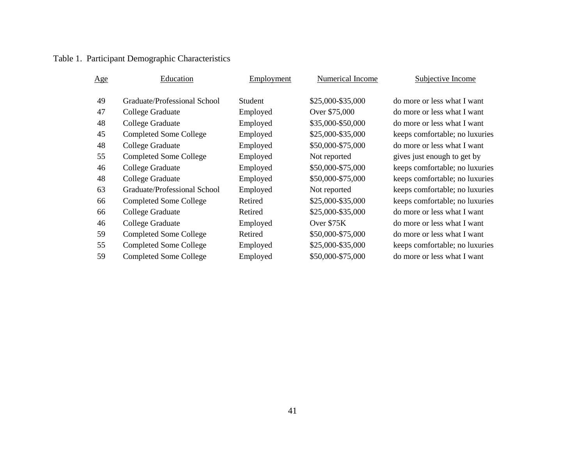# Table 1. Participant Demographic Characteristics

| $\underline{Age}$ | Education                     | Employment     | Numerical Income  | Subjective Income              |
|-------------------|-------------------------------|----------------|-------------------|--------------------------------|
|                   |                               |                |                   |                                |
| 49                | Graduate/Professional School  | <b>Student</b> | \$25,000-\$35,000 | do more or less what I want    |
| 47                | College Graduate              | Employed       | Over \$75,000     | do more or less what I want    |
| 48                | College Graduate              | Employed       | \$35,000-\$50,000 | do more or less what I want    |
| 45                | <b>Completed Some College</b> | Employed       | \$25,000-\$35,000 | keeps comfortable; no luxuries |
| 48                | College Graduate              | Employed       | \$50,000-\$75,000 | do more or less what I want    |
| 55                | <b>Completed Some College</b> | Employed       | Not reported      | gives just enough to get by    |
| 46                | College Graduate              | Employed       | \$50,000-\$75,000 | keeps comfortable; no luxuries |
| 48                | College Graduate              | Employed       | \$50,000-\$75,000 | keeps comfortable; no luxuries |
| 63                | Graduate/Professional School  | Employed       | Not reported      | keeps comfortable; no luxuries |
| 66                | <b>Completed Some College</b> | Retired        | \$25,000-\$35,000 | keeps comfortable; no luxuries |
| 66                | College Graduate              | Retired        | \$25,000-\$35,000 | do more or less what I want    |
| 46                | College Graduate              | Employed       | Over \$75K        | do more or less what I want    |
| 59                | <b>Completed Some College</b> | Retired        | \$50,000-\$75,000 | do more or less what I want    |
| 55                | <b>Completed Some College</b> | Employed       | \$25,000-\$35,000 | keeps comfortable; no luxuries |
| 59                | <b>Completed Some College</b> | Employed       | \$50,000-\$75,000 | do more or less what I want    |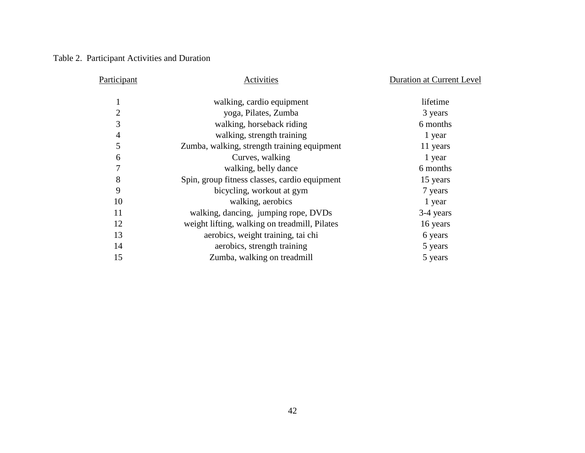## Table 2. Participant Activities and Duration

| Participant    | Activities                                    | <b>Duration at Current Level</b> |
|----------------|-----------------------------------------------|----------------------------------|
|                | walking, cardio equipment                     | lifetime                         |
| $\overline{2}$ | yoga, Pilates, Zumba                          | 3 years                          |
| 3              | walking, horseback riding                     | 6 months                         |
| $\overline{4}$ | walking, strength training                    | 1 year                           |
| 5              | Zumba, walking, strength training equipment   | 11 years                         |
| 6              | Curves, walking                               | 1 year                           |
| 7              | walking, belly dance                          | 6 months                         |
| 8              | Spin, group fitness classes, cardio equipment | 15 years                         |
| 9              | bicycling, workout at gym                     | 7 years                          |
| 10             | walking, aerobics                             | 1 year                           |
| 11             | walking, dancing, jumping rope, DVDs          | 3-4 years                        |
| 12             | weight lifting, walking on treadmill, Pilates | 16 years                         |
| 13             | aerobics, weight training, tai chi            | 6 years                          |
| 14             | aerobics, strength training                   | 5 years                          |
| 15             | Zumba, walking on treadmill                   | 5 years                          |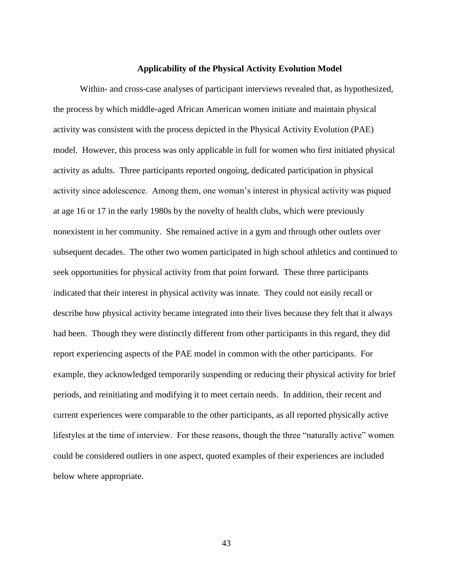#### **Applicability of the Physical Activity Evolution Model**

Within- and cross-case analyses of participant interviews revealed that, as hypothesized, the process by which middle-aged African American women initiate and maintain physical activity was consistent with the process depicted in the Physical Activity Evolution (PAE) model. However, this process was only applicable in full for women who first initiated physical activity as adults. Three participants reported ongoing, dedicated participation in physical activity since adolescence. Among them, one woman's interest in physical activity was piqued at age 16 or 17 in the early 1980s by the novelty of health clubs, which were previously nonexistent in her community. She remained active in a gym and through other outlets over subsequent decades. The other two women participated in high school athletics and continued to seek opportunities for physical activity from that point forward. These three participants indicated that their interest in physical activity was innate. They could not easily recall or describe how physical activity became integrated into their lives because they felt that it always had been. Though they were distinctly different from other participants in this regard, they did report experiencing aspects of the PAE model in common with the other participants. For example, they acknowledged temporarily suspending or reducing their physical activity for brief periods, and reinitiating and modifying it to meet certain needs. In addition, their recent and current experiences were comparable to the other participants, as all reported physically active lifestyles at the time of interview. For these reasons, though the three "naturally active" women could be considered outliers in one aspect, quoted examples of their experiences are included below where appropriate.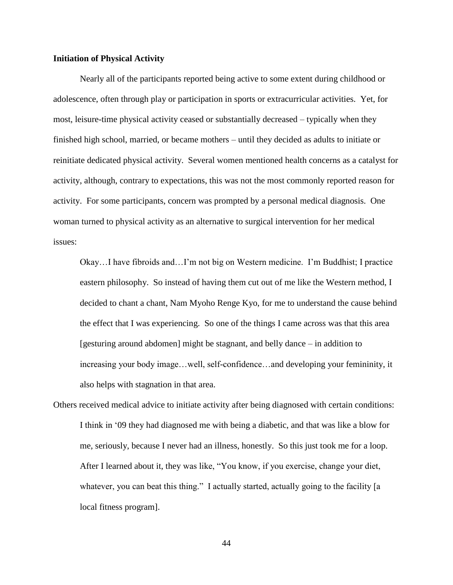## **Initiation of Physical Activity**

Nearly all of the participants reported being active to some extent during childhood or adolescence, often through play or participation in sports or extracurricular activities. Yet, for most, leisure-time physical activity ceased or substantially decreased – typically when they finished high school, married, or became mothers – until they decided as adults to initiate or reinitiate dedicated physical activity. Several women mentioned health concerns as a catalyst for activity, although, contrary to expectations, this was not the most commonly reported reason for activity. For some participants, concern was prompted by a personal medical diagnosis. One woman turned to physical activity as an alternative to surgical intervention for her medical issues:

Okay…I have fibroids and…I'm not big on Western medicine. I'm Buddhist; I practice eastern philosophy. So instead of having them cut out of me like the Western method, I decided to chant a chant, Nam Myoho Renge Kyo, for me to understand the cause behind the effect that I was experiencing. So one of the things I came across was that this area [gesturing around abdomen] might be stagnant, and belly dance – in addition to increasing your body image…well, self-confidence…and developing your femininity, it also helps with stagnation in that area.

Others received medical advice to initiate activity after being diagnosed with certain conditions: I think in '09 they had diagnosed me with being a diabetic, and that was like a blow for me, seriously, because I never had an illness, honestly. So this just took me for a loop. After I learned about it, they was like, "You know, if you exercise, change your diet, whatever, you can beat this thing." I actually started, actually going to the facility [a local fitness program].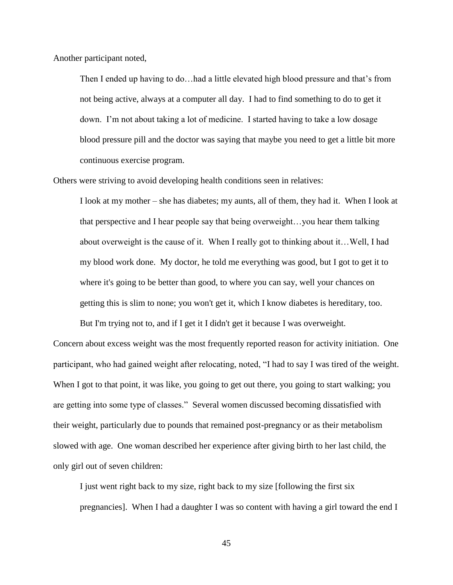Another participant noted,

Then I ended up having to do…had a little elevated high blood pressure and that's from not being active, always at a computer all day. I had to find something to do to get it down. I'm not about taking a lot of medicine. I started having to take a low dosage blood pressure pill and the doctor was saying that maybe you need to get a little bit more continuous exercise program.

Others were striving to avoid developing health conditions seen in relatives:

I look at my mother – she has diabetes; my aunts, all of them, they had it. When I look at that perspective and I hear people say that being overweight…you hear them talking about overweight is the cause of it. When I really got to thinking about it…Well, I had my blood work done. My doctor, he told me everything was good, but I got to get it to where it's going to be better than good, to where you can say, well your chances on getting this is slim to none; you won't get it, which I know diabetes is hereditary, too.

Concern about excess weight was the most frequently reported reason for activity initiation. One participant, who had gained weight after relocating, noted, "I had to say I was tired of the weight. When I got to that point, it was like, you going to get out there, you going to start walking; you are getting into some type of classes." Several women discussed becoming dissatisfied with their weight, particularly due to pounds that remained post-pregnancy or as their metabolism slowed with age. One woman described her experience after giving birth to her last child, the only girl out of seven children:

But I'm trying not to, and if I get it I didn't get it because I was overweight.

I just went right back to my size, right back to my size [following the first six pregnancies]. When I had a daughter I was so content with having a girl toward the end I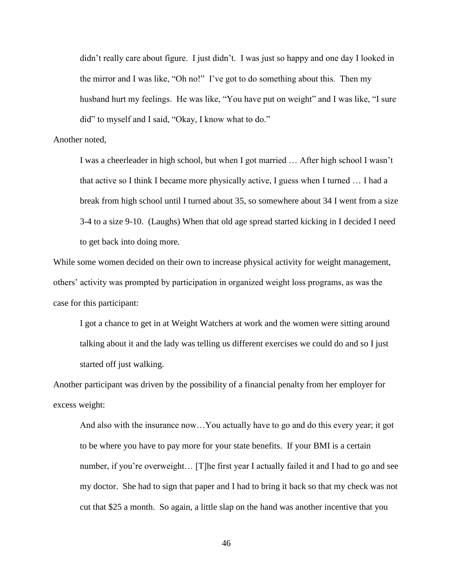didn't really care about figure. I just didn't. I was just so happy and one day I looked in the mirror and I was like, "Oh no!" I've got to do something about this. Then my husband hurt my feelings. He was like, "You have put on weight" and I was like, "I sure did" to myself and I said, "Okay, I know what to do."

#### Another noted,

I was a cheerleader in high school, but when I got married … After high school I wasn't that active so I think I became more physically active, I guess when I turned … I had a break from high school until I turned about 35, so somewhere about 34 I went from a size 3-4 to a size 9-10. (Laughs) When that old age spread started kicking in I decided I need to get back into doing more.

While some women decided on their own to increase physical activity for weight management, others' activity was prompted by participation in organized weight loss programs, as was the case for this participant:

I got a chance to get in at Weight Watchers at work and the women were sitting around talking about it and the lady was telling us different exercises we could do and so I just started off just walking.

Another participant was driven by the possibility of a financial penalty from her employer for excess weight:

And also with the insurance now…You actually have to go and do this every year; it got to be where you have to pay more for your state benefits. If your BMI is a certain number, if you're overweight... [T]he first year I actually failed it and I had to go and see my doctor. She had to sign that paper and I had to bring it back so that my check was not cut that \$25 a month. So again, a little slap on the hand was another incentive that you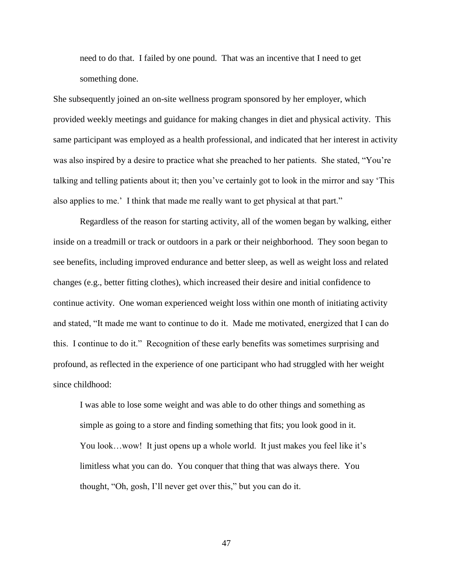need to do that. I failed by one pound. That was an incentive that I need to get something done.

She subsequently joined an on-site wellness program sponsored by her employer, which provided weekly meetings and guidance for making changes in diet and physical activity. This same participant was employed as a health professional, and indicated that her interest in activity was also inspired by a desire to practice what she preached to her patients. She stated, "You're talking and telling patients about it; then you've certainly got to look in the mirror and say 'This also applies to me.' I think that made me really want to get physical at that part."

Regardless of the reason for starting activity, all of the women began by walking, either inside on a treadmill or track or outdoors in a park or their neighborhood. They soon began to see benefits, including improved endurance and better sleep, as well as weight loss and related changes (e.g., better fitting clothes), which increased their desire and initial confidence to continue activity. One woman experienced weight loss within one month of initiating activity and stated, "It made me want to continue to do it. Made me motivated, energized that I can do this. I continue to do it." Recognition of these early benefits was sometimes surprising and profound, as reflected in the experience of one participant who had struggled with her weight since childhood:

I was able to lose some weight and was able to do other things and something as simple as going to a store and finding something that fits; you look good in it. You look...wow! It just opens up a whole world. It just makes you feel like it's limitless what you can do. You conquer that thing that was always there. You thought, "Oh, gosh, I'll never get over this," but you can do it.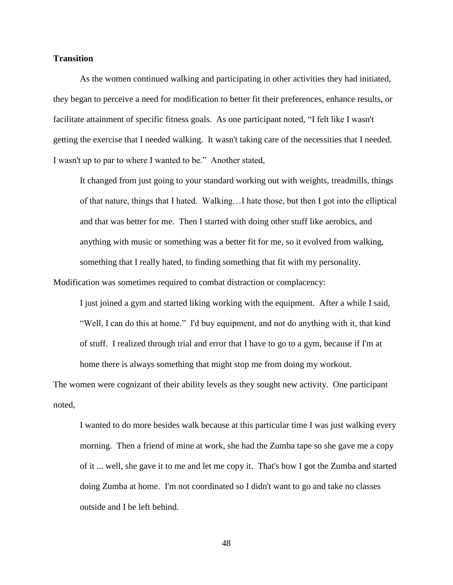#### **Transition**

 As the women continued walking and participating in other activities they had initiated, they began to perceive a need for modification to better fit their preferences, enhance results, or facilitate attainment of specific fitness goals. As one participant noted, "I felt like I wasn't getting the exercise that I needed walking. It wasn't taking care of the necessities that I needed. I wasn't up to par to where I wanted to be." Another stated,

It changed from just going to your standard working out with weights, treadmills, things of that nature, things that I hated. Walking…I hate those, but then I got into the elliptical and that was better for me. Then I started with doing other stuff like aerobics, and anything with music or something was a better fit for me, so it evolved from walking, something that I really hated, to finding something that fit with my personality.

Modification was sometimes required to combat distraction or complacency:

I just joined a gym and started liking working with the equipment. After a while I said, "Well, I can do this at home." I'd buy equipment, and not do anything with it, that kind of stuff. I realized through trial and error that I have to go to a gym, because if I'm at home there is always something that might stop me from doing my workout.

The women were cognizant of their ability levels as they sought new activity. One participant noted,

I wanted to do more besides walk because at this particular time I was just walking every morning. Then a friend of mine at work, she had the Zumba tape so she gave me a copy of it ... well, she gave it to me and let me copy it. That's how I got the Zumba and started doing Zumba at home. I'm not coordinated so I didn't want to go and take no classes outside and I be left behind.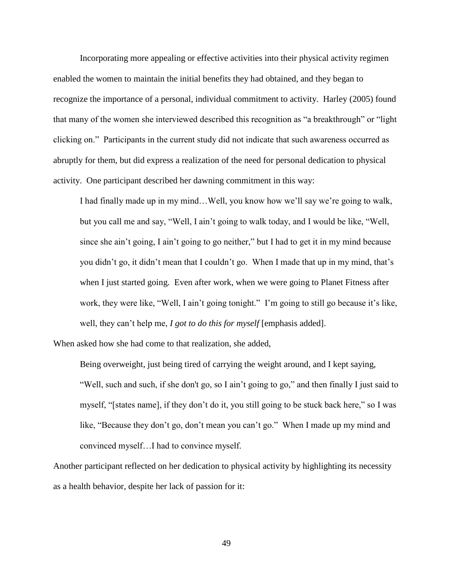Incorporating more appealing or effective activities into their physical activity regimen enabled the women to maintain the initial benefits they had obtained, and they began to recognize the importance of a personal, individual commitment to activity. Harley (2005) found that many of the women she interviewed described this recognition as "a breakthrough" or "light clicking on." Participants in the current study did not indicate that such awareness occurred as abruptly for them, but did express a realization of the need for personal dedication to physical activity. One participant described her dawning commitment in this way:

I had finally made up in my mind…Well, you know how we'll say we're going to walk, but you call me and say, "Well, I ain't going to walk today, and I would be like, "Well, since she ain't going, I ain't going to go neither," but I had to get it in my mind because you didn't go, it didn't mean that I couldn't go. When I made that up in my mind, that's when I just started going. Even after work, when we were going to Planet Fitness after work, they were like, "Well, I ain't going tonight." I'm going to still go because it's like, well, they can't help me, *I got to do this for myself* [emphasis added].

When asked how she had come to that realization, she added,

Being overweight, just being tired of carrying the weight around, and I kept saying, "Well, such and such, if she don't go, so I ain't going to go," and then finally I just said to myself, "[states name], if they don't do it, you still going to be stuck back here," so I was like, "Because they don't go, don't mean you can't go." When I made up my mind and convinced myself…I had to convince myself.

Another participant reflected on her dedication to physical activity by highlighting its necessity as a health behavior, despite her lack of passion for it: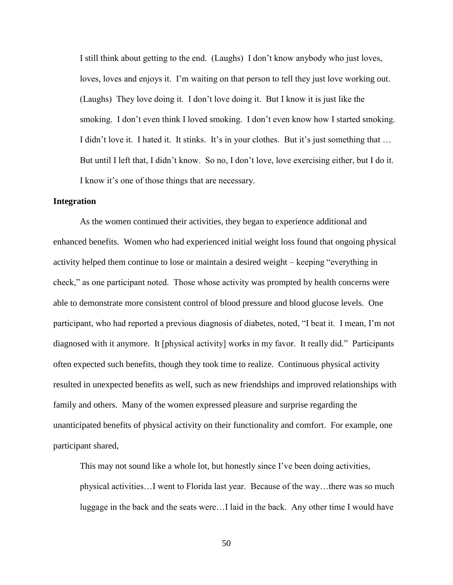I still think about getting to the end. (Laughs) I don't know anybody who just loves, loves, loves and enjoys it. I'm waiting on that person to tell they just love working out. (Laughs) They love doing it. I don't love doing it. But I know it is just like the smoking. I don't even think I loved smoking. I don't even know how I started smoking. I didn't love it. I hated it. It stinks. It's in your clothes. But it's just something that ... But until I left that, I didn't know. So no, I don't love, love exercising either, but I do it. I know it's one of those things that are necessary.

## **Integration**

As the women continued their activities, they began to experience additional and enhanced benefits. Women who had experienced initial weight loss found that ongoing physical activity helped them continue to lose or maintain a desired weight – keeping "everything in check," as one participant noted. Those whose activity was prompted by health concerns were able to demonstrate more consistent control of blood pressure and blood glucose levels. One participant, who had reported a previous diagnosis of diabetes, noted, "I beat it. I mean, I'm not diagnosed with it anymore. It [physical activity] works in my favor. It really did." Participants often expected such benefits, though they took time to realize. Continuous physical activity resulted in unexpected benefits as well, such as new friendships and improved relationships with family and others. Many of the women expressed pleasure and surprise regarding the unanticipated benefits of physical activity on their functionality and comfort. For example, one participant shared,

This may not sound like a whole lot, but honestly since I've been doing activities, physical activities…I went to Florida last year. Because of the way…there was so much luggage in the back and the seats were…I laid in the back. Any other time I would have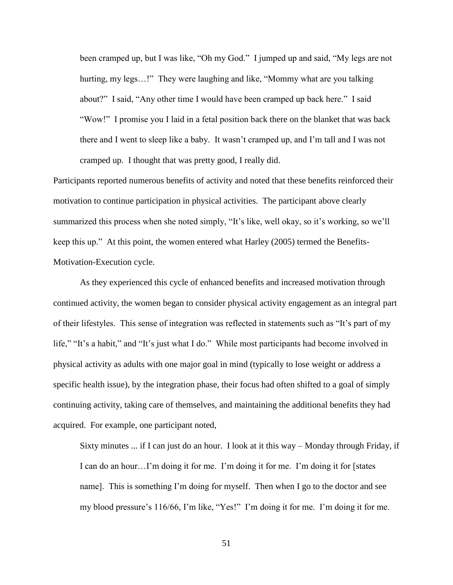been cramped up, but I was like, "Oh my God." I jumped up and said, "My legs are not hurting, my legs…!" They were laughing and like, "Mommy what are you talking about?" I said, "Any other time I would have been cramped up back here." I said "Wow!" I promise you I laid in a fetal position back there on the blanket that was back there and I went to sleep like a baby. It wasn't cramped up, and I'm tall and I was not cramped up. I thought that was pretty good, I really did.

Participants reported numerous benefits of activity and noted that these benefits reinforced their motivation to continue participation in physical activities. The participant above clearly summarized this process when she noted simply, "It's like, well okay, so it's working, so we'll keep this up." At this point, the women entered what Harley (2005) termed the Benefits-Motivation-Execution cycle.

As they experienced this cycle of enhanced benefits and increased motivation through continued activity, the women began to consider physical activity engagement as an integral part of their lifestyles. This sense of integration was reflected in statements such as "It's part of my life," "It's a habit," and "It's just what I do." While most participants had become involved in physical activity as adults with one major goal in mind (typically to lose weight or address a specific health issue), by the integration phase, their focus had often shifted to a goal of simply continuing activity, taking care of themselves, and maintaining the additional benefits they had acquired. For example, one participant noted,

Sixty minutes ... if I can just do an hour. I look at it this way – Monday through Friday, if I can do an hour…I'm doing it for me. I'm doing it for me. I'm doing it for [states name]. This is something I'm doing for myself. Then when I go to the doctor and see my blood pressure's 116/66, I'm like, "Yes!" I'm doing it for me. I'm doing it for me.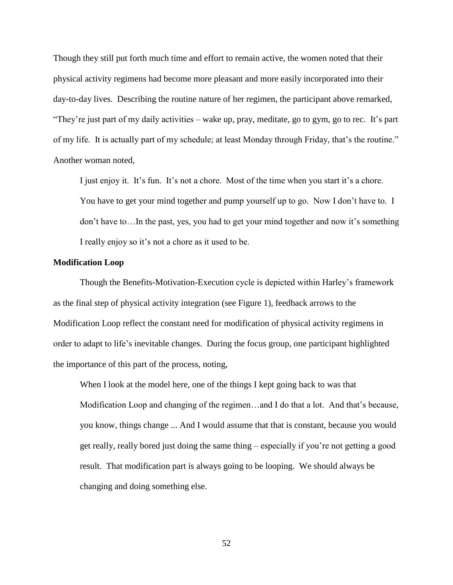Though they still put forth much time and effort to remain active, the women noted that their physical activity regimens had become more pleasant and more easily incorporated into their day-to-day lives. Describing the routine nature of her regimen, the participant above remarked, "They're just part of my daily activities – wake up, pray, meditate, go to gym, go to rec. It's part of my life. It is actually part of my schedule; at least Monday through Friday, that's the routine." Another woman noted,

I just enjoy it. It's fun. It's not a chore. Most of the time when you start it's a chore. You have to get your mind together and pump yourself up to go. Now I don't have to. I don't have to…In the past, yes, you had to get your mind together and now it's something I really enjoy so it's not a chore as it used to be.

#### **Modification Loop**

Though the Benefits-Motivation-Execution cycle is depicted within Harley's framework as the final step of physical activity integration (see Figure 1), feedback arrows to the Modification Loop reflect the constant need for modification of physical activity regimens in order to adapt to life's inevitable changes. During the focus group, one participant highlighted the importance of this part of the process, noting,

When I look at the model here, one of the things I kept going back to was that Modification Loop and changing of the regimen…and I do that a lot. And that's because, you know, things change ... And I would assume that that is constant, because you would get really, really bored just doing the same thing – especially if you're not getting a good result. That modification part is always going to be looping. We should always be changing and doing something else.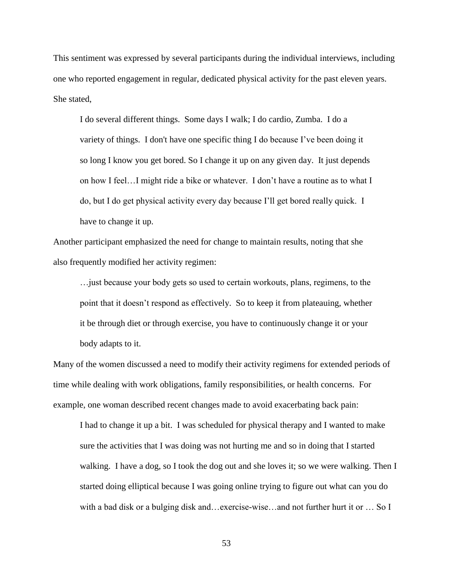This sentiment was expressed by several participants during the individual interviews, including one who reported engagement in regular, dedicated physical activity for the past eleven years. She stated,

I do several different things. Some days I walk; I do cardio, Zumba. I do a variety of things. I don't have one specific thing I do because I've been doing it so long I know you get bored. So I change it up on any given day. It just depends on how I feel…I might ride a bike or whatever. I don't have a routine as to what I do, but I do get physical activity every day because I'll get bored really quick. I have to change it up.

Another participant emphasized the need for change to maintain results, noting that she also frequently modified her activity regimen:

…just because your body gets so used to certain workouts, plans, regimens, to the point that it doesn't respond as effectively. So to keep it from plateauing, whether it be through diet or through exercise, you have to continuously change it or your body adapts to it.

Many of the women discussed a need to modify their activity regimens for extended periods of time while dealing with work obligations, family responsibilities, or health concerns. For example, one woman described recent changes made to avoid exacerbating back pain:

I had to change it up a bit. I was scheduled for physical therapy and I wanted to make sure the activities that I was doing was not hurting me and so in doing that I started walking. I have a dog, so I took the dog out and she loves it; so we were walking. Then I started doing elliptical because I was going online trying to figure out what can you do with a bad disk or a bulging disk and…exercise-wise…and not further hurt it or … So I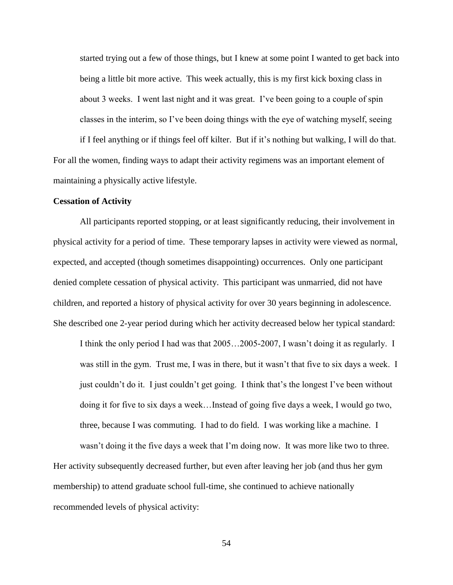started trying out a few of those things, but I knew at some point I wanted to get back into being a little bit more active. This week actually, this is my first kick boxing class in about 3 weeks. I went last night and it was great. I've been going to a couple of spin classes in the interim, so I've been doing things with the eye of watching myself, seeing

if I feel anything or if things feel off kilter. But if it's nothing but walking, I will do that. For all the women, finding ways to adapt their activity regimens was an important element of maintaining a physically active lifestyle.

#### **Cessation of Activity**

All participants reported stopping, or at least significantly reducing, their involvement in physical activity for a period of time. These temporary lapses in activity were viewed as normal, expected, and accepted (though sometimes disappointing) occurrences. Only one participant denied complete cessation of physical activity. This participant was unmarried, did not have children, and reported a history of physical activity for over 30 years beginning in adolescence. She described one 2-year period during which her activity decreased below her typical standard:

I think the only period I had was that 2005…2005-2007, I wasn't doing it as regularly. I was still in the gym. Trust me, I was in there, but it wasn't that five to six days a week. I just couldn't do it. I just couldn't get going. I think that's the longest I've been without doing it for five to six days a week…Instead of going five days a week, I would go two, three, because I was commuting. I had to do field. I was working like a machine. I

wasn't doing it the five days a week that I'm doing now. It was more like two to three. Her activity subsequently decreased further, but even after leaving her job (and thus her gym membership) to attend graduate school full-time, she continued to achieve nationally recommended levels of physical activity: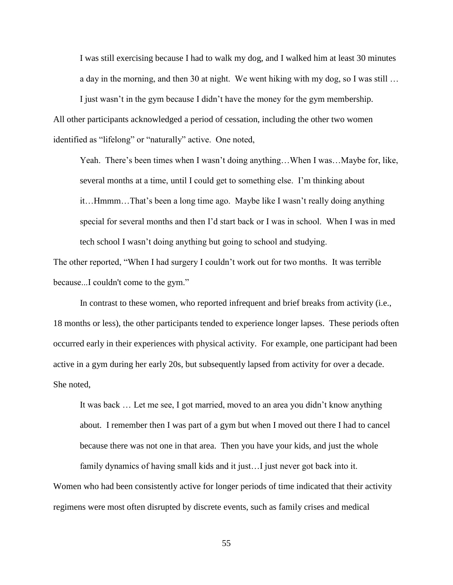I was still exercising because I had to walk my dog, and I walked him at least 30 minutes a day in the morning, and then 30 at night. We went hiking with my dog, so I was still …

I just wasn't in the gym because I didn't have the money for the gym membership. All other participants acknowledged a period of cessation, including the other two women identified as "lifelong" or "naturally" active. One noted,

Yeah. There's been times when I wasn't doing anything…When I was…Maybe for, like, several months at a time, until I could get to something else. I'm thinking about it…Hmmm…That's been a long time ago. Maybe like I wasn't really doing anything special for several months and then I'd start back or I was in school. When I was in med tech school I wasn't doing anything but going to school and studying.

The other reported, "When I had surgery I couldn't work out for two months. It was terrible because...I couldn't come to the gym."

 In contrast to these women, who reported infrequent and brief breaks from activity (i.e., 18 months or less), the other participants tended to experience longer lapses. These periods often occurred early in their experiences with physical activity. For example, one participant had been active in a gym during her early 20s, but subsequently lapsed from activity for over a decade. She noted,

It was back … Let me see, I got married, moved to an area you didn't know anything about. I remember then I was part of a gym but when I moved out there I had to cancel because there was not one in that area. Then you have your kids, and just the whole

family dynamics of having small kids and it just…I just never got back into it. Women who had been consistently active for longer periods of time indicated that their activity regimens were most often disrupted by discrete events, such as family crises and medical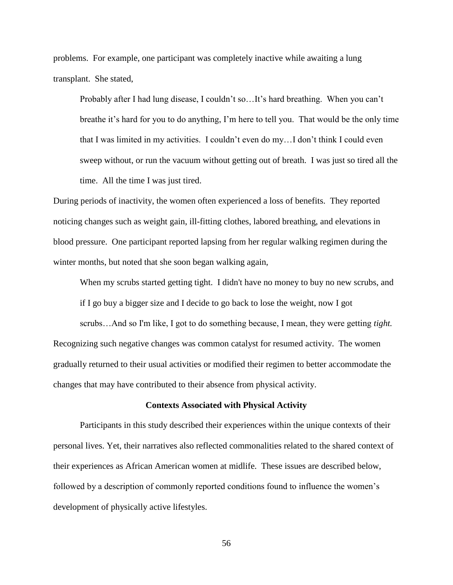problems. For example, one participant was completely inactive while awaiting a lung transplant. She stated,

Probably after I had lung disease, I couldn't so…It's hard breathing. When you can't breathe it's hard for you to do anything, I'm here to tell you. That would be the only time that I was limited in my activities. I couldn't even do my…I don't think I could even sweep without, or run the vacuum without getting out of breath. I was just so tired all the time. All the time I was just tired.

During periods of inactivity, the women often experienced a loss of benefits. They reported noticing changes such as weight gain, ill-fitting clothes, labored breathing, and elevations in blood pressure. One participant reported lapsing from her regular walking regimen during the winter months, but noted that she soon began walking again,

When my scrubs started getting tight. I didn't have no money to buy no new scrubs, and

if I go buy a bigger size and I decide to go back to lose the weight, now I got

scrubs…And so I'm like, I got to do something because, I mean, they were getting *tight.* Recognizing such negative changes was common catalyst for resumed activity. The women gradually returned to their usual activities or modified their regimen to better accommodate the changes that may have contributed to their absence from physical activity.

#### **Contexts Associated with Physical Activity**

Participants in this study described their experiences within the unique contexts of their personal lives. Yet, their narratives also reflected commonalities related to the shared context of their experiences as African American women at midlife. These issues are described below, followed by a description of commonly reported conditions found to influence the women's development of physically active lifestyles.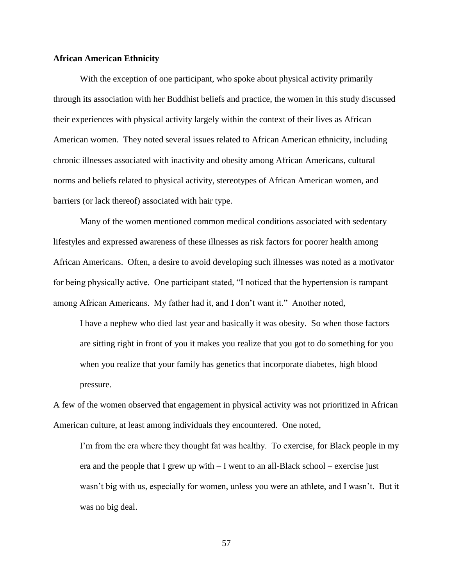## **African American Ethnicity**

With the exception of one participant, who spoke about physical activity primarily through its association with her Buddhist beliefs and practice, the women in this study discussed their experiences with physical activity largely within the context of their lives as African American women. They noted several issues related to African American ethnicity, including chronic illnesses associated with inactivity and obesity among African Americans, cultural norms and beliefs related to physical activity, stereotypes of African American women, and barriers (or lack thereof) associated with hair type.

Many of the women mentioned common medical conditions associated with sedentary lifestyles and expressed awareness of these illnesses as risk factors for poorer health among African Americans. Often, a desire to avoid developing such illnesses was noted as a motivator for being physically active. One participant stated, "I noticed that the hypertension is rampant among African Americans. My father had it, and I don't want it." Another noted,

I have a nephew who died last year and basically it was obesity. So when those factors are sitting right in front of you it makes you realize that you got to do something for you when you realize that your family has genetics that incorporate diabetes, high blood pressure.

A few of the women observed that engagement in physical activity was not prioritized in African American culture, at least among individuals they encountered. One noted,

I'm from the era where they thought fat was healthy. To exercise, for Black people in my era and the people that I grew up with – I went to an all-Black school – exercise just wasn't big with us, especially for women, unless you were an athlete, and I wasn't. But it was no big deal.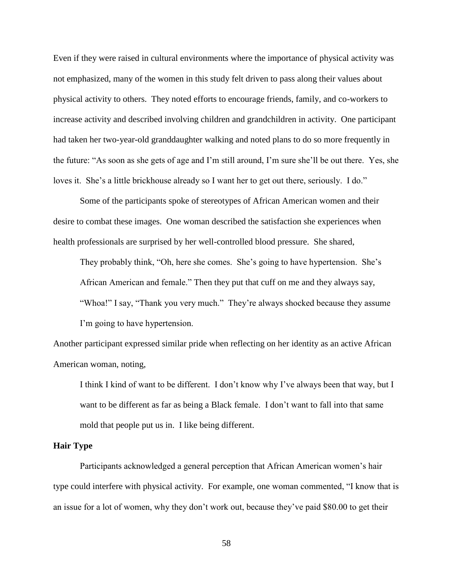Even if they were raised in cultural environments where the importance of physical activity was not emphasized, many of the women in this study felt driven to pass along their values about physical activity to others. They noted efforts to encourage friends, family, and co-workers to increase activity and described involving children and grandchildren in activity. One participant had taken her two-year-old granddaughter walking and noted plans to do so more frequently in the future: "As soon as she gets of age and I'm still around, I'm sure she'll be out there. Yes, she loves it. She's a little brickhouse already so I want her to get out there, seriously. I do."

Some of the participants spoke of stereotypes of African American women and their desire to combat these images. One woman described the satisfaction she experiences when health professionals are surprised by her well-controlled blood pressure. She shared,

They probably think, "Oh, here she comes. She's going to have hypertension. She's African American and female." Then they put that cuff on me and they always say, "Whoa!" I say, "Thank you very much." They're always shocked because they assume I'm going to have hypertension.

Another participant expressed similar pride when reflecting on her identity as an active African American woman, noting,

I think I kind of want to be different. I don't know why I've always been that way, but I want to be different as far as being a Black female. I don't want to fall into that same mold that people put us in. I like being different.

#### **Hair Type**

Participants acknowledged a general perception that African American women's hair type could interfere with physical activity. For example, one woman commented, "I know that is an issue for a lot of women, why they don't work out, because they've paid \$80.00 to get their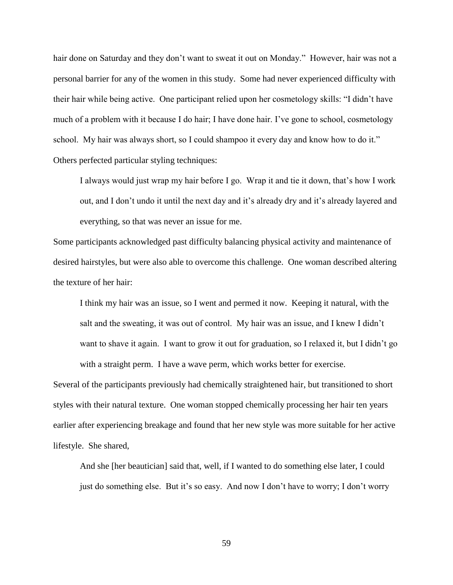hair done on Saturday and they don't want to sweat it out on Monday." However, hair was not a personal barrier for any of the women in this study. Some had never experienced difficulty with their hair while being active. One participant relied upon her cosmetology skills: "I didn't have much of a problem with it because I do hair; I have done hair. I've gone to school, cosmetology school. My hair was always short, so I could shampoo it every day and know how to do it." Others perfected particular styling techniques:

I always would just wrap my hair before I go. Wrap it and tie it down, that's how I work out, and I don't undo it until the next day and it's already dry and it's already layered and everything, so that was never an issue for me.

Some participants acknowledged past difficulty balancing physical activity and maintenance of desired hairstyles, but were also able to overcome this challenge. One woman described altering the texture of her hair:

I think my hair was an issue, so I went and permed it now. Keeping it natural, with the salt and the sweating, it was out of control. My hair was an issue, and I knew I didn't want to shave it again. I want to grow it out for graduation, so I relaxed it, but I didn't go with a straight perm. I have a wave perm, which works better for exercise.

Several of the participants previously had chemically straightened hair, but transitioned to short styles with their natural texture. One woman stopped chemically processing her hair ten years earlier after experiencing breakage and found that her new style was more suitable for her active lifestyle. She shared,

And she [her beautician] said that, well, if I wanted to do something else later, I could just do something else. But it's so easy. And now I don't have to worry; I don't worry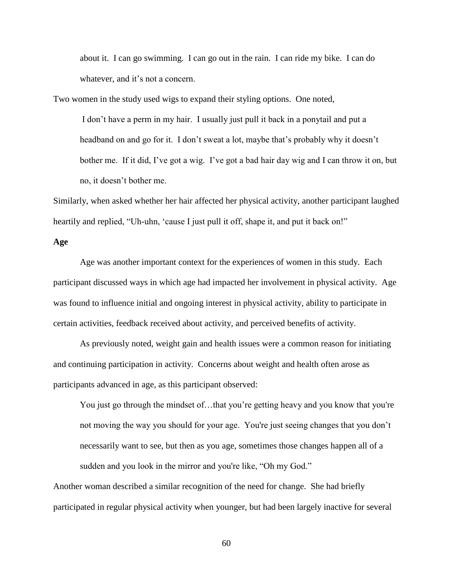about it. I can go swimming. I can go out in the rain. I can ride my bike. I can do whatever, and it's not a concern.

Two women in the study used wigs to expand their styling options. One noted,

I don't have a perm in my hair. I usually just pull it back in a ponytail and put a headband on and go for it. I don't sweat a lot, maybe that's probably why it doesn't bother me. If it did, I've got a wig. I've got a bad hair day wig and I can throw it on, but no, it doesn't bother me.

Similarly, when asked whether her hair affected her physical activity, another participant laughed heartily and replied, "Uh-uhn, 'cause I just pull it off, shape it, and put it back on!"

#### **Age**

Age was another important context for the experiences of women in this study. Each participant discussed ways in which age had impacted her involvement in physical activity. Age was found to influence initial and ongoing interest in physical activity, ability to participate in certain activities, feedback received about activity, and perceived benefits of activity.

As previously noted, weight gain and health issues were a common reason for initiating and continuing participation in activity. Concerns about weight and health often arose as participants advanced in age, as this participant observed:

You just go through the mindset of…that you're getting heavy and you know that you're not moving the way you should for your age. You're just seeing changes that you don't necessarily want to see, but then as you age, sometimes those changes happen all of a sudden and you look in the mirror and you're like, "Oh my God."

Another woman described a similar recognition of the need for change. She had briefly participated in regular physical activity when younger, but had been largely inactive for several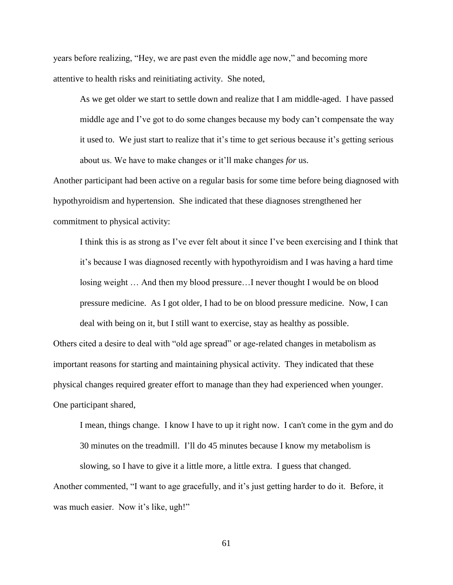years before realizing, "Hey, we are past even the middle age now," and becoming more attentive to health risks and reinitiating activity. She noted,

As we get older we start to settle down and realize that I am middle-aged. I have passed middle age and I've got to do some changes because my body can't compensate the way it used to. We just start to realize that it's time to get serious because it's getting serious about us. We have to make changes or it'll make changes *for* us.

Another participant had been active on a regular basis for some time before being diagnosed with hypothyroidism and hypertension. She indicated that these diagnoses strengthened her commitment to physical activity:

I think this is as strong as I've ever felt about it since I've been exercising and I think that it's because I was diagnosed recently with hypothyroidism and I was having a hard time losing weight … And then my blood pressure…I never thought I would be on blood pressure medicine. As I got older, I had to be on blood pressure medicine. Now, I can deal with being on it, but I still want to exercise, stay as healthy as possible.

Others cited a desire to deal with "old age spread" or age-related changes in metabolism as important reasons for starting and maintaining physical activity. They indicated that these physical changes required greater effort to manage than they had experienced when younger. One participant shared,

I mean, things change. I know I have to up it right now. I can't come in the gym and do 30 minutes on the treadmill. I'll do 45 minutes because I know my metabolism is slowing, so I have to give it a little more, a little extra. I guess that changed. Another commented, "I want to age gracefully, and it's just getting harder to do it. Before, it

was much easier. Now it's like, ugh!"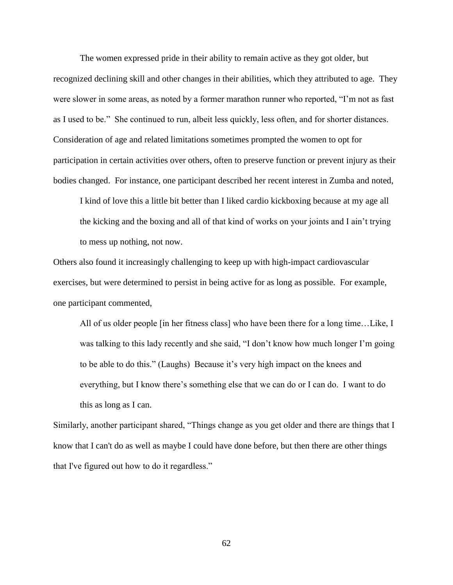The women expressed pride in their ability to remain active as they got older, but recognized declining skill and other changes in their abilities, which they attributed to age. They were slower in some areas, as noted by a former marathon runner who reported, "I'm not as fast as I used to be." She continued to run, albeit less quickly, less often, and for shorter distances. Consideration of age and related limitations sometimes prompted the women to opt for participation in certain activities over others, often to preserve function or prevent injury as their bodies changed. For instance, one participant described her recent interest in Zumba and noted,

I kind of love this a little bit better than I liked cardio kickboxing because at my age all the kicking and the boxing and all of that kind of works on your joints and I ain't trying to mess up nothing, not now.

Others also found it increasingly challenging to keep up with high-impact cardiovascular exercises, but were determined to persist in being active for as long as possible. For example, one participant commented,

All of us older people [in her fitness class] who have been there for a long time…Like, I was talking to this lady recently and she said, "I don't know how much longer I'm going to be able to do this." (Laughs) Because it's very high impact on the knees and everything, but I know there's something else that we can do or I can do. I want to do this as long as I can.

Similarly, another participant shared, "Things change as you get older and there are things that I know that I can't do as well as maybe I could have done before, but then there are other things that I've figured out how to do it regardless."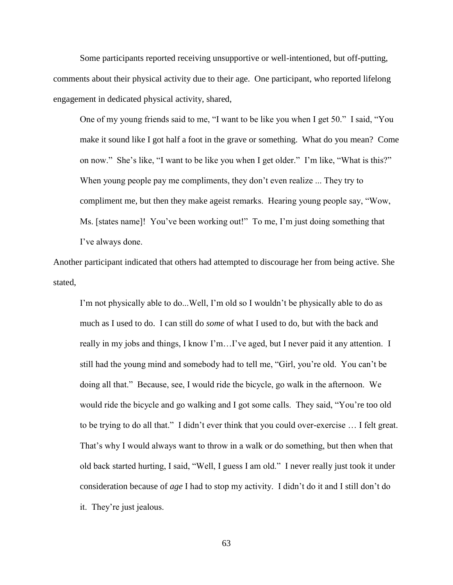Some participants reported receiving unsupportive or well-intentioned, but off-putting, comments about their physical activity due to their age. One participant, who reported lifelong engagement in dedicated physical activity, shared,

One of my young friends said to me, "I want to be like you when I get 50." I said, "You make it sound like I got half a foot in the grave or something. What do you mean? Come on now." She's like, "I want to be like you when I get older." I'm like, "What is this?" When young people pay me compliments, they don't even realize ... They try to compliment me, but then they make ageist remarks. Hearing young people say, "Wow, Ms. [states name]! You've been working out!" To me, I'm just doing something that I've always done.

Another participant indicated that others had attempted to discourage her from being active. She stated,

I'm not physically able to do...Well, I'm old so I wouldn't be physically able to do as much as I used to do. I can still do *some* of what I used to do, but with the back and really in my jobs and things, I know I'm…I've aged, but I never paid it any attention. I still had the young mind and somebody had to tell me, "Girl, you're old. You can't be doing all that." Because, see, I would ride the bicycle, go walk in the afternoon. We would ride the bicycle and go walking and I got some calls. They said, "You're too old to be trying to do all that." I didn't ever think that you could over-exercise … I felt great. That's why I would always want to throw in a walk or do something, but then when that old back started hurting, I said, "Well, I guess I am old." I never really just took it under consideration because of *age* I had to stop my activity. I didn't do it and I still don't do it. They're just jealous.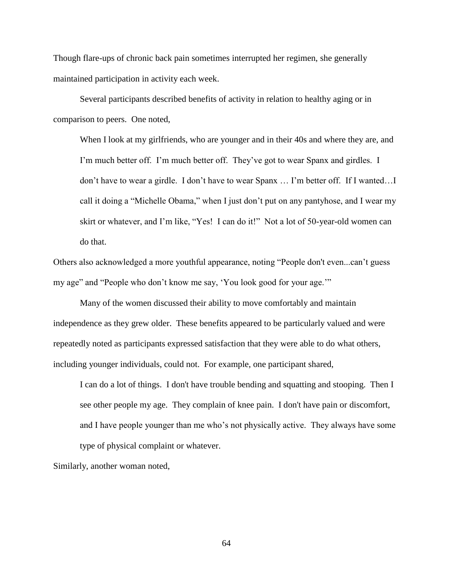Though flare-ups of chronic back pain sometimes interrupted her regimen, she generally maintained participation in activity each week.

Several participants described benefits of activity in relation to healthy aging or in comparison to peers. One noted,

When I look at my girlfriends, who are younger and in their 40s and where they are, and I'm much better off. I'm much better off. They've got to wear Spanx and girdles. I don't have to wear a girdle. I don't have to wear Spanx … I'm better off. If I wanted…I call it doing a "Michelle Obama," when I just don't put on any pantyhose, and I wear my skirt or whatever, and I'm like, "Yes! I can do it!" Not a lot of 50-year-old women can do that.

Others also acknowledged a more youthful appearance, noting "People don't even...can't guess my age" and "People who don't know me say, 'You look good for your age.'"

Many of the women discussed their ability to move comfortably and maintain independence as they grew older. These benefits appeared to be particularly valued and were repeatedly noted as participants expressed satisfaction that they were able to do what others, including younger individuals, could not. For example, one participant shared,

I can do a lot of things. I don't have trouble bending and squatting and stooping. Then I see other people my age. They complain of knee pain. I don't have pain or discomfort, and I have people younger than me who's not physically active. They always have some type of physical complaint or whatever.

Similarly, another woman noted,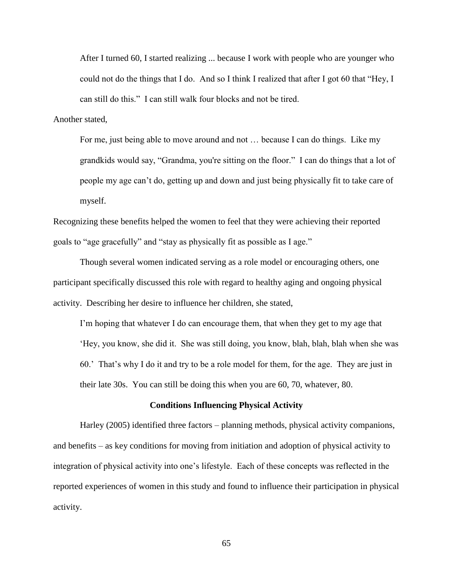After I turned 60, I started realizing ... because I work with people who are younger who could not do the things that I do. And so I think I realized that after I got 60 that "Hey, I can still do this." I can still walk four blocks and not be tired.

Another stated,

For me, just being able to move around and not … because I can do things. Like my grandkids would say, "Grandma, you're sitting on the floor." I can do things that a lot of people my age can't do, getting up and down and just being physically fit to take care of myself.

Recognizing these benefits helped the women to feel that they were achieving their reported goals to "age gracefully" and "stay as physically fit as possible as I age."

Though several women indicated serving as a role model or encouraging others, one participant specifically discussed this role with regard to healthy aging and ongoing physical activity. Describing her desire to influence her children, she stated,

I'm hoping that whatever I do can encourage them, that when they get to my age that 'Hey, you know, she did it. She was still doing, you know, blah, blah, blah when she was 60.' That's why I do it and try to be a role model for them, for the age. They are just in their late 30s. You can still be doing this when you are 60, 70, whatever, 80.

## **Conditions Influencing Physical Activity**

Harley (2005) identified three factors – planning methods, physical activity companions, and benefits – as key conditions for moving from initiation and adoption of physical activity to integration of physical activity into one's lifestyle. Each of these concepts was reflected in the reported experiences of women in this study and found to influence their participation in physical activity.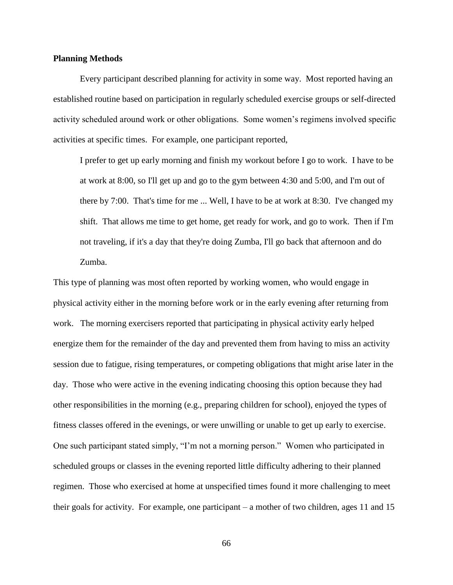## **Planning Methods**

Every participant described planning for activity in some way. Most reported having an established routine based on participation in regularly scheduled exercise groups or self-directed activity scheduled around work or other obligations. Some women's regimens involved specific activities at specific times. For example, one participant reported,

I prefer to get up early morning and finish my workout before I go to work. I have to be at work at 8:00, so I'll get up and go to the gym between 4:30 and 5:00, and I'm out of there by 7:00. That's time for me ... Well, I have to be at work at 8:30. I've changed my shift. That allows me time to get home, get ready for work, and go to work. Then if I'm not traveling, if it's a day that they're doing Zumba, I'll go back that afternoon and do Zumba.

This type of planning was most often reported by working women, who would engage in physical activity either in the morning before work or in the early evening after returning from work. The morning exercisers reported that participating in physical activity early helped energize them for the remainder of the day and prevented them from having to miss an activity session due to fatigue, rising temperatures, or competing obligations that might arise later in the day. Those who were active in the evening indicating choosing this option because they had other responsibilities in the morning (e.g., preparing children for school), enjoyed the types of fitness classes offered in the evenings, or were unwilling or unable to get up early to exercise. One such participant stated simply, "I'm not a morning person." Women who participated in scheduled groups or classes in the evening reported little difficulty adhering to their planned regimen. Those who exercised at home at unspecified times found it more challenging to meet their goals for activity. For example, one participant – a mother of two children, ages 11 and 15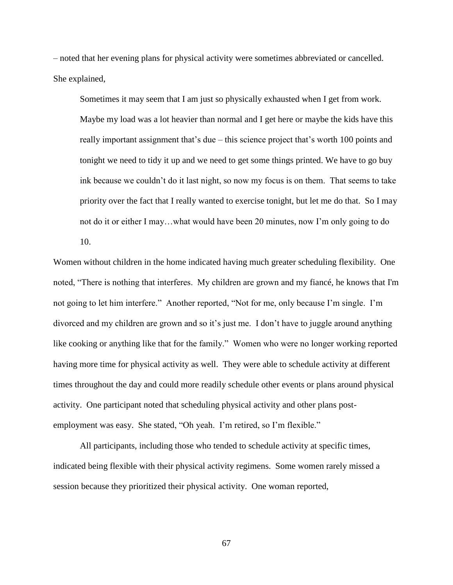– noted that her evening plans for physical activity were sometimes abbreviated or cancelled. She explained,

Sometimes it may seem that I am just so physically exhausted when I get from work.

Maybe my load was a lot heavier than normal and I get here or maybe the kids have this really important assignment that's due – this science project that's worth 100 points and tonight we need to tidy it up and we need to get some things printed. We have to go buy ink because we couldn't do it last night, so now my focus is on them. That seems to take priority over the fact that I really wanted to exercise tonight, but let me do that. So I may not do it or either I may…what would have been 20 minutes, now I'm only going to do

10.

Women without children in the home indicated having much greater scheduling flexibility. One noted, "There is nothing that interferes. My children are grown and my fiancé, he knows that I'm not going to let him interfere." Another reported, "Not for me, only because I'm single. I'm divorced and my children are grown and so it's just me. I don't have to juggle around anything like cooking or anything like that for the family." Women who were no longer working reported having more time for physical activity as well. They were able to schedule activity at different times throughout the day and could more readily schedule other events or plans around physical activity. One participant noted that scheduling physical activity and other plans postemployment was easy. She stated, "Oh yeah. I'm retired, so I'm flexible."

All participants, including those who tended to schedule activity at specific times, indicated being flexible with their physical activity regimens. Some women rarely missed a session because they prioritized their physical activity. One woman reported,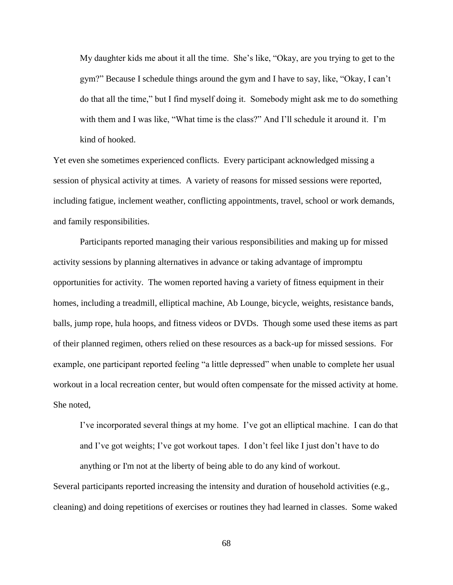My daughter kids me about it all the time. She's like, "Okay, are you trying to get to the gym?" Because I schedule things around the gym and I have to say, like, "Okay, I can't do that all the time," but I find myself doing it. Somebody might ask me to do something with them and I was like, "What time is the class?" And I'll schedule it around it. I'm kind of hooked.

Yet even she sometimes experienced conflicts. Every participant acknowledged missing a session of physical activity at times. A variety of reasons for missed sessions were reported, including fatigue, inclement weather, conflicting appointments, travel, school or work demands, and family responsibilities.

Participants reported managing their various responsibilities and making up for missed activity sessions by planning alternatives in advance or taking advantage of impromptu opportunities for activity. The women reported having a variety of fitness equipment in their homes, including a treadmill, elliptical machine, Ab Lounge, bicycle, weights, resistance bands, balls, jump rope, hula hoops, and fitness videos or DVDs. Though some used these items as part of their planned regimen, others relied on these resources as a back-up for missed sessions. For example, one participant reported feeling "a little depressed" when unable to complete her usual workout in a local recreation center, but would often compensate for the missed activity at home. She noted,

I've incorporated several things at my home. I've got an elliptical machine. I can do that and I've got weights; I've got workout tapes. I don't feel like I just don't have to do anything or I'm not at the liberty of being able to do any kind of workout.

Several participants reported increasing the intensity and duration of household activities (e.g., cleaning) and doing repetitions of exercises or routines they had learned in classes. Some waked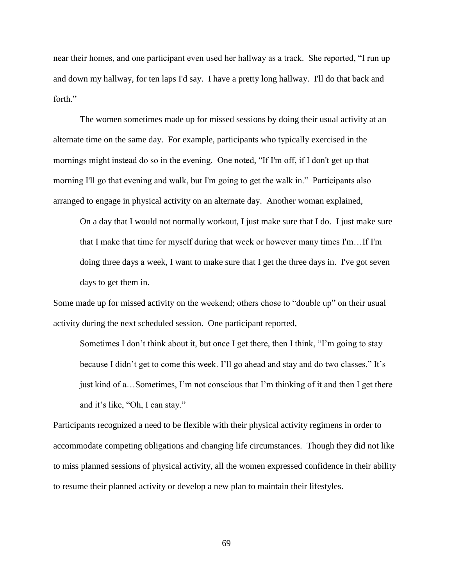near their homes, and one participant even used her hallway as a track. She reported, "I run up and down my hallway, for ten laps I'd say. I have a pretty long hallway. I'll do that back and forth"

The women sometimes made up for missed sessions by doing their usual activity at an alternate time on the same day. For example, participants who typically exercised in the mornings might instead do so in the evening. One noted, "If I'm off, if I don't get up that morning I'll go that evening and walk, but I'm going to get the walk in." Participants also arranged to engage in physical activity on an alternate day. Another woman explained,

On a day that I would not normally workout, I just make sure that I do. I just make sure that I make that time for myself during that week or however many times I'm…If I'm doing three days a week, I want to make sure that I get the three days in. I've got seven days to get them in.

Some made up for missed activity on the weekend; others chose to "double up" on their usual activity during the next scheduled session. One participant reported,

Sometimes I don't think about it, but once I get there, then I think, "I'm going to stay because I didn't get to come this week. I'll go ahead and stay and do two classes." It's just kind of a…Sometimes, I'm not conscious that I'm thinking of it and then I get there and it's like, "Oh, I can stay."

Participants recognized a need to be flexible with their physical activity regimens in order to accommodate competing obligations and changing life circumstances. Though they did not like to miss planned sessions of physical activity, all the women expressed confidence in their ability to resume their planned activity or develop a new plan to maintain their lifestyles.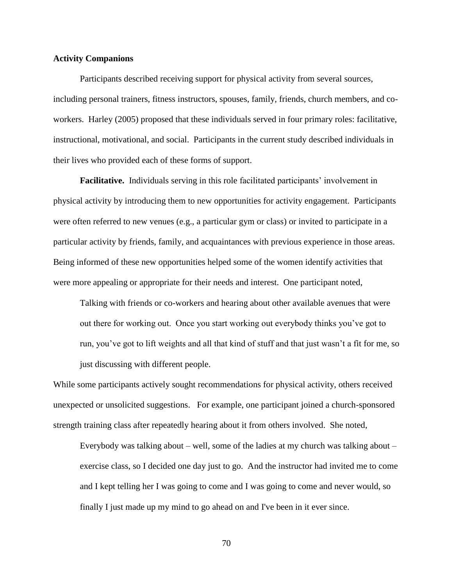# **Activity Companions**

Participants described receiving support for physical activity from several sources, including personal trainers, fitness instructors, spouses, family, friends, church members, and coworkers. Harley (2005) proposed that these individuals served in four primary roles: facilitative, instructional, motivational, and social. Participants in the current study described individuals in their lives who provided each of these forms of support.

**Facilitative.** Individuals serving in this role facilitated participants' involvement in physical activity by introducing them to new opportunities for activity engagement. Participants were often referred to new venues (e.g., a particular gym or class) or invited to participate in a particular activity by friends, family, and acquaintances with previous experience in those areas. Being informed of these new opportunities helped some of the women identify activities that were more appealing or appropriate for their needs and interest. One participant noted,

Talking with friends or co-workers and hearing about other available avenues that were out there for working out. Once you start working out everybody thinks you've got to run, you've got to lift weights and all that kind of stuff and that just wasn't a fit for me, so just discussing with different people.

While some participants actively sought recommendations for physical activity, others received unexpected or unsolicited suggestions. For example, one participant joined a church-sponsored strength training class after repeatedly hearing about it from others involved. She noted,

Everybody was talking about – well, some of the ladies at my church was talking about – exercise class, so I decided one day just to go. And the instructor had invited me to come and I kept telling her I was going to come and I was going to come and never would, so finally I just made up my mind to go ahead on and I've been in it ever since.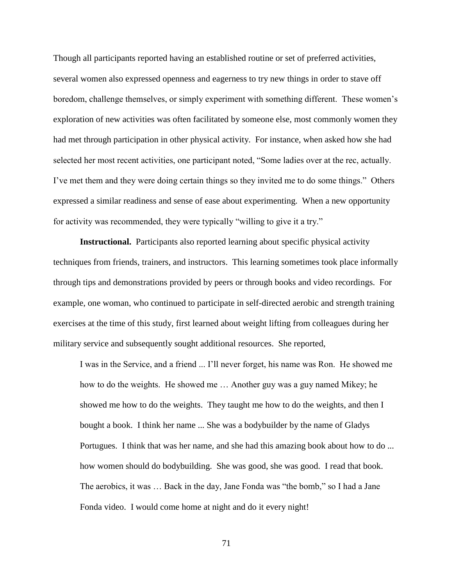Though all participants reported having an established routine or set of preferred activities, several women also expressed openness and eagerness to try new things in order to stave off boredom, challenge themselves, or simply experiment with something different. These women's exploration of new activities was often facilitated by someone else, most commonly women they had met through participation in other physical activity. For instance, when asked how she had selected her most recent activities, one participant noted, "Some ladies over at the rec, actually. I've met them and they were doing certain things so they invited me to do some things." Others expressed a similar readiness and sense of ease about experimenting. When a new opportunity for activity was recommended, they were typically "willing to give it a try."

**Instructional.** Participants also reported learning about specific physical activity techniques from friends, trainers, and instructors. This learning sometimes took place informally through tips and demonstrations provided by peers or through books and video recordings. For example, one woman, who continued to participate in self-directed aerobic and strength training exercises at the time of this study, first learned about weight lifting from colleagues during her military service and subsequently sought additional resources. She reported,

I was in the Service, and a friend ... I'll never forget, his name was Ron. He showed me how to do the weights. He showed me … Another guy was a guy named Mikey; he showed me how to do the weights. They taught me how to do the weights, and then I bought a book. I think her name ... She was a bodybuilder by the name of Gladys Portugues. I think that was her name, and she had this amazing book about how to do ... how women should do bodybuilding. She was good, she was good. I read that book. The aerobics, it was … Back in the day, Jane Fonda was "the bomb," so I had a Jane Fonda video. I would come home at night and do it every night!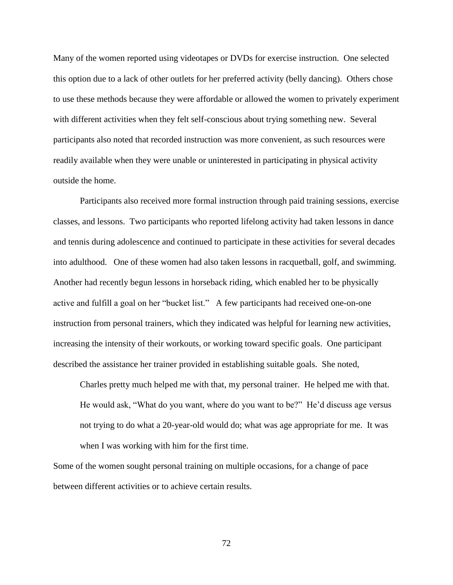Many of the women reported using videotapes or DVDs for exercise instruction. One selected this option due to a lack of other outlets for her preferred activity (belly dancing). Others chose to use these methods because they were affordable or allowed the women to privately experiment with different activities when they felt self-conscious about trying something new. Several participants also noted that recorded instruction was more convenient, as such resources were readily available when they were unable or uninterested in participating in physical activity outside the home.

Participants also received more formal instruction through paid training sessions, exercise classes, and lessons. Two participants who reported lifelong activity had taken lessons in dance and tennis during adolescence and continued to participate in these activities for several decades into adulthood. One of these women had also taken lessons in racquetball, golf, and swimming. Another had recently begun lessons in horseback riding, which enabled her to be physically active and fulfill a goal on her "bucket list." A few participants had received one-on-one instruction from personal trainers, which they indicated was helpful for learning new activities, increasing the intensity of their workouts, or working toward specific goals. One participant described the assistance her trainer provided in establishing suitable goals. She noted,

Charles pretty much helped me with that, my personal trainer. He helped me with that. He would ask, "What do you want, where do you want to be?" He'd discuss age versus not trying to do what a 20-year-old would do; what was age appropriate for me. It was when I was working with him for the first time.

Some of the women sought personal training on multiple occasions, for a change of pace between different activities or to achieve certain results.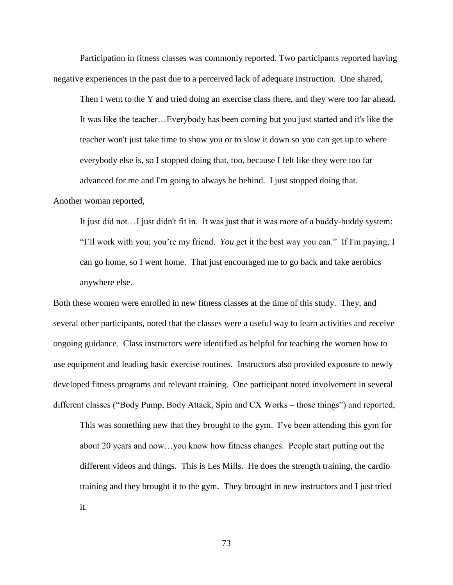Participation in fitness classes was commonly reported. Two participants reported having negative experiences in the past due to a perceived lack of adequate instruction. One shared,

Then I went to the Y and tried doing an exercise class there, and they were too far ahead. It was like the teacher…Everybody has been coming but you just started and it's like the teacher won't just take time to show you or to slow it down so you can get up to where everybody else is, so I stopped doing that, too, because I felt like they were too far advanced for me and I'm going to always be behind. I just stopped doing that.

Another woman reported,

It just did not…I just didn't fit in. It was just that it was more of a buddy-buddy system: "I'll work with you; you're my friend. *You* get it the best way you can." If I'm paying, I can go home, so I went home. That just encouraged me to go back and take aerobics anywhere else.

Both these women were enrolled in new fitness classes at the time of this study. They, and several other participants, noted that the classes were a useful way to learn activities and receive ongoing guidance. Class instructors were identified as helpful for teaching the women how to use equipment and leading basic exercise routines. Instructors also provided exposure to newly developed fitness programs and relevant training. One participant noted involvement in several different classes ("Body Pump, Body Attack, Spin and CX Works – those things") and reported,

This was something new that they brought to the gym. I've been attending this gym for about 20 years and now…you know how fitness changes. People start putting out the different videos and things. This is Les Mills. He does the strength training, the cardio training and they brought it to the gym. They brought in new instructors and I just tried it.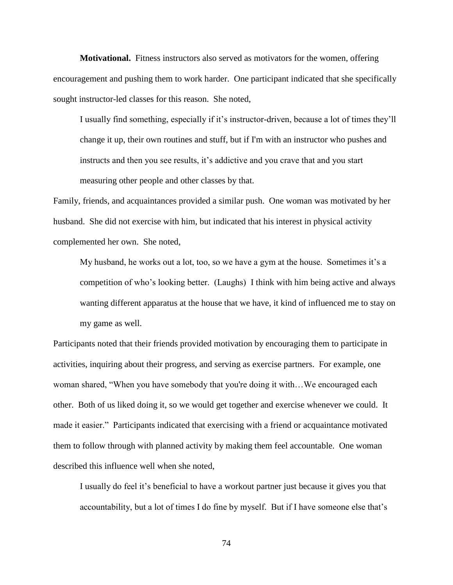**Motivational.** Fitness instructors also served as motivators for the women, offering encouragement and pushing them to work harder. One participant indicated that she specifically sought instructor-led classes for this reason. She noted,

I usually find something, especially if it's instructor-driven, because a lot of times they'll change it up, their own routines and stuff, but if I'm with an instructor who pushes and instructs and then you see results, it's addictive and you crave that and you start measuring other people and other classes by that.

Family, friends, and acquaintances provided a similar push. One woman was motivated by her husband. She did not exercise with him, but indicated that his interest in physical activity complemented her own. She noted,

My husband, he works out a lot, too, so we have a gym at the house. Sometimes it's a competition of who's looking better. (Laughs) I think with him being active and always wanting different apparatus at the house that we have, it kind of influenced me to stay on my game as well.

Participants noted that their friends provided motivation by encouraging them to participate in activities, inquiring about their progress, and serving as exercise partners. For example, one woman shared, "When you have somebody that you're doing it with...We encouraged each other. Both of us liked doing it, so we would get together and exercise whenever we could. It made it easier." Participants indicated that exercising with a friend or acquaintance motivated them to follow through with planned activity by making them feel accountable. One woman described this influence well when she noted,

I usually do feel it's beneficial to have a workout partner just because it gives you that accountability, but a lot of times I do fine by myself. But if I have someone else that's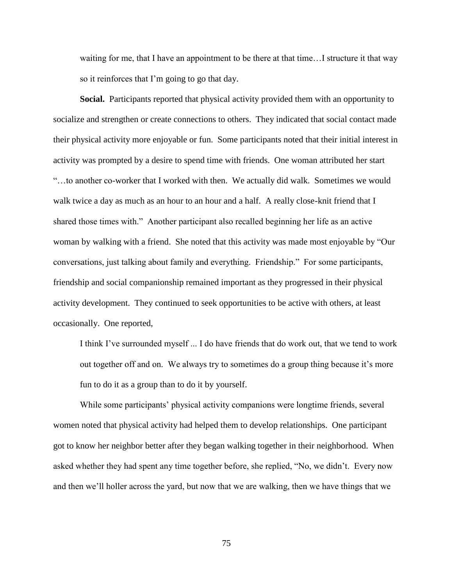waiting for me, that I have an appointment to be there at that time…I structure it that way so it reinforces that I'm going to go that day.

**Social.** Participants reported that physical activity provided them with an opportunity to socialize and strengthen or create connections to others. They indicated that social contact made their physical activity more enjoyable or fun. Some participants noted that their initial interest in activity was prompted by a desire to spend time with friends. One woman attributed her start "…to another co-worker that I worked with then. We actually did walk. Sometimes we would walk twice a day as much as an hour to an hour and a half. A really close-knit friend that I shared those times with." Another participant also recalled beginning her life as an active woman by walking with a friend. She noted that this activity was made most enjoyable by "Our conversations, just talking about family and everything. Friendship." For some participants, friendship and social companionship remained important as they progressed in their physical activity development. They continued to seek opportunities to be active with others, at least occasionally. One reported,

I think I've surrounded myself ... I do have friends that do work out, that we tend to work out together off and on. We always try to sometimes do a group thing because it's more fun to do it as a group than to do it by yourself.

While some participants' physical activity companions were longtime friends, several women noted that physical activity had helped them to develop relationships. One participant got to know her neighbor better after they began walking together in their neighborhood. When asked whether they had spent any time together before, she replied, "No, we didn't. Every now and then we'll holler across the yard, but now that we are walking, then we have things that we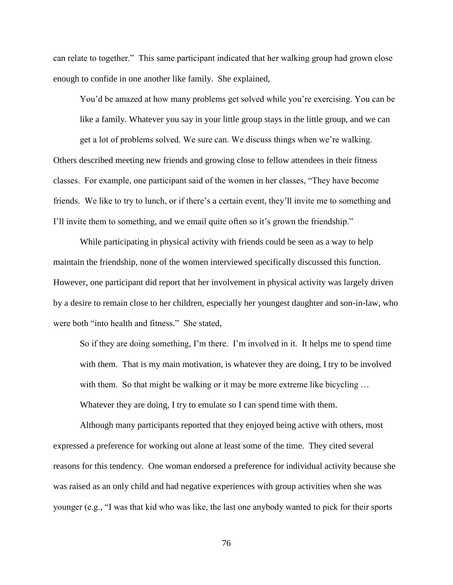can relate to together." This same participant indicated that her walking group had grown close enough to confide in one another like family. She explained,

You'd be amazed at how many problems get solved while you're exercising. You can be like a family. Whatever you say in your little group stays in the little group, and we can get a lot of problems solved. We sure can. We discuss things when we're walking. Others described meeting new friends and growing close to fellow attendees in their fitness classes. For example, one participant said of the women in her classes, "They have become friends. We like to try to lunch, or if there's a certain event, they'll invite me to something and I'll invite them to something, and we email quite often so it's grown the friendship."

While participating in physical activity with friends could be seen as a way to help maintain the friendship, none of the women interviewed specifically discussed this function. However, one participant did report that her involvement in physical activity was largely driven by a desire to remain close to her children, especially her youngest daughter and son-in-law, who were both "into health and fitness." She stated,

So if they are doing something, I'm there. I'm involved in it. It helps me to spend time with them. That is my main motivation, is whatever they are doing, I try to be involved with them. So that might be walking or it may be more extreme like bicycling ... Whatever they are doing, I try to emulate so I can spend time with them.

Although many participants reported that they enjoyed being active with others, most expressed a preference for working out alone at least some of the time. They cited several reasons for this tendency. One woman endorsed a preference for individual activity because she was raised as an only child and had negative experiences with group activities when she was younger (e.g., "I was that kid who was like, the last one anybody wanted to pick for their sports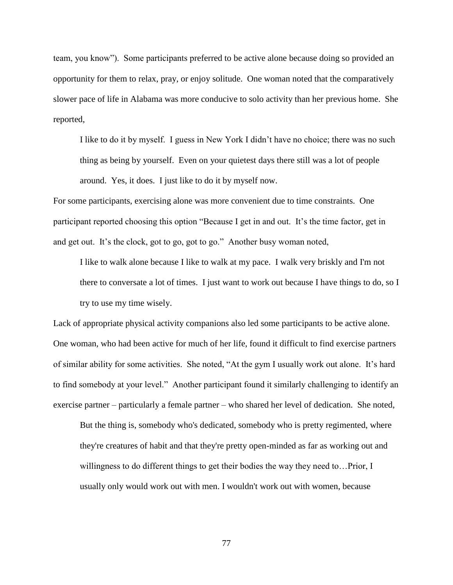team, you know"). Some participants preferred to be active alone because doing so provided an opportunity for them to relax, pray, or enjoy solitude. One woman noted that the comparatively slower pace of life in Alabama was more conducive to solo activity than her previous home. She reported,

I like to do it by myself. I guess in New York I didn't have no choice; there was no such thing as being by yourself. Even on your quietest days there still was a lot of people around. Yes, it does. I just like to do it by myself now.

For some participants, exercising alone was more convenient due to time constraints. One participant reported choosing this option "Because I get in and out. It's the time factor, get in and get out. It's the clock, got to go, got to go." Another busy woman noted,

I like to walk alone because I like to walk at my pace. I walk very briskly and I'm not there to conversate a lot of times. I just want to work out because I have things to do, so I try to use my time wisely.

Lack of appropriate physical activity companions also led some participants to be active alone. One woman, who had been active for much of her life, found it difficult to find exercise partners of similar ability for some activities. She noted, "At the gym I usually work out alone. It's hard to find somebody at your level." Another participant found it similarly challenging to identify an exercise partner – particularly a female partner – who shared her level of dedication. She noted,

But the thing is, somebody who's dedicated, somebody who is pretty regimented, where they're creatures of habit and that they're pretty open-minded as far as working out and willingness to do different things to get their bodies the way they need to…Prior, I usually only would work out with men. I wouldn't work out with women, because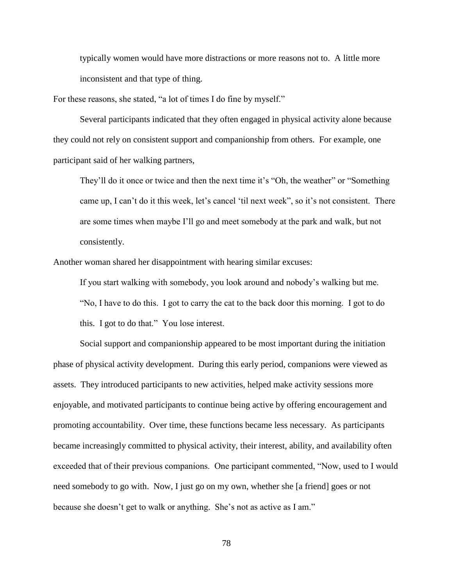typically women would have more distractions or more reasons not to. A little more inconsistent and that type of thing.

For these reasons, she stated, "a lot of times I do fine by myself."

Several participants indicated that they often engaged in physical activity alone because they could not rely on consistent support and companionship from others. For example, one participant said of her walking partners,

They'll do it once or twice and then the next time it's "Oh, the weather" or "Something came up, I can't do it this week, let's cancel 'til next week", so it's not consistent. There are some times when maybe I'll go and meet somebody at the park and walk, but not consistently.

Another woman shared her disappointment with hearing similar excuses:

If you start walking with somebody, you look around and nobody's walking but me. "No, I have to do this. I got to carry the cat to the back door this morning. I got to do this. I got to do that." You lose interest.

Social support and companionship appeared to be most important during the initiation phase of physical activity development. During this early period, companions were viewed as assets. They introduced participants to new activities, helped make activity sessions more enjoyable, and motivated participants to continue being active by offering encouragement and promoting accountability. Over time, these functions became less necessary. As participants became increasingly committed to physical activity, their interest, ability, and availability often exceeded that of their previous companions. One participant commented, "Now, used to I would need somebody to go with. Now, I just go on my own, whether she [a friend] goes or not because she doesn't get to walk or anything. She's not as active as I am."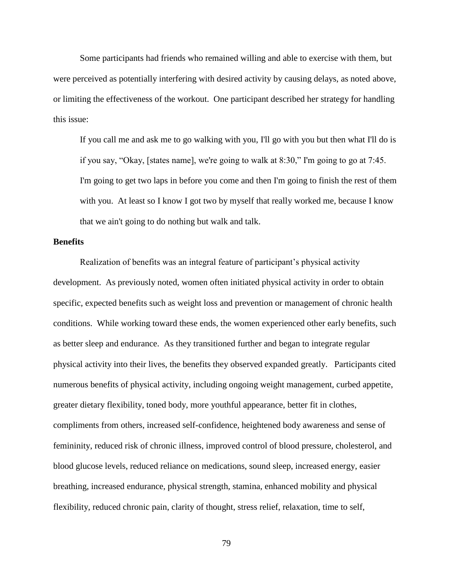Some participants had friends who remained willing and able to exercise with them, but were perceived as potentially interfering with desired activity by causing delays, as noted above, or limiting the effectiveness of the workout. One participant described her strategy for handling this issue:

If you call me and ask me to go walking with you, I'll go with you but then what I'll do is if you say, "Okay, [states name], we're going to walk at 8:30," I'm going to go at 7:45. I'm going to get two laps in before you come and then I'm going to finish the rest of them with you. At least so I know I got two by myself that really worked me, because I know that we ain't going to do nothing but walk and talk.

#### **Benefits**

Realization of benefits was an integral feature of participant's physical activity development. As previously noted, women often initiated physical activity in order to obtain specific, expected benefits such as weight loss and prevention or management of chronic health conditions. While working toward these ends, the women experienced other early benefits, such as better sleep and endurance. As they transitioned further and began to integrate regular physical activity into their lives, the benefits they observed expanded greatly. Participants cited numerous benefits of physical activity, including ongoing weight management, curbed appetite, greater dietary flexibility, toned body, more youthful appearance, better fit in clothes, compliments from others, increased self-confidence, heightened body awareness and sense of femininity, reduced risk of chronic illness, improved control of blood pressure, cholesterol, and blood glucose levels, reduced reliance on medications, sound sleep, increased energy, easier breathing, increased endurance, physical strength, stamina, enhanced mobility and physical flexibility, reduced chronic pain, clarity of thought, stress relief, relaxation, time to self,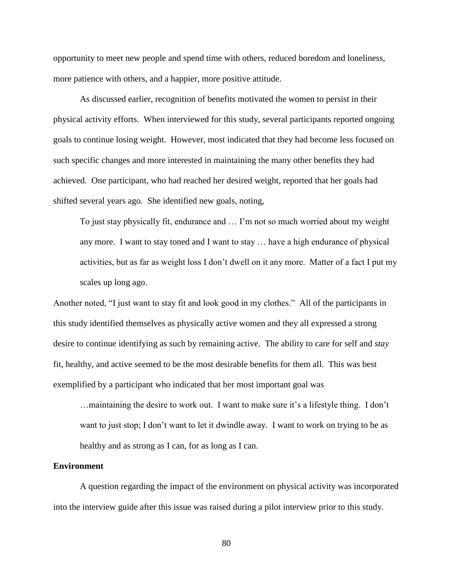opportunity to meet new people and spend time with others, reduced boredom and loneliness, more patience with others, and a happier, more positive attitude.

As discussed earlier, recognition of benefits motivated the women to persist in their physical activity efforts. When interviewed for this study, several participants reported ongoing goals to continue losing weight. However, most indicated that they had become less focused on such specific changes and more interested in maintaining the many other benefits they had achieved. One participant, who had reached her desired weight, reported that her goals had shifted several years ago. She identified new goals, noting,

To just stay physically fit, endurance and … I'm not so much worried about my weight any more. I want to stay toned and I want to stay … have a high endurance of physical activities, but as far as weight loss I don't dwell on it any more. Matter of a fact I put my scales up long ago.

Another noted, "I just want to stay fit and look good in my clothes." All of the participants in this study identified themselves as physically active women and they all expressed a strong desire to continue identifying as such by remaining active. The ability to care for self and *stay* fit, healthy, and active seemed to be the most desirable benefits for them all. This was best exemplified by a participant who indicated that her most important goal was

…maintaining the desire to work out. I want to make sure it's a lifestyle thing. I don't want to just stop; I don't want to let it dwindle away. I want to work on trying to be as healthy and as strong as I can, for as long as I can.

#### **Environment**

A question regarding the impact of the environment on physical activity was incorporated into the interview guide after this issue was raised during a pilot interview prior to this study.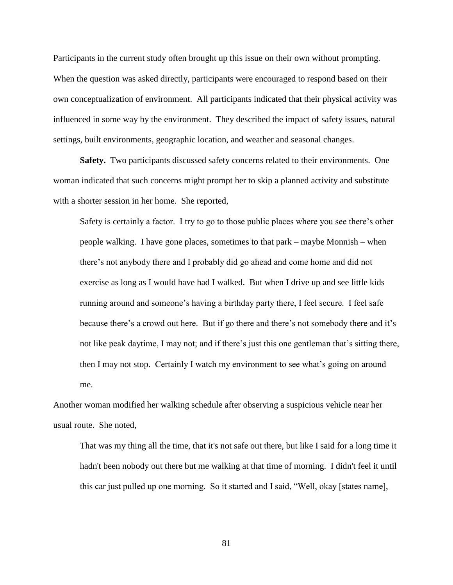Participants in the current study often brought up this issue on their own without prompting. When the question was asked directly, participants were encouraged to respond based on their own conceptualization of environment. All participants indicated that their physical activity was influenced in some way by the environment. They described the impact of safety issues, natural settings, built environments, geographic location, and weather and seasonal changes.

**Safety.** Two participants discussed safety concerns related to their environments. One woman indicated that such concerns might prompt her to skip a planned activity and substitute with a shorter session in her home. She reported,

Safety is certainly a factor. I try to go to those public places where you see there's other people walking. I have gone places, sometimes to that park – maybe Monnish – when there's not anybody there and I probably did go ahead and come home and did not exercise as long as I would have had I walked. But when I drive up and see little kids running around and someone's having a birthday party there, I feel secure. I feel safe because there's a crowd out here. But if go there and there's not somebody there and it's not like peak daytime, I may not; and if there's just this one gentleman that's sitting there, then I may not stop. Certainly I watch my environment to see what's going on around me.

Another woman modified her walking schedule after observing a suspicious vehicle near her usual route. She noted,

That was my thing all the time, that it's not safe out there, but like I said for a long time it hadn't been nobody out there but me walking at that time of morning. I didn't feel it until this car just pulled up one morning. So it started and I said, "Well, okay [states name],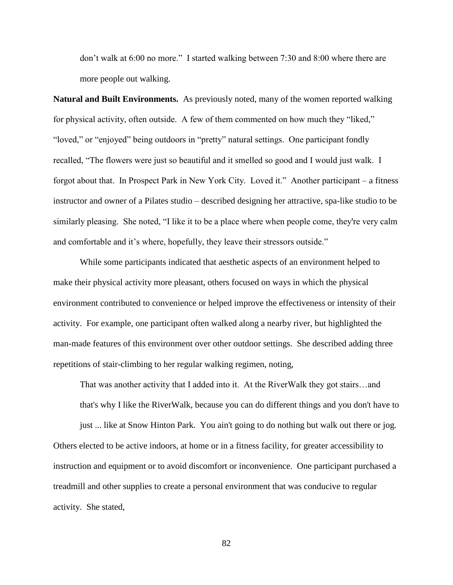don't walk at 6:00 no more." I started walking between 7:30 and 8:00 where there are more people out walking.

**Natural and Built Environments.** As previously noted, many of the women reported walking for physical activity, often outside. A few of them commented on how much they "liked," "loved," or "enjoyed" being outdoors in "pretty" natural settings. One participant fondly recalled, "The flowers were just so beautiful and it smelled so good and I would just walk. I forgot about that. In Prospect Park in New York City. Loved it." Another participant – a fitness instructor and owner of a Pilates studio – described designing her attractive, spa-like studio to be similarly pleasing. She noted, "I like it to be a place where when people come, they're very calm and comfortable and it's where, hopefully, they leave their stressors outside."

While some participants indicated that aesthetic aspects of an environment helped to make their physical activity more pleasant, others focused on ways in which the physical environment contributed to convenience or helped improve the effectiveness or intensity of their activity. For example, one participant often walked along a nearby river, but highlighted the man-made features of this environment over other outdoor settings. She described adding three repetitions of stair-climbing to her regular walking regimen, noting,

That was another activity that I added into it. At the RiverWalk they got stairs…and that's why I like the RiverWalk, because you can do different things and you don't have to

just ... like at Snow Hinton Park. You ain't going to do nothing but walk out there or jog. Others elected to be active indoors, at home or in a fitness facility, for greater accessibility to instruction and equipment or to avoid discomfort or inconvenience. One participant purchased a treadmill and other supplies to create a personal environment that was conducive to regular activity. She stated,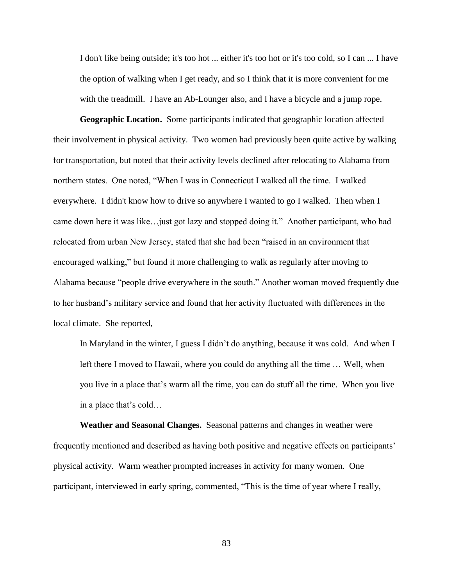I don't like being outside; it's too hot ... either it's too hot or it's too cold, so I can ... I have the option of walking when I get ready, and so I think that it is more convenient for me with the treadmill. I have an Ab-Lounger also, and I have a bicycle and a jump rope.

**Geographic Location.** Some participants indicated that geographic location affected their involvement in physical activity. Two women had previously been quite active by walking for transportation, but noted that their activity levels declined after relocating to Alabama from northern states. One noted, "When I was in Connecticut I walked all the time. I walked everywhere. I didn't know how to drive so anywhere I wanted to go I walked. Then when I came down here it was like…just got lazy and stopped doing it." Another participant, who had relocated from urban New Jersey, stated that she had been "raised in an environment that encouraged walking," but found it more challenging to walk as regularly after moving to Alabama because "people drive everywhere in the south." Another woman moved frequently due to her husband's military service and found that her activity fluctuated with differences in the local climate. She reported,

In Maryland in the winter, I guess I didn't do anything, because it was cold. And when I left there I moved to Hawaii, where you could do anything all the time … Well, when you live in a place that's warm all the time, you can do stuff all the time. When you live in a place that's cold…

**Weather and Seasonal Changes.** Seasonal patterns and changes in weather were frequently mentioned and described as having both positive and negative effects on participants' physical activity. Warm weather prompted increases in activity for many women. One participant, interviewed in early spring, commented, "This is the time of year where I really,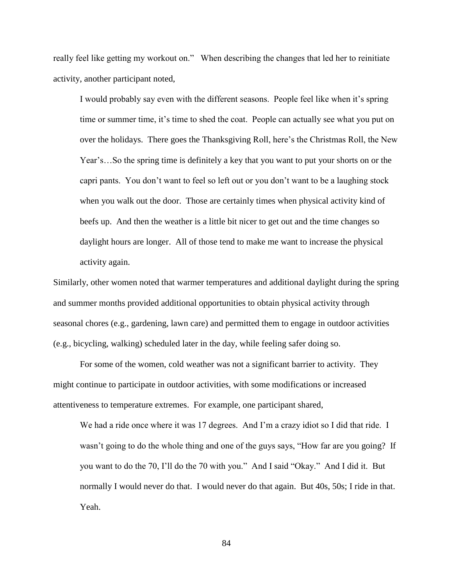really feel like getting my workout on." When describing the changes that led her to reinitiate activity, another participant noted,

I would probably say even with the different seasons. People feel like when it's spring time or summer time, it's time to shed the coat. People can actually see what you put on over the holidays. There goes the Thanksgiving Roll, here's the Christmas Roll, the New Year's…So the spring time is definitely a key that you want to put your shorts on or the capri pants. You don't want to feel so left out or you don't want to be a laughing stock when you walk out the door. Those are certainly times when physical activity kind of beefs up. And then the weather is a little bit nicer to get out and the time changes so daylight hours are longer. All of those tend to make me want to increase the physical activity again.

Similarly, other women noted that warmer temperatures and additional daylight during the spring and summer months provided additional opportunities to obtain physical activity through seasonal chores (e.g., gardening, lawn care) and permitted them to engage in outdoor activities (e.g., bicycling, walking) scheduled later in the day, while feeling safer doing so.

For some of the women, cold weather was not a significant barrier to activity. They might continue to participate in outdoor activities, with some modifications or increased attentiveness to temperature extremes. For example, one participant shared,

We had a ride once where it was 17 degrees. And I'm a crazy idiot so I did that ride. I wasn't going to do the whole thing and one of the guys says, "How far are you going? If you want to do the 70, I'll do the 70 with you." And I said "Okay." And I did it. But normally I would never do that. I would never do that again. But 40s, 50s; I ride in that. Yeah.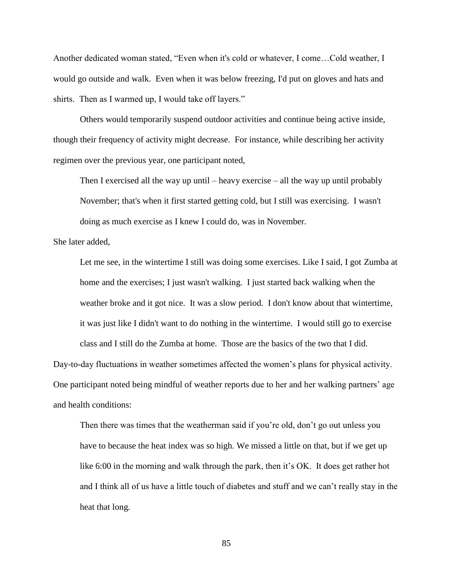Another dedicated woman stated, "Even when it's cold or whatever, I come…Cold weather, I would go outside and walk. Even when it was below freezing, I'd put on gloves and hats and shirts. Then as I warmed up, I would take off layers."

Others would temporarily suspend outdoor activities and continue being active inside, though their frequency of activity might decrease. For instance, while describing her activity regimen over the previous year, one participant noted,

Then I exercised all the way up until – heavy exercise – all the way up until probably November; that's when it first started getting cold, but I still was exercising. I wasn't doing as much exercise as I knew I could do, was in November.

She later added,

Let me see, in the wintertime I still was doing some exercises. Like I said, I got Zumba at home and the exercises; I just wasn't walking. I just started back walking when the weather broke and it got nice. It was a slow period. I don't know about that wintertime, it was just like I didn't want to do nothing in the wintertime. I would still go to exercise

class and I still do the Zumba at home. Those are the basics of the two that I did. Day-to-day fluctuations in weather sometimes affected the women's plans for physical activity. One participant noted being mindful of weather reports due to her and her walking partners' age and health conditions:

Then there was times that the weatherman said if you're old, don't go out unless you have to because the heat index was so high. We missed a little on that, but if we get up like 6:00 in the morning and walk through the park, then it's OK. It does get rather hot and I think all of us have a little touch of diabetes and stuff and we can't really stay in the heat that long.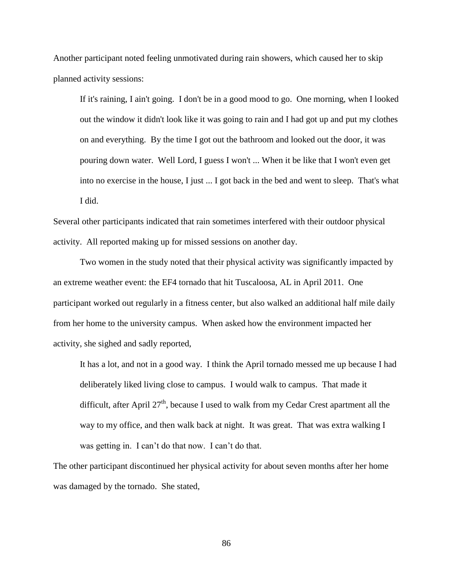Another participant noted feeling unmotivated during rain showers, which caused her to skip planned activity sessions:

If it's raining, I ain't going. I don't be in a good mood to go. One morning, when I looked out the window it didn't look like it was going to rain and I had got up and put my clothes on and everything. By the time I got out the bathroom and looked out the door, it was pouring down water. Well Lord, I guess I won't ... When it be like that I won't even get into no exercise in the house, I just ... I got back in the bed and went to sleep. That's what I did.

Several other participants indicated that rain sometimes interfered with their outdoor physical activity. All reported making up for missed sessions on another day.

Two women in the study noted that their physical activity was significantly impacted by an extreme weather event: the EF4 tornado that hit Tuscaloosa, AL in April 2011. One participant worked out regularly in a fitness center, but also walked an additional half mile daily from her home to the university campus. When asked how the environment impacted her activity, she sighed and sadly reported,

It has a lot, and not in a good way. I think the April tornado messed me up because I had deliberately liked living close to campus. I would walk to campus. That made it difficult, after April  $27<sup>th</sup>$ , because I used to walk from my Cedar Crest apartment all the way to my office, and then walk back at night. It was great. That was extra walking I was getting in. I can't do that now. I can't do that.

The other participant discontinued her physical activity for about seven months after her home was damaged by the tornado. She stated,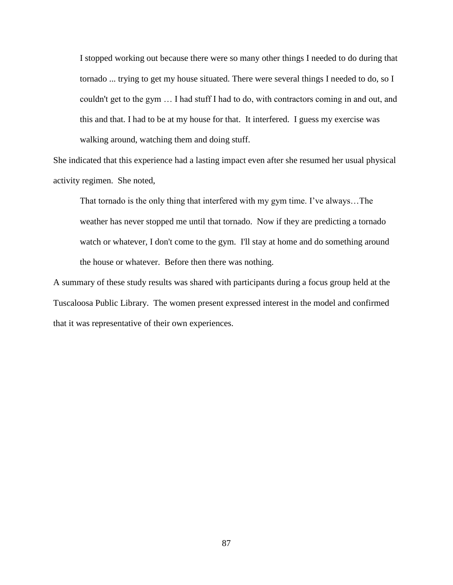I stopped working out because there were so many other things I needed to do during that tornado ... trying to get my house situated. There were several things I needed to do, so I couldn't get to the gym … I had stuff I had to do, with contractors coming in and out, and this and that. I had to be at my house for that. It interfered. I guess my exercise was walking around, watching them and doing stuff.

She indicated that this experience had a lasting impact even after she resumed her usual physical activity regimen. She noted,

That tornado is the only thing that interfered with my gym time. I've always…The weather has never stopped me until that tornado. Now if they are predicting a tornado watch or whatever, I don't come to the gym. I'll stay at home and do something around the house or whatever. Before then there was nothing.

A summary of these study results was shared with participants during a focus group held at the Tuscaloosa Public Library. The women present expressed interest in the model and confirmed that it was representative of their own experiences.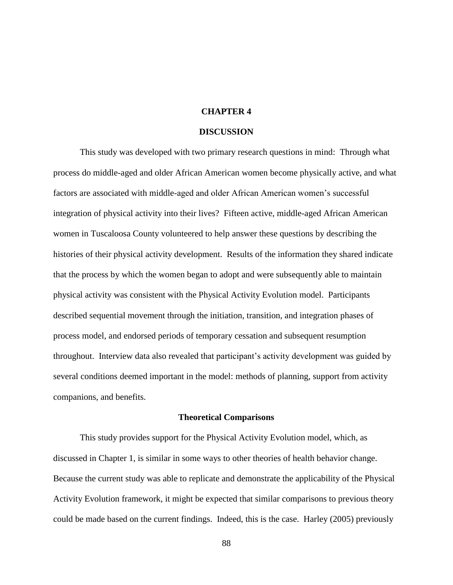# **CHAPTER 4**

#### **DISCUSSION**

This study was developed with two primary research questions in mind: Through what process do middle-aged and older African American women become physically active, and what factors are associated with middle-aged and older African American women's successful integration of physical activity into their lives? Fifteen active, middle-aged African American women in Tuscaloosa County volunteered to help answer these questions by describing the histories of their physical activity development. Results of the information they shared indicate that the process by which the women began to adopt and were subsequently able to maintain physical activity was consistent with the Physical Activity Evolution model. Participants described sequential movement through the initiation, transition, and integration phases of process model, and endorsed periods of temporary cessation and subsequent resumption throughout. Interview data also revealed that participant's activity development was guided by several conditions deemed important in the model: methods of planning, support from activity companions, and benefits.

#### **Theoretical Comparisons**

This study provides support for the Physical Activity Evolution model, which, as discussed in Chapter 1, is similar in some ways to other theories of health behavior change. Because the current study was able to replicate and demonstrate the applicability of the Physical Activity Evolution framework, it might be expected that similar comparisons to previous theory could be made based on the current findings. Indeed, this is the case. Harley (2005) previously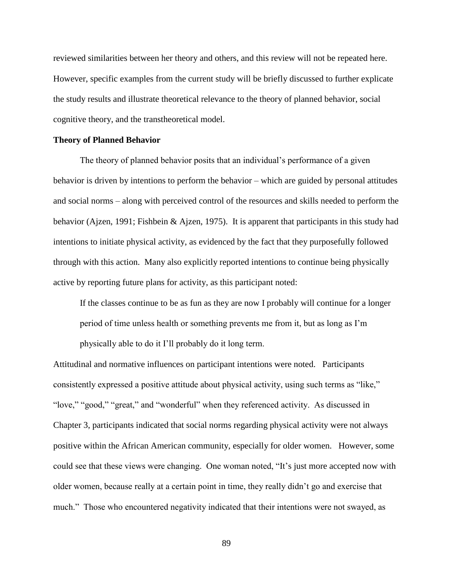reviewed similarities between her theory and others, and this review will not be repeated here. However, specific examples from the current study will be briefly discussed to further explicate the study results and illustrate theoretical relevance to the theory of planned behavior, social cognitive theory, and the transtheoretical model.

## **Theory of Planned Behavior**

The theory of planned behavior posits that an individual's performance of a given behavior is driven by intentions to perform the behavior – which are guided by personal attitudes and social norms – along with perceived control of the resources and skills needed to perform the behavior (Ajzen, 1991; Fishbein & Ajzen, 1975). It is apparent that participants in this study had intentions to initiate physical activity, as evidenced by the fact that they purposefully followed through with this action. Many also explicitly reported intentions to continue being physically active by reporting future plans for activity, as this participant noted:

If the classes continue to be as fun as they are now I probably will continue for a longer period of time unless health or something prevents me from it, but as long as I'm physically able to do it I'll probably do it long term.

Attitudinal and normative influences on participant intentions were noted. Participants consistently expressed a positive attitude about physical activity, using such terms as "like," "love," "good," "great," and "wonderful" when they referenced activity. As discussed in Chapter 3, participants indicated that social norms regarding physical activity were not always positive within the African American community, especially for older women. However, some could see that these views were changing. One woman noted, "It's just more accepted now with older women, because really at a certain point in time, they really didn't go and exercise that much." Those who encountered negativity indicated that their intentions were not swayed, as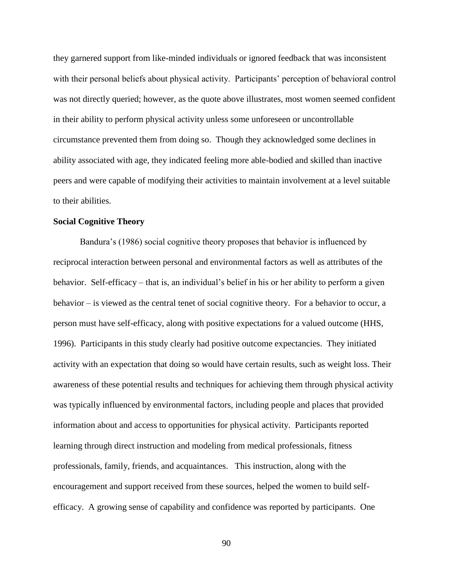they garnered support from like-minded individuals or ignored feedback that was inconsistent with their personal beliefs about physical activity. Participants' perception of behavioral control was not directly queried; however, as the quote above illustrates, most women seemed confident in their ability to perform physical activity unless some unforeseen or uncontrollable circumstance prevented them from doing so. Though they acknowledged some declines in ability associated with age, they indicated feeling more able-bodied and skilled than inactive peers and were capable of modifying their activities to maintain involvement at a level suitable to their abilities.

# **Social Cognitive Theory**

Bandura's (1986) social cognitive theory proposes that behavior is influenced by reciprocal interaction between personal and environmental factors as well as attributes of the behavior. Self-efficacy – that is, an individual's belief in his or her ability to perform a given behavior – is viewed as the central tenet of social cognitive theory. For a behavior to occur, a person must have self-efficacy, along with positive expectations for a valued outcome (HHS, 1996). Participants in this study clearly had positive outcome expectancies. They initiated activity with an expectation that doing so would have certain results, such as weight loss. Their awareness of these potential results and techniques for achieving them through physical activity was typically influenced by environmental factors, including people and places that provided information about and access to opportunities for physical activity. Participants reported learning through direct instruction and modeling from medical professionals, fitness professionals, family, friends, and acquaintances. This instruction, along with the encouragement and support received from these sources, helped the women to build selfefficacy. A growing sense of capability and confidence was reported by participants. One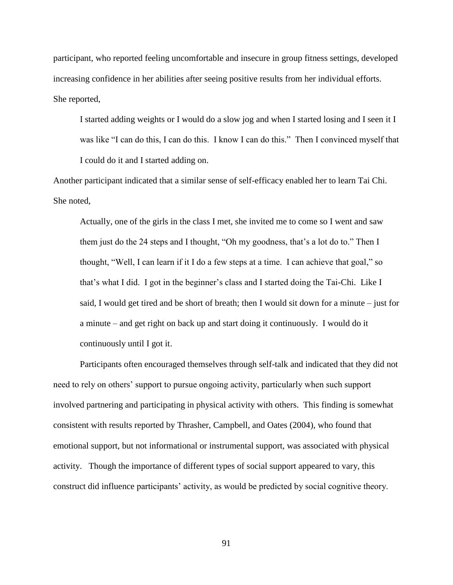participant, who reported feeling uncomfortable and insecure in group fitness settings, developed increasing confidence in her abilities after seeing positive results from her individual efforts. She reported,

I started adding weights or I would do a slow jog and when I started losing and I seen it I was like "I can do this, I can do this. I know I can do this." Then I convinced myself that I could do it and I started adding on.

Another participant indicated that a similar sense of self-efficacy enabled her to learn Tai Chi. She noted,

Actually, one of the girls in the class I met, she invited me to come so I went and saw them just do the 24 steps and I thought, "Oh my goodness, that's a lot do to." Then I thought, "Well, I can learn if it I do a few steps at a time. I can achieve that goal," so that's what I did. I got in the beginner's class and I started doing the Tai-Chi. Like I said, I would get tired and be short of breath; then I would sit down for a minute – just for a minute – and get right on back up and start doing it continuously. I would do it continuously until I got it.

Participants often encouraged themselves through self-talk and indicated that they did not need to rely on others' support to pursue ongoing activity, particularly when such support involved partnering and participating in physical activity with others. This finding is somewhat consistent with results reported by Thrasher, Campbell, and Oates (2004), who found that emotional support, but not informational or instrumental support, was associated with physical activity. Though the importance of different types of social support appeared to vary, this construct did influence participants' activity, as would be predicted by social cognitive theory.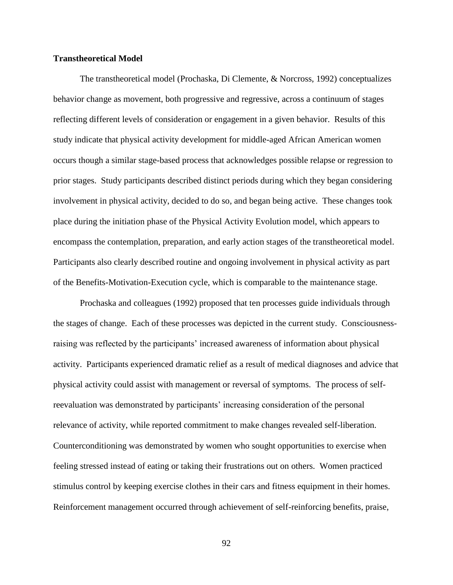# **Transtheoretical Model**

The transtheoretical model (Prochaska, Di Clemente, & Norcross, 1992) conceptualizes behavior change as movement, both progressive and regressive, across a continuum of stages reflecting different levels of consideration or engagement in a given behavior. Results of this study indicate that physical activity development for middle-aged African American women occurs though a similar stage-based process that acknowledges possible relapse or regression to prior stages. Study participants described distinct periods during which they began considering involvement in physical activity, decided to do so, and began being active. These changes took place during the initiation phase of the Physical Activity Evolution model, which appears to encompass the contemplation, preparation, and early action stages of the transtheoretical model. Participants also clearly described routine and ongoing involvement in physical activity as part of the Benefits-Motivation-Execution cycle, which is comparable to the maintenance stage.

Prochaska and colleagues (1992) proposed that ten processes guide individuals through the stages of change. Each of these processes was depicted in the current study. Consciousnessraising was reflected by the participants' increased awareness of information about physical activity. Participants experienced dramatic relief as a result of medical diagnoses and advice that physical activity could assist with management or reversal of symptoms. The process of selfreevaluation was demonstrated by participants' increasing consideration of the personal relevance of activity, while reported commitment to make changes revealed self-liberation. Counterconditioning was demonstrated by women who sought opportunities to exercise when feeling stressed instead of eating or taking their frustrations out on others. Women practiced stimulus control by keeping exercise clothes in their cars and fitness equipment in their homes. Reinforcement management occurred through achievement of self-reinforcing benefits, praise,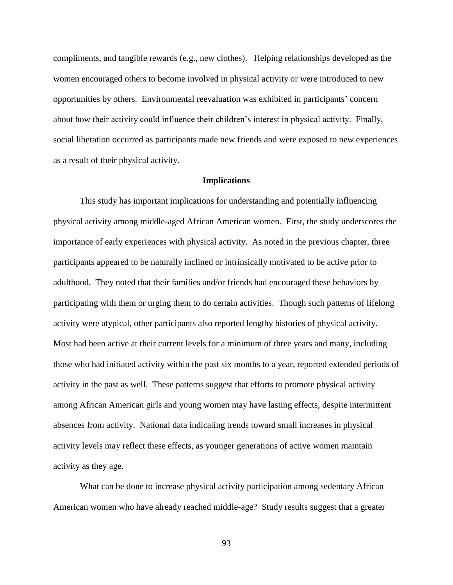compliments, and tangible rewards (e.g., new clothes). Helping relationships developed as the women encouraged others to become involved in physical activity or were introduced to new opportunities by others. Environmental reevaluation was exhibited in participants' concern about how their activity could influence their children's interest in physical activity. Finally, social liberation occurred as participants made new friends and were exposed to new experiences as a result of their physical activity.

## **Implications**

This study has important implications for understanding and potentially influencing physical activity among middle-aged African American women. First, the study underscores the importance of early experiences with physical activity. As noted in the previous chapter, three participants appeared to be naturally inclined or intrinsically motivated to be active prior to adulthood. They noted that their families and/or friends had encouraged these behaviors by participating with them or urging them to do certain activities. Though such patterns of lifelong activity were atypical, other participants also reported lengthy histories of physical activity. Most had been active at their current levels for a minimum of three years and many, including those who had initiated activity within the past six months to a year, reported extended periods of activity in the past as well. These patterns suggest that efforts to promote physical activity among African American girls and young women may have lasting effects, despite intermittent absences from activity. National data indicating trends toward small increases in physical activity levels may reflect these effects, as younger generations of active women maintain activity as they age.

What can be done to increase physical activity participation among sedentary African American women who have already reached middle-age? Study results suggest that a greater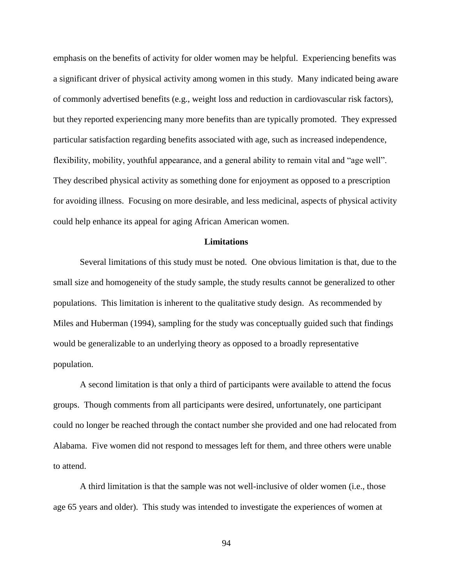emphasis on the benefits of activity for older women may be helpful. Experiencing benefits was a significant driver of physical activity among women in this study. Many indicated being aware of commonly advertised benefits (e.g., weight loss and reduction in cardiovascular risk factors), but they reported experiencing many more benefits than are typically promoted. They expressed particular satisfaction regarding benefits associated with age, such as increased independence, flexibility, mobility, youthful appearance, and a general ability to remain vital and "age well". They described physical activity as something done for enjoyment as opposed to a prescription for avoiding illness. Focusing on more desirable, and less medicinal, aspects of physical activity could help enhance its appeal for aging African American women.

#### **Limitations**

Several limitations of this study must be noted. One obvious limitation is that, due to the small size and homogeneity of the study sample, the study results cannot be generalized to other populations. This limitation is inherent to the qualitative study design. As recommended by Miles and Huberman (1994), sampling for the study was conceptually guided such that findings would be generalizable to an underlying theory as opposed to a broadly representative population.

A second limitation is that only a third of participants were available to attend the focus groups. Though comments from all participants were desired, unfortunately, one participant could no longer be reached through the contact number she provided and one had relocated from Alabama. Five women did not respond to messages left for them, and three others were unable to attend.

A third limitation is that the sample was not well-inclusive of older women (i.e., those age 65 years and older). This study was intended to investigate the experiences of women at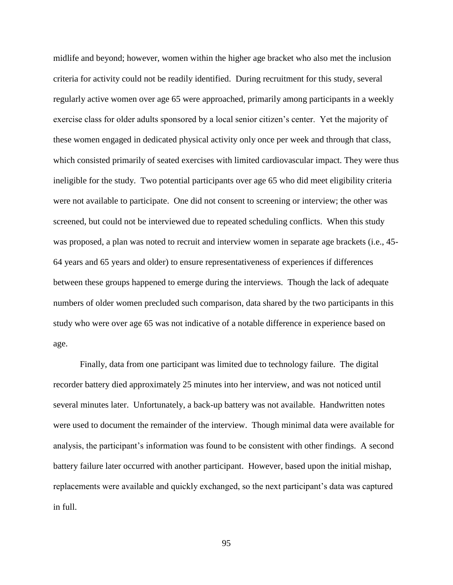midlife and beyond; however, women within the higher age bracket who also met the inclusion criteria for activity could not be readily identified. During recruitment for this study, several regularly active women over age 65 were approached, primarily among participants in a weekly exercise class for older adults sponsored by a local senior citizen's center. Yet the majority of these women engaged in dedicated physical activity only once per week and through that class, which consisted primarily of seated exercises with limited cardiovascular impact. They were thus ineligible for the study. Two potential participants over age 65 who did meet eligibility criteria were not available to participate. One did not consent to screening or interview; the other was screened, but could not be interviewed due to repeated scheduling conflicts. When this study was proposed, a plan was noted to recruit and interview women in separate age brackets (i.e., 45- 64 years and 65 years and older) to ensure representativeness of experiences if differences between these groups happened to emerge during the interviews. Though the lack of adequate numbers of older women precluded such comparison, data shared by the two participants in this study who were over age 65 was not indicative of a notable difference in experience based on age.

Finally, data from one participant was limited due to technology failure. The digital recorder battery died approximately 25 minutes into her interview, and was not noticed until several minutes later. Unfortunately, a back-up battery was not available. Handwritten notes were used to document the remainder of the interview. Though minimal data were available for analysis, the participant's information was found to be consistent with other findings. A second battery failure later occurred with another participant. However, based upon the initial mishap, replacements were available and quickly exchanged, so the next participant's data was captured in full.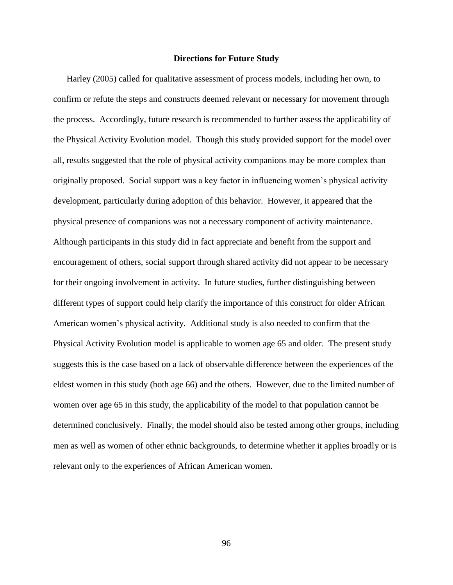## **Directions for Future Study**

Harley (2005) called for qualitative assessment of process models, including her own, to confirm or refute the steps and constructs deemed relevant or necessary for movement through the process. Accordingly, future research is recommended to further assess the applicability of the Physical Activity Evolution model. Though this study provided support for the model over all, results suggested that the role of physical activity companions may be more complex than originally proposed. Social support was a key factor in influencing women's physical activity development, particularly during adoption of this behavior. However, it appeared that the physical presence of companions was not a necessary component of activity maintenance. Although participants in this study did in fact appreciate and benefit from the support and encouragement of others, social support through shared activity did not appear to be necessary for their ongoing involvement in activity. In future studies, further distinguishing between different types of support could help clarify the importance of this construct for older African American women's physical activity. Additional study is also needed to confirm that the Physical Activity Evolution model is applicable to women age 65 and older. The present study suggests this is the case based on a lack of observable difference between the experiences of the eldest women in this study (both age 66) and the others. However, due to the limited number of women over age 65 in this study, the applicability of the model to that population cannot be determined conclusively. Finally, the model should also be tested among other groups, including men as well as women of other ethnic backgrounds, to determine whether it applies broadly or is relevant only to the experiences of African American women.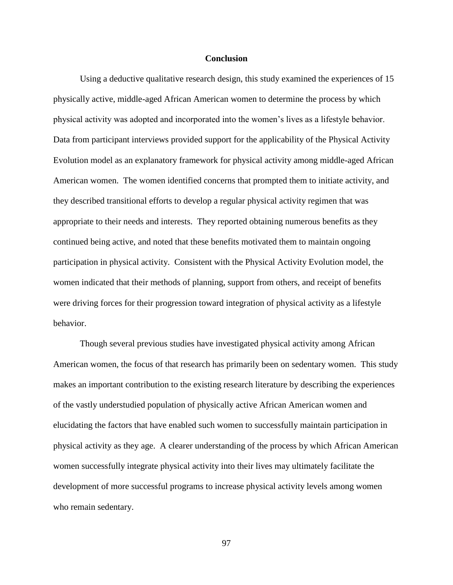### **Conclusion**

Using a deductive qualitative research design, this study examined the experiences of 15 physically active, middle-aged African American women to determine the process by which physical activity was adopted and incorporated into the women's lives as a lifestyle behavior. Data from participant interviews provided support for the applicability of the Physical Activity Evolution model as an explanatory framework for physical activity among middle-aged African American women. The women identified concerns that prompted them to initiate activity, and they described transitional efforts to develop a regular physical activity regimen that was appropriate to their needs and interests. They reported obtaining numerous benefits as they continued being active, and noted that these benefits motivated them to maintain ongoing participation in physical activity. Consistent with the Physical Activity Evolution model, the women indicated that their methods of planning, support from others, and receipt of benefits were driving forces for their progression toward integration of physical activity as a lifestyle behavior.

Though several previous studies have investigated physical activity among African American women, the focus of that research has primarily been on sedentary women. This study makes an important contribution to the existing research literature by describing the experiences of the vastly understudied population of physically active African American women and elucidating the factors that have enabled such women to successfully maintain participation in physical activity as they age. A clearer understanding of the process by which African American women successfully integrate physical activity into their lives may ultimately facilitate the development of more successful programs to increase physical activity levels among women who remain sedentary.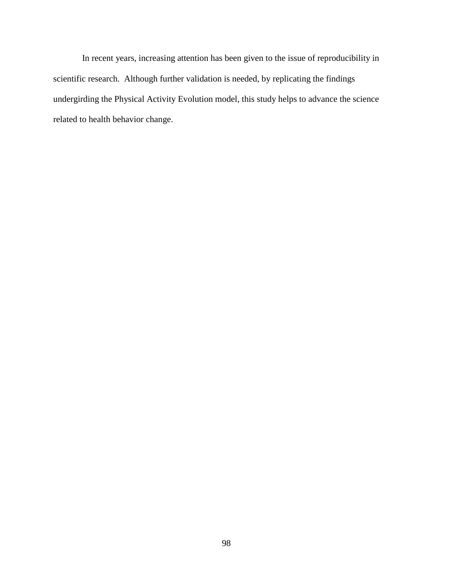In recent years, increasing attention has been given to the issue of reproducibility in scientific research. Although further validation is needed, by replicating the findings undergirding the Physical Activity Evolution model, this study helps to advance the science related to health behavior change.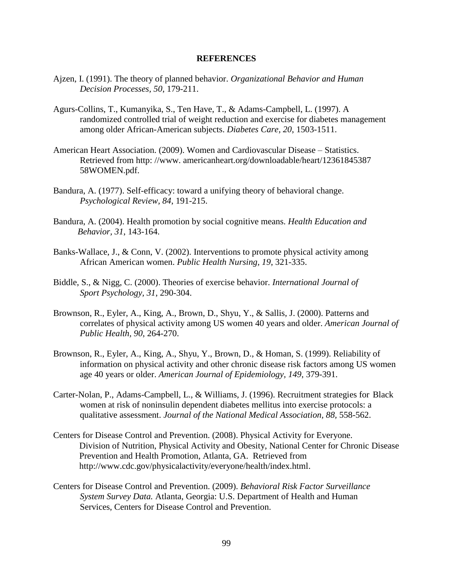#### **REFERENCES**

- Ajzen, I. (1991). The theory of planned behavior. *Organizational Behavior and Human Decision Processes, 50*, 179-211.
- Agurs-Collins, T., Kumanyika, S., Ten Have, T., & Adams-Campbell, L. (1997). A randomized controlled trial of weight reduction and exercise for diabetes management among older African-American subjects. *Diabetes Care, 20*, 1503-1511.
- American Heart Association. (2009). Women and Cardiovascular Disease Statistics. Retrieved from http: //www. americanheart.org/downloadable/heart/12361845387 58WOMEN.pdf.
- Bandura, A. (1977). Self-efficacy: toward a unifying theory of behavioral change. *Psychological Review, 84*, 191-215.
- Bandura, A. (2004). Health promotion by social cognitive means. *Health Education and Behavior, 31*, 143-164.
- Banks-Wallace, J., & Conn, V. (2002). Interventions to promote physical activity among African American women. *Public Health Nursing, 19*, 321-335.
- Biddle, S., & Nigg, C. (2000). Theories of exercise behavior. *International Journal of Sport Psychology, 31*, 290-304.
- Brownson, R., Eyler, A., King, A., Brown, D., Shyu, Y., & Sallis, J. (2000). Patterns and correlates of physical activity among US women 40 years and older. *American Journal of Public Health, 90*, 264-270.
- Brownson, R., Eyler, A., King, A., Shyu, Y., Brown, D., & Homan, S. (1999). Reliability of information on physical activity and other chronic disease risk factors among US women age 40 years or older. *American Journal of Epidemiology, 149*, 379-391.
- Carter-Nolan, P., Adams-Campbell, L., & Williams, J. (1996). Recruitment strategies for Black women at risk of noninsulin dependent diabetes mellitus into exercise protocols: a qualitative assessment. *Journal of the National Medical Association, 88,* 558-562.
- Centers for Disease Control and Prevention. (2008). Physical Activity for Everyone. Division of Nutrition, Physical Activity and Obesity, National Center for Chronic Disease Prevention and Health Promotion, Atlanta, GA. Retrieved from [http://www.cdc.gov/physicalactivity/everyone/health/index.html.](http://www.cdc.gov/physicalactivity/everyone/health/index.html)
- Centers for Disease Control and Prevention. (2009). *Behavioral Risk Factor Surveillance System Survey Data.* Atlanta, Georgia: U.S. Department of Health and Human Services, Centers for Disease Control and Prevention.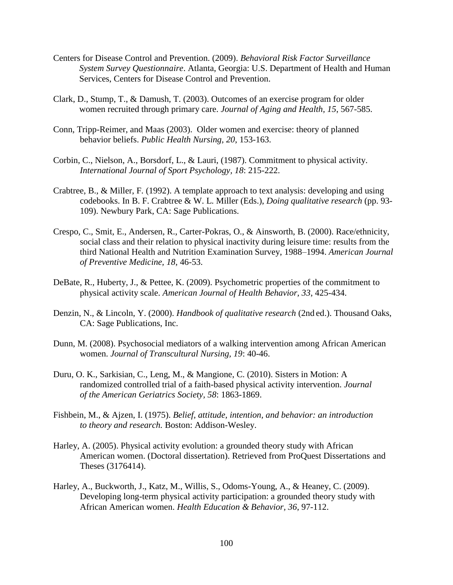- Centers for Disease Control and Prevention. (2009). *Behavioral Risk Factor Surveillance System Survey Questionnaire*. Atlanta, Georgia: U.S. Department of Health and Human Services, Centers for Disease Control and Prevention.
- Clark, D., Stump, T., & Damush, T. (2003). Outcomes of an exercise program for older women recruited through primary care. *Journal of Aging and Health, 15*, 567-585.
- Conn, Tripp-Reimer, and Maas (2003). Older women and exercise: theory of planned behavior beliefs. *Public Health Nursing, 20*, 153-163.
- Corbin, C., Nielson, A., Borsdorf, L., & Lauri, (1987). Commitment to physical activity. *International Journal of Sport Psychology, 18*: 215-222.
- Crabtree, B., & Miller, F. (1992). A template approach to text analysis: developing and using codebooks. In B. F. Crabtree & W. L. Miller (Eds.), *Doing qualitative research* (pp. 93- 109). Newbury Park, CA: Sage Publications.
- Crespo, C., Smit, E., Andersen, R., Carter-Pokras, O., & Ainsworth, B. (2000). Race/ethnicity, social class and their relation to physical inactivity during leisure time: results from the third National Health and Nutrition Examination Survey, 1988–1994. *American Journal of Preventive Medicine, 18*, 46-53.
- DeBate, R., Huberty, J., & Pettee, K. (2009). Psychometric properties of the commitment to physical activity scale. *American Journal of Health Behavior, 33*, 425-434.
- Denzin, N., & Lincoln, Y. (2000). *Handbook of qualitative research* (2nd ed.). Thousand Oaks, CA: Sage Publications, Inc.
- Dunn, M. (2008). Psychosocial mediators of a walking intervention among African American women. *Journal of Transcultural Nursing, 19*: 40-46.
- Duru, O. K., Sarkisian, C., Leng, M., & Mangione, C. (2010). Sisters in Motion: A randomized controlled trial of a faith-based physical activity intervention. *Journal of the American Geriatrics Society, 58*: 1863-1869.
- Fishbein, M., & Ajzen, I. (1975). *Belief, attitude, intention, and behavior: an introduction to theory and research.* Boston: Addison-Wesley.
- Harley, A. (2005). Physical activity evolution: a grounded theory study with African American women. (Doctoral dissertation). Retrieved from ProQuest Dissertations and Theses (3176414).
- Harley, A., Buckworth, J., Katz, M., Willis, S., Odoms-Young, A., & Heaney, C. (2009). Developing long-term physical activity participation: a grounded theory study with African American women. *Health Education & Behavior, 36*, 97-112.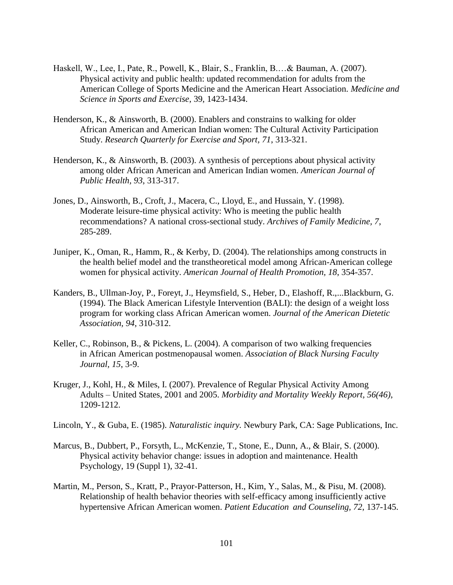- Haskell, W., Lee, I., Pate, R., Powell, K., Blair, S., Franklin, B.…& Bauman, A. (2007). Physical activity and public health: updated recommendation for adults from the American College of Sports Medicine and the American Heart Association. *Medicine and Science in Sports and Exercise*, 39, 1423-1434.
- Henderson, K., & Ainsworth, B. (2000). Enablers and constrains to walking for older African American and American Indian women: The Cultural Activity Participation Study. *Research Quarterly for Exercise and Sport, 71*, 313-321.
- Henderson, K., & Ainsworth, B. (2003). A synthesis of perceptions about physical activity among older African American and American Indian women. *American Journal of Public Health, 93*, 313-317.
- Jones, D., Ainsworth, B., Croft, J., Macera, C., Lloyd, E., and Hussain, Y. (1998). Moderate leisure-time physical activity: Who is meeting the public health recommendations? A national cross-sectional study. *Archives of Family Medicine, 7*, 285-289.
- Juniper, K., Oman, R., Hamm, R., & Kerby, D. (2004). The relationships among constructs in the health belief model and the transtheoretical model among African-American college women for physical activity. *American Journal of Health Promotion, 18*, 354-357.
- Kanders, B., Ullman-Joy, P., Foreyt, J., Heymsfield, S., Heber, D., Elashoff, R.,...Blackburn, G. (1994). The Black American Lifestyle Intervention (BALI): the design of a weight loss program for working class African American women. *Journal of the American Dietetic Association, 94*, 310-312.
- Keller, C., Robinson, B., & Pickens, L. (2004). A comparison of two walking frequencies in African American postmenopausal women. *Association of Black Nursing Faculty Journal, 15*, 3-9.
- Kruger, J., Kohl, H., & Miles, I. (2007). Prevalence of Regular Physical Activity Among Adults – United States, 2001 and 2005. *Morbidity and Mortality Weekly Report, 56(46)*, 1209-1212.
- Lincoln, Y., & Guba, E. (1985). *Naturalistic inquiry.* Newbury Park, CA: Sage Publications, Inc.
- Marcus, B., Dubbert, P., Forsyth, L., McKenzie, T., Stone, E., Dunn, A., & Blair, S. (2000). Physical activity behavior change: issues in adoption and maintenance. Health Psychology, 19 (Suppl 1), 32-41.
- Martin, M., Person, S., Kratt, P., Prayor-Patterson, H., Kim, Y., Salas, M., & Pisu, M. (2008). Relationship of health behavior theories with self-efficacy among insufficiently active hypertensive African American women. *Patient Education and Counseling, 72*, 137-145.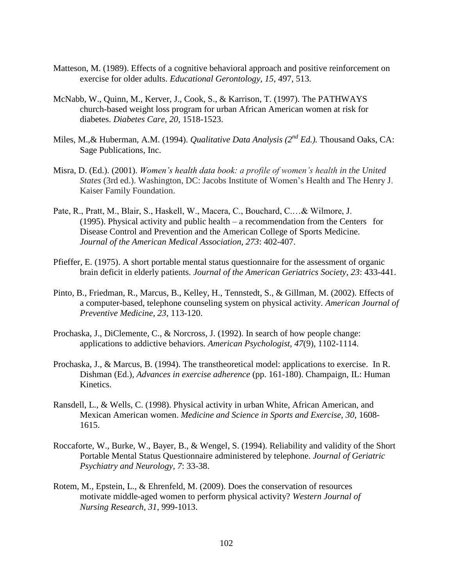- Matteson, M. (1989). Effects of a cognitive behavioral approach and positive reinforcement on exercise for older adults. *Educational Gerontology*, *15*, 497, 513.
- McNabb, W., Quinn, M., Kerver, J., Cook, S., & Karrison, T. (1997). The PATHWAYS church-based weight loss program for urban African American women at risk for diabetes. *Diabetes Care, 20*, 1518-1523.
- Miles, M.,& Huberman, A.M. (1994). *Qualitative Data Analysis (2nd Ed.).* Thousand Oaks, CA: Sage Publications, Inc.
- Misra, D. (Ed.). (2001). *Women's health data book: a profile of women's health in the United States* (3rd ed.). Washington, DC: Jacobs Institute of Women's Health and The Henry J. Kaiser Family Foundation.
- Pate, R., Pratt, M., Blair, S., Haskell, W., Macera, C., Bouchard, C.…& Wilmore, J. (1995). Physical activity and public health – a recommendation from the Centers for Disease Control and Prevention and the American College of Sports Medicine. *Journal of the American Medical Association, 273*: 402-407.
- Pfieffer, E. (1975). A short portable mental status questionnaire for the assessment of organic brain deficit in elderly patients. *Journal of the American Geriatrics Society, 23*: 433-441.
- Pinto, B., Friedman, R., Marcus, B., Kelley, H., Tennstedt, S., & Gillman, M. (2002). Effects of a computer-based, telephone counseling system on physical activity. *American Journal of Preventive Medicine, 23*, 113-120.
- Prochaska, J., DiClemente, C., & Norcross, J. (1992). In search of how people change: applications to addictive behaviors. *American Psychologist, 47*(9), 1102-1114.
- Prochaska, J., & Marcus, B. (1994). The transtheoretical model: applications to exercise. In R. Dishman (Ed.), *Advances in exercise adherence* (pp. 161-180). Champaign, IL: Human Kinetics.
- Ransdell, L., & Wells, C. (1998). Physical activity in urban White, African American, and Mexican American women. *Medicine and Science in Sports and Exercise, 30*, 1608- 1615.
- Roccaforte, W., Burke, W., Bayer, B., & Wengel, S. (1994). Reliability and validity of the Short Portable Mental Status Questionnaire administered by telephone. *Journal of Geriatric Psychiatry and Neurology, 7*: 33-38.
- Rotem, M., Epstein, L., & Ehrenfeld, M. (2009). Does the conservation of resources motivate middle-aged women to perform physical activity? *Western Journal of Nursing Research, 31*, 999-1013.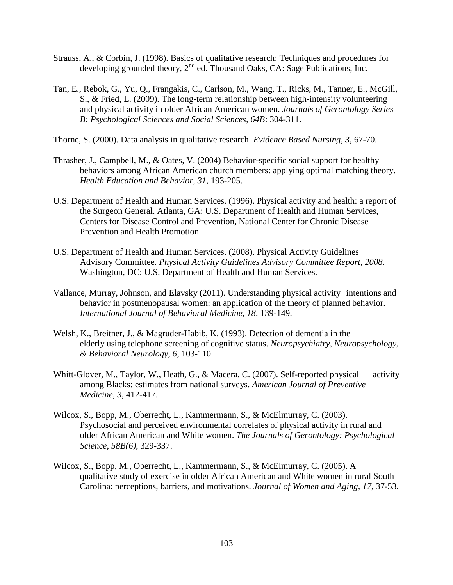- Strauss, A., & Corbin, J. (1998). Basics of qualitative research: Techniques and procedures for developing grounded theory,  $2^{nd}$  ed. Thousand Oaks, CA: Sage Publications, Inc.
- Tan, E., Rebok, G., Yu, Q., Frangakis, C., Carlson, M., Wang, T., Ricks, M., Tanner, E., McGill, S., & Fried, L. (2009). The long-term relationship between high-intensity volunteering and physical activity in older African American women. *Journals of Gerontology Series B: Psychological Sciences and Social Sciences, 64B*: 304-311.
- Thorne, S. (2000). Data analysis in qualitative research. *Evidence Based Nursing, 3*, 67-70.
- Thrasher, J., Campbell, M., & Oates, V. (2004) Behavior-specific social support for healthy behaviors among African American church members: applying optimal matching theory. *Health Education and Behavior, 31*, 193-205.
- U.S. Department of Health and Human Services. (1996). Physical activity and health: a report of the Surgeon General. Atlanta, GA: U.S. Department of Health and Human Services, Centers for Disease Control and Prevention, National Center for Chronic Disease Prevention and Health Promotion.
- U.S. Department of Health and Human Services. (2008). Physical Activity Guidelines Advisory Committee. *Physical Activity Guidelines Advisory Committee Report, 2008*. Washington, DC: U.S. Department of Health and Human Services.
- Vallance, Murray, Johnson, and Elavsky (2011). Understanding physical activity intentions and behavior in postmenopausal women: an application of the theory of planned behavior. *International Journal of Behavioral Medicine, 18*, 139-149.
- Welsh, K., Breitner, J., & Magruder-Habib, K. (1993). Detection of dementia in the elderly using telephone screening of cognitive status. *Neuropsychiatry, Neuropsychology, & Behavioral Neurology, 6*, 103-110.
- Whitt-Glover, M., Taylor, W., Heath, G., & Macera. C. (2007). Self-reported physical activity among Blacks: estimates from national surveys. *American Journal of Preventive Medicine, 3*, 412-417.
- Wilcox, S., Bopp, M., Oberrecht, L., Kammermann, S., & McElmurray, C. (2003). Psychosocial and perceived environmental correlates of physical activity in rural and older African American and White women. *The Journals of Gerontology: Psychological Science, 58B(6)*, 329-337.
- Wilcox, S., Bopp, M., Oberrecht, L., Kammermann, S., & McElmurray, C. (2005). A qualitative study of exercise in older African American and White women in rural South Carolina: perceptions, barriers, and motivations. *Journal of Women and Aging, 17*, 37-53.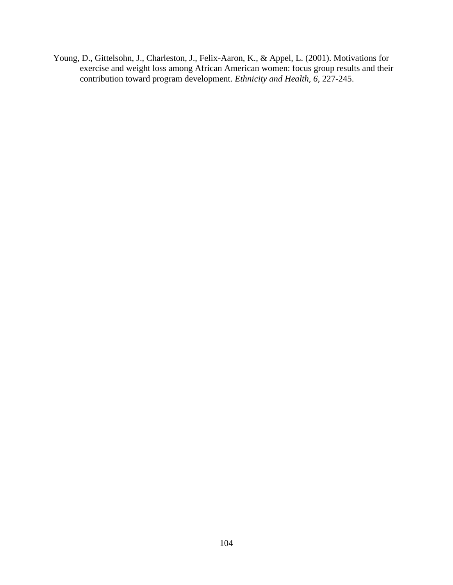Young, D., Gittelsohn, J., Charleston, J., Felix-Aaron, K., & Appel, L. (2001). Motivations for exercise and weight loss among African American women: focus group results and their contribution toward program development. *Ethnicity and Health, 6*, 227-245.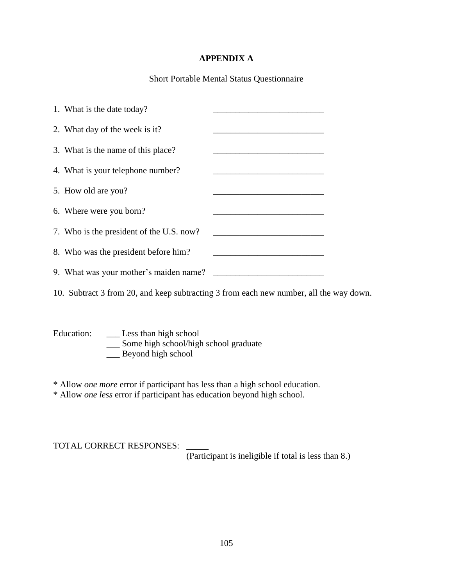# **APPENDIX A**

Short Portable Mental Status Questionnaire

| 1. What is the date today?               |  |
|------------------------------------------|--|
| 2. What day of the week is it?           |  |
| 3. What is the name of this place?       |  |
| 4. What is your telephone number?        |  |
| 5. How old are you?                      |  |
| 6. Where were you born?                  |  |
| 7. Who is the president of the U.S. now? |  |
| 8. Who was the president before him?     |  |
| 9. What was your mother's maiden name?   |  |
|                                          |  |

10. Subtract 3 from 20, and keep subtracting 3 from each new number, all the way down.

Education: \_\_\_\_\_\_ Less than high school Some high school/high school graduate \_\_\_ Beyond high school

\* Allow *one more* error if participant has less than a high school education.

\* Allow *one less* error if participant has education beyond high school.

TOTAL CORRECT RESPONSES: (Participant is ineligible if total is less than 8.)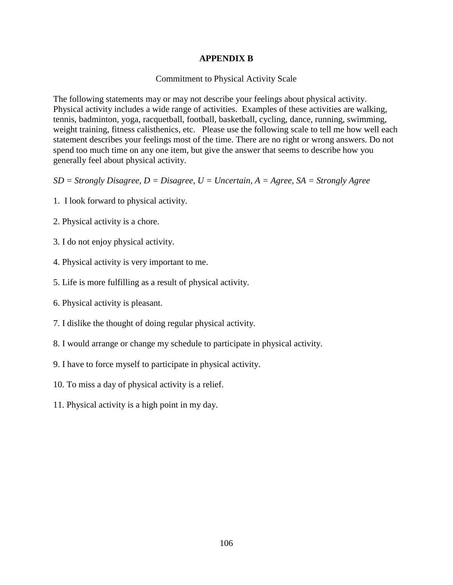## **APPENDIX B**

#### Commitment to Physical Activity Scale

The following statements may or may not describe your feelings about physical activity. Physical activity includes a wide range of activities. Examples of these activities are walking, tennis, badminton, yoga, racquetball, football, basketball, cycling, dance, running, swimming, weight training, fitness calisthenics, etc. Please use the following scale to tell me how well each statement describes your feelings most of the time. There are no right or wrong answers. Do not spend too much time on any one item, but give the answer that seems to describe how you generally feel about physical activity.

- *SD = Strongly Disagree, D = Disagree, U = Uncertain, A = Agree, SA = Strongly Agree*
- 1. I look forward to physical activity.
- 2. Physical activity is a chore.
- 3. I do not enjoy physical activity.
- 4. Physical activity is very important to me.
- 5. Life is more fulfilling as a result of physical activity.
- 6. Physical activity is pleasant.
- 7. I dislike the thought of doing regular physical activity.
- 8. I would arrange or change my schedule to participate in physical activity.
- 9. I have to force myself to participate in physical activity.
- 10. To miss a day of physical activity is a relief.
- 11. Physical activity is a high point in my day.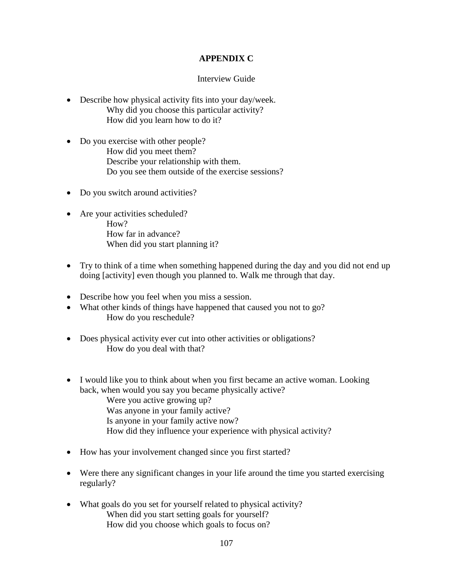# **APPENDIX C**

## Interview Guide

- Describe how physical activity fits into your day/week. Why did you choose this particular activity? How did you learn how to do it?
- Do you exercise with other people? How did you meet them? Describe your relationship with them. Do you see them outside of the exercise sessions?
- Do you switch around activities?
- Are your activities scheduled? How? How far in advance? When did you start planning it?
- Try to think of a time when something happened during the day and you did not end up doing [activity] even though you planned to. Walk me through that day.
- Describe how you feel when you miss a session.
- What other kinds of things have happened that caused you not to go? How do you reschedule?
- Does physical activity ever cut into other activities or obligations? How do you deal with that?
- I would like you to think about when you first became an active woman. Looking back, when would you say you became physically active? Were you active growing up? Was anyone in your family active? Is anyone in your family active now? How did they influence your experience with physical activity?
- How has your involvement changed since you first started?
- Were there any significant changes in your life around the time you started exercising regularly?
- What goals do you set for yourself related to physical activity? When did you start setting goals for yourself? How did you choose which goals to focus on?